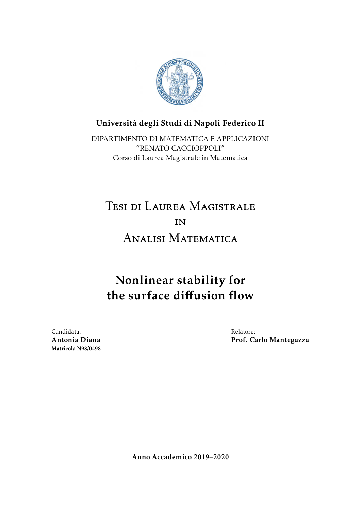

# Universita degli Studi di Napoli Federico II `

DIPARTIMENTO DI MATEMATICA E APPLICAZIONI "RENATO CACCIOPPOLI" Corso di Laurea Magistrale in Matematica

# Tesi di Laurea Magistrale IN<sub>1</sub> Analisi Matematica

# Nonlinear stability for the surface diffusion flow

Candidata: Antonia Diana Matricola N98/0498 Relatore: Prof. Carlo Mantegazza

Anno Accademico 2019–2020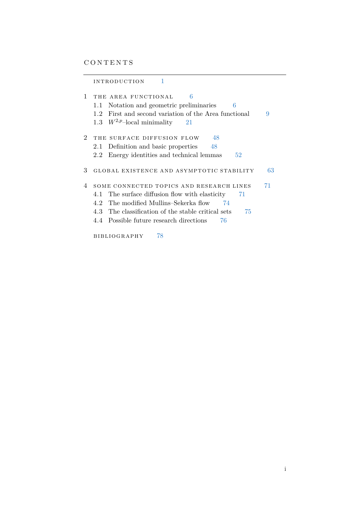|                | INTRODUCTION                                                                                                                                                                                                                                                    |    |
|----------------|-----------------------------------------------------------------------------------------------------------------------------------------------------------------------------------------------------------------------------------------------------------------|----|
| 1              | 6<br>THE AREA FUNCTIONAL<br>Notation and geometric preliminaries<br>6<br>1.1<br>1.2 First and second variation of the Area functional<br>1.3 $W^{2,p}$ -local minimality<br>-21                                                                                 | 9  |
| $\overline{2}$ | 48<br>THE SURFACE DIFFUSION FLOW<br>Definition and basic properties<br>2.1<br>48<br>Energy identities and technical lemmas<br>52<br>2.2                                                                                                                         |    |
| 3              | GLOBAL EXISTENCE AND ASYMPTOTIC STABILITY                                                                                                                                                                                                                       | 63 |
| 4              | SOME CONNECTED TOPICS AND RESEARCH LINES<br>The surface diffusion flow with elasticity<br>4.1<br>71<br>4.2 The modified Mullins–Sekerka flow<br>74<br>4.3 The classification of the stable critical sets<br>75<br>4.4 Possible future research directions<br>76 | 71 |
|                | 78<br>BIBLIOGRAPHY                                                                                                                                                                                                                                              |    |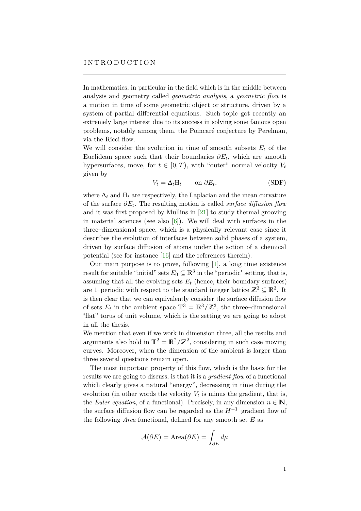<span id="page-2-0"></span>In mathematics, in particular in the field which is in the middle between analysis and geometry called *geometric analysis*, a *geometric flow* is a motion in time of some geometric object or structure, driven by a system of partial differential equations. Such topic got recently an extremely large interest due to its success in solving some famous open problems, notably among them, the Poincaré conjecture by Perelman, via the Ricci flow.

We will consider the evolution in time of smooth subsets  $E_t$  of the Euclidean space such that their boundaries  $\partial E_t$ , which are smooth hypersurfaces, move, for  $t \in [0, T)$ , with "outer" normal velocity  $V_t$ given by

$$
V_t = \Delta_t H_t \qquad \text{on } \partial E_t,
$$
 (SDF)

where  $\Delta_t$  and  $H_t$  are respectively, the Laplacian and the mean curvature of the surface *∂E<sup>t</sup>* . The resulting motion is called *surface diffusion flow* and it was first proposed by Mullins in [\[21\]](#page-80-0) to study thermal grooving in material sciences (see also  $[6]$ ). We will deal with surfaces in the three–dimensional space, which is a physically relevant case since it describes the evolution of interfaces between solid phases of a system, driven by surface diffusion of atoms under the action of a chemical potential (see for instance [\[16\]](#page-80-1) and the references therein).

Our main purpose is to prove, following [\[1\]](#page-79-2), a long time existence result for suitable "initial" sets  $E_0 \subseteq \mathbb{R}^3$  in the "periodic" setting, that is, assuming that all the evolving sets  $E_t$  (hence, their boundary surfaces) are 1–periodic with respect to the standard integer lattice  $\mathbb{Z}^3 \subseteq \mathbb{R}^3$ . It is then clear that we can equivalently consider the surface diffusion flow of sets  $E_t$  in the ambient space  $\mathbb{T}^3 = \mathbb{R}^3 / \mathbb{Z}^3$ , the three–dimensional "flat" torus of unit volume, which is the setting we are going to adopt in all the thesis.

We mention that even if we work in dimension three, all the results and arguments also hold in  $\mathbb{T}^2 = \mathbb{R}^2/\mathbb{Z}^2$ , considering in such case moving curves. Moreover, when the dimension of the ambient is larger than three several questions remain open.

The most important property of this flow, which is the basis for the results we are going to discuss, is that it is a *gradient flow* of a functional which clearly gives a natural "energy", decreasing in time during the evolution (in other words the velocity  $V_t$  is minus the gradient, that is, the *Euler equation*, of a functional). Precisely, in any dimension  $n \in \mathbb{N}$ , the surface diffusion flow can be regarded as the  $H^{-1}$ –gradient flow of the following *Area* functional, defined for any smooth set *E* as

$$
\mathcal{A}(\partial E) = \text{Area}(\partial E) = \int_{\partial E} d\mu
$$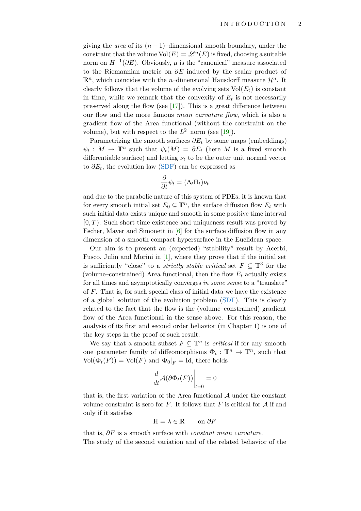giving the *area* of its  $(n-1)$ –dimensional smooth boundary, under the constraint that the volume  $Vol(E) = \mathscr{L}^n(E)$  is fixed, choosing a suitable norm on  $H^{-1}(\partial E)$ . Obviously,  $\mu$  is the "canonical" measure associated to the Riemannian metric on *∂E* induced by the scalar product of  $\mathbb{R}^n$ , which coincides with the *n*-dimensional Hausdorff measure  $\mathcal{H}^n$ . It clearly follows that the volume of the evolving sets  $Vol(E_t)$  is constant in time, while we remark that the convexity of  $E_t$  is not necessarily preserved along the flow (see [\[17\]](#page-80-2)). This is a great difference between our flow and the more famous *mean curvature flow*, which is also a gradient flow of the Area functional (without the constraint on the volume), but with respect to the  $L^2$ -norm (see [\[19\]](#page-80-3)).

Parametrizing the smooth surfaces  $\partial E_t$  by some maps (embeddings)  $\psi_t : M \to \mathbb{T}^n$  such that  $\psi_t(M) = \partial E_t$  (here *M* is a fixed smooth differentiable surface) and letting  $\nu_t$  to be the outer unit normal vector to  $\partial E_t$ , the evolution law [\(SDF\)](#page-2-0) can be expressed as

$$
\frac{\partial}{\partial t}\psi_t = (\Delta_t \mathbf{H}_t)\nu_t
$$

and due to the parabolic nature of this system of PDEs, it is known that for every smooth initial set  $E_0 \subseteq \mathbb{T}^n$ , the surface diffusion flow  $E_t$  with such initial data exists unique and smooth in some positive time interval  $[0, T)$ . Such short time existence and uniqueness result was proved by Escher, Mayer and Simonett in [\[6\]](#page-79-1) for the surface diffusion flow in any dimension of a smooth compact hypersurface in the Euclidean space.

Our aim is to present an (expected) "stability" result by Acerbi, Fusco, Julin and Morini in [\[1\]](#page-79-2), where they prove that if the initial set is sufficiently "close" to a *strictly stable critical* set  $F \subseteq \mathbb{T}^3$  for the (volume–constrained) Area functional, then the flow  $E_t$  actually exists for all times and asymptotically converges *in some sense* to a "translate" of *F*. That is, for such special class of initial data we have the existence of a global solution of the evolution problem [\(SDF\)](#page-2-0). This is clearly related to the fact that the flow is the (volume–constrained) gradient flow of the Area functional in the sense above. For this reason, the analysis of its first and second order behavior (in Chapter 1) is one of the key steps in the proof of such result.

We say that a smooth subset  $F \subseteq \mathbb{T}^n$  is *critical* if for any smooth one–parameter family of diffeomorphisms  $\Phi_t : \mathbb{T}^n \to \mathbb{T}^n$ , such that  $Vol(\Phi_t(F)) = Vol(F)$  and  $\Phi_0|_F = Id$ , there holds

$$
\left. \frac{d}{dt} \mathcal{A}(\partial \Phi_t(F)) \right|_{t=0} = 0
$$

that is, the first variation of the Area functional  $A$  under the constant volume constraint is zero for  $F$ . It follows that  $F$  is critical for  $A$  if and only if it satisfies

$$
H = \lambda \in \mathbb{R} \qquad \text{on } \partial F
$$

that is, *∂F* is a smooth surface with *constant mean curvature*. The study of the second variation and of the related behavior of the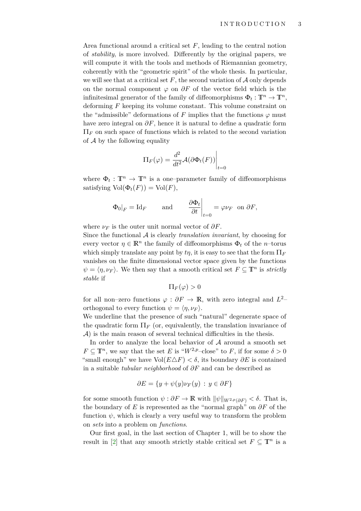Area functional around a critical set *F*, leading to the central notion of *stability*, is more involved. Differently by the original papers, we will compute it with the tools and methods of Riemannian geometry, coherently with the "geometric spirit" of the whole thesis. In particular, we will see that at a critical set  $F$ , the second variation of  $A$  only depends on the normal component  $\varphi$  on  $\partial F$  of the vector field which is the infinitesimal generator of the family of diffeomorphisms  $\Phi_t: \mathbb{T}^n \to \mathbb{T}^n$ , deforming *F* keeping its volume constant. This volume constraint on the "admissible" deformations of *F* implies that the functions  $\varphi$  must have zero integral on  $\partial F$ , hence it is natural to define a quadratic form  $\Pi_F$  on such space of functions which is related to the second variation of  $A$  by the following equality

$$
\Pi_F(\varphi) = \frac{d^2}{dt^2} \mathcal{A}(\partial \Phi_t(F)) \Big|_{t=0}
$$

where  $\Phi_t: \mathbb{T}^n \to \mathbb{T}^n$  is a one-parameter family of diffeomorphisms satisfying  $Vol(\Phi_t(F)) = Vol(F)$ ,

$$
\Phi_0|_F = \text{Id}_F
$$
 and  $\frac{\partial \Phi_t}{\partial t}|_{t=0} = \varphi \nu_F$  on  $\partial F$ ,

where  $\nu_F$  is the outer unit normal vector of  $\partial F$ .

Since the functional A is clearly *translation invariant*, by choosing for every vector  $\eta \in \mathbb{R}^n$  the family of diffeomorphisms  $\Phi_t$  of the *n*–torus which simply translate any point by  $t\eta$ , it is easy to see that the form  $\Pi_F$ vanishes on the finite dimensional vector space given by the functions  $\psi = \langle \eta, \nu_F \rangle$ . We then say that a smooth critical set  $F \subseteq \mathbb{T}^n$  is *strictly stable* if

$$
\Pi_F(\varphi) > 0
$$

for all non–zero functions  $\varphi : \partial F \to \mathbb{R}$ , with zero integral and  $L^2$ – orthogonal to every function  $\psi = \langle \eta, \nu_F \rangle$ .

We underline that the presence of such "natural" degenerate space of the quadratic form  $\Pi_F$  (or, equivalently, the translation invariance of  $\mathcal{A}$ ) is the main reason of several technical difficulties in the thesis.

In order to analyze the local behavior of  $A$  around a smooth set  $F \subseteq \mathbb{T}^n$ , we say that the set *E* is " $W^{2,p}$ -close" to *F*, if for some  $\delta > 0$ "small enough" we have  $Vol(E \triangle F) < \delta$ , its boundary  $\partial E$  is contained in a suitable *tubular neighborhood* of *∂F* and can be described as

$$
\partial E = \{ y + \psi(y)\nu_F(y) \, : \, y \in \partial F \}
$$

for some smooth function  $\psi : \partial F \to \mathbb{R}$  with  $\|\psi\|_{W^{2,p}(\partial F)} < \delta$ . That is, the boundary of *E* is represented as the "normal graph" on *∂F* of the function  $\psi$ , which is clearly a very useful way to transform the problem on *sets* into a problem on *functions*.

Our first goal, in the last section of Chapter 1, will be to show the result in [\[2\]](#page-79-3) that any smooth strictly stable critical set  $F \subseteq \mathbb{T}^n$  is a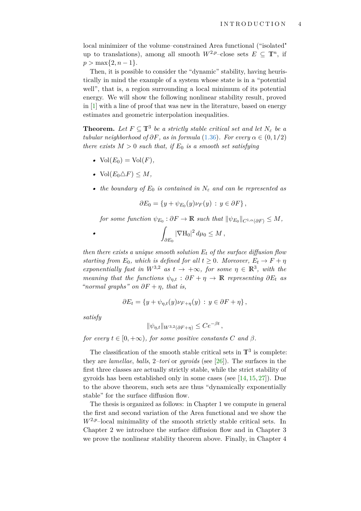local minimizer of the volume–constrained Area functional ("isolated" up to translations), among all smooth  $W^{2,p}$ –close sets  $E \subseteq \mathbb{T}^n$ , if  $p > \max\{2, n-1\}.$ 

Then, it is possible to consider the "dynamic" stability, having heuristically in mind the example of a system whose state is in a "potential well", that is, a region surrounding a local minimum of its potential energy. We will show the following nonlinear stability result, proved in [\[1\]](#page-79-2) with a line of proof that was new in the literature, based on energy estimates and geometric interpolation inequalities.

**Theorem.** Let  $F \subseteq \mathbb{T}^3$  be a strictly stable critical set and let  $N_{\varepsilon}$  be a *tubular neighborhood of*  $\partial F$ *, as in formula* [\(1.36\)](#page-22-1)*. For every*  $\alpha \in (0,1/2)$ *there exists*  $M > 0$  *such that, if*  $E_0$  *is a smooth set satisfying* 

- $Vol(E_0) = Vol(F)$ ,
- Vol $(E_0 \triangle F) \leq M$ ,
- *the boundary of*  $E_0$  *is contained in*  $N_\varepsilon$  *and can be represented as*

$$
\partial E_0 = \{ y + \psi_{E_0}(y) \nu_F(y) : y \in \partial F \},
$$

 $f$ *cr some function*  $\psi_{E_0} : \partial F \to \mathbb{R}$  *such that*  $\|\psi_{E_0}\|_{C^{1,\alpha}(\partial F)} \leq M$ ,

$$
\int_{\partial E_0} |\nabla \mathcal{H}_0|^2 \, d\mu_0 \leq M \,,
$$

*then there exists a unique smooth solution E<sup>t</sup> of the surface diffusion flow starting from*  $E_0$ *, which is defined for all*  $t \geq 0$ *. Moreover,*  $E_t \to F + \eta$ *exponentially fast in*  $W^{3,2}$  *as*  $t \to +\infty$ , for some  $\eta \in \mathbb{R}^3$ , with the *meaning that the functions*  $\psi_{\eta,t}$  :  $\partial F + \eta \to \mathbb{R}$  *representing*  $\partial E_t$  *as "normal graphs" on ∂F* + *η, that is,*

$$
\partial E_t = \{ y + \psi_{\eta,t}(y)\nu_{F+\eta}(y) : y \in \partial F + \eta \},\
$$

*satisfy*

*•*

$$
\|\psi_{\eta,t}\|_{W^{3,2}(\partial F + \eta)} \le Ce^{-\beta t},
$$

*for every*  $t \in [0, +\infty)$ *, for some positive constants C and*  $\beta$ *.* 

The classification of the smooth stable critical sets in  $\mathbb{T}^3$  is complete: they are *lamellae*, *balls*, 2*–tori* or *gyroids* (see [\[26\]](#page-80-4)). The surfaces in the first three classes are actually strictly stable, while the strict stability of gyroids has been established only in some cases (see [\[14,](#page-80-5) [15,](#page-80-6) [27\]](#page-80-7)). Due to the above theorem, such sets are thus "dynamically exponentially stable" for the surface diffusion flow.

The thesis is organized as follows: in Chapter 1 we compute in general the first and second variation of the Area functional and we show the  $W^{2,p}$ –local minimality of the smooth strictly stable critical sets. In Chapter 2 we introduce the surface diffusion flow and in Chapter 3 we prove the nonlinear stability theorem above. Finally, in Chapter 4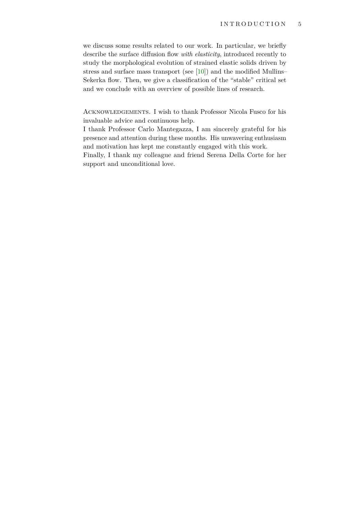we discuss some results related to our work. In particular, we briefly describe the surface diffusion flow *with elasticity*, introduced recently to study the morphological evolution of strained elastic solids driven by stress and surface mass transport (see [\[10\]](#page-79-4)) and the modified Mullins– Sekerka flow. Then, we give a classification of the "stable" critical set and we conclude with an overview of possible lines of research.

Acknowledgements. I wish to thank Professor Nicola Fusco for his invaluable advice and continuous help.

I thank Professor Carlo Mantegazza, I am sincerely grateful for his presence and attention during these months. His unwavering enthusiasm and motivation has kept me constantly engaged with this work.

Finally, I thank my colleague and friend Serena Della Corte for her support and unconditional love.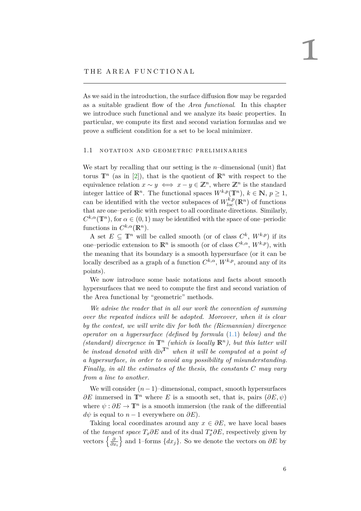#### <span id="page-7-0"></span>THE AREA FUNCTIONAL

As we said in the introduction, the surface diffusion flow may be regarded as a suitable gradient flow of the *Area functional*. In this chapter we introduce such functional and we analyze its basic properties. In particular, we compute its first and second variation formulas and we prove a sufficient condition for a set to be local minimizer.

#### <span id="page-7-1"></span>1.1 NOTATION AND GEOMETRIC PRELIMINARIES

We start by recalling that our setting is the *n*–dimensional (unit) flat torus  $\mathbb{T}^n$  (as in [\[2\]](#page-79-3)), that is the quotient of  $\mathbb{R}^n$  with respect to the equivalence relation  $x \sim y \iff x - y \in \mathbb{Z}^n$ , where  $\mathbb{Z}^n$  is the standard integer lattice of  $\mathbb{R}^n$ . The functional spaces  $W^{k,p}(\mathbb{T}^n)$ ,  $k \in \mathbb{N}$ ,  $p \geq 1$ , can be identified with the vector subspaces of  $W_{loc}^{k,p}(\mathbb{R}^n)$  of functions that are one–periodic with respect to all coordinate directions. Similarly,  $C^{k,\alpha}(\mathbb{T}^n)$ , for  $\alpha \in (0,1)$  may be identified with the space of one–periodic functions in  $C^{k,\alpha}(\mathbb{R}^n)$ .

A set  $E \subseteq \mathbb{T}^n$  will be called smooth (or of class  $C^k$ ,  $W^{k,p}$ ) if its one–periodic extension to  $\mathbb{R}^n$  is smooth (or of class  $C^{k,\alpha}, W^{k,p}$ ), with the meaning that its boundary is a smooth hypersurface (or it can be locally described as a graph of a function  $C^{k,\alpha}$ ,  $W^{k,p}$ , around any of its points).

We now introduce some basic notations and facts about smooth hypersurfaces that we need to compute the first and second variation of the Area functional by "geometric" methods.

*We advise the reader that in all our work the convention of summing over the repeated indices will be adopted. Moreover, when it is clear by the contest, we will write* div *for both the (Riemannian) divergence operator on a hypersurface (defined by formula* [\(1.1\)](#page-8-0) *below) and the (standard)* divergence in  $\mathbb{T}^n$  *(which is locally*  $\mathbb{R}^n$ *), but this latter will be instead denoted with*  $div^T$  *when it will be computed at a point of a hypersurface, in order to avoid any possibility of misunderstanding. Finally, in all the estimates of the thesis, the constants C may vary from a line to another.*

We will consider  $(n-1)$ –dimensional, compact, smooth hypersurfaces  $\partial E$  immersed in  $\mathbb{T}^n$  where *E* is a smooth set, that is, pairs  $(\partial E, \psi)$ where  $\psi : \partial E \to \mathbb{T}^n$  is a smooth immersion (the rank of the differential  $d\psi$  is equal to  $n-1$  everywhere on  $\partial E$ ).

Taking local coordinates around any  $x \in \partial E$ , we have local bases of the *tangent space*  $T_x \partial E$  and of its dual  $T_x^* \partial E$ , respectively given by vectors  $\left\{\frac{\partial}{\partial z}\right\}$ *∂x<sup>i</sup>* o and 1–forms {*dxj*}. So we denote the vectors on *∂E* by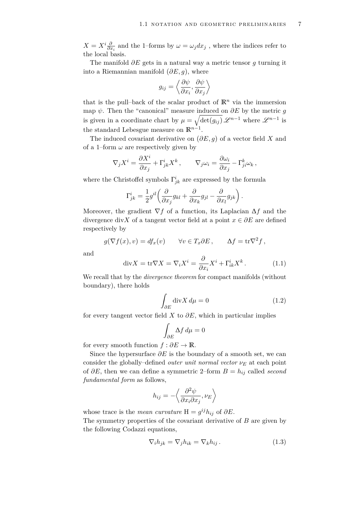$X = X^i \frac{\partial}{\partial x_i}$  and the 1–forms by  $\omega = \omega_j dx_j$ , where the indices refer to the local basis.

The manifold *∂E* gets in a natural way a metric tensor *g* turning it into a Riemannian manifold  $(\partial E, g)$ , where

$$
g_{ij} = \left\langle \frac{\partial \psi}{\partial x_i}, \frac{\partial \psi}{\partial x_j} \right\rangle
$$

that is the pull–back of the scalar product of  $\mathbb{R}^n$  via the immersion map  $\psi$ . Then the "canonical" measure induced on  $\partial E$  by the metric *q* is given in a coordinate chart by  $\mu = \sqrt{\det(g_{ij})} \mathscr{L}^{n-1}$  where  $\mathscr{L}^{n-1}$  is the standard Lebesgue measure on  $\mathbb{R}^{n-1}$ .

The induced covariant derivative on (*∂E*, *g*) of a vector field *X* and of a 1–form  $\omega$  are respectively given by

$$
\nabla_j X^i = \frac{\partial X^i}{\partial x_j} + \Gamma^i_{jk} X^k, \qquad \nabla_j \omega_i = \frac{\partial \omega_i}{\partial x_j} - \Gamma^k_{ji} \omega_k,
$$

where the Christoffel symbols  $\Gamma^i_{jk}$  are expressed by the formula

$$
\Gamma^i_{jk} = \frac{1}{2} g^{il} \left( \frac{\partial}{\partial x_j} g_{kl} + \frac{\partial}{\partial x_k} g_{jl} - \frac{\partial}{\partial x_l} g_{jk} \right).
$$

Moreover, the gradient ∇*f* of a function, its Laplacian ∆*f* and the divergence div*X* of a tangent vector field at a point  $x \in \partial E$  are defined respectively by

$$
g(\nabla f(x), v) = df_x(v) \qquad \forall v \in T_x \partial E, \qquad \Delta f = \text{tr}\nabla^2 f,
$$

and

$$
\operatorname{div} X = \operatorname{tr} \nabla X = \nabla_i X^i = \frac{\partial}{\partial x_i} X^i + \Gamma^i_{ik} X^k. \tag{1.1}
$$

We recall that by the *divergence theorem* for compact manifolds (without boundary), there holds

<span id="page-8-2"></span><span id="page-8-0"></span>
$$
\int_{\partial E} \operatorname{div} X \, d\mu = 0 \tag{1.2}
$$

for every tangent vector field *X* to  $\partial E$ , which in particular implies

$$
\int_{\partial E} \Delta f \, d\mu = 0
$$

for every smooth function  $f : \partial E \to \mathbb{R}$ .

Since the hypersurface  $\partial E$  is the boundary of a smooth set, we can consider the globally–defined *outer unit normal vector*  $\nu_E$  at each point of *∂E*, then we can define a symmetric 2–form *B* = *hij* called *second fundamental form* as follows,

$$
h_{ij} = -\left\langle \frac{\partial^2 \psi}{\partial x_i \partial x_j}, \nu_E \right\rangle
$$

whose trace is the *mean curvature*  $H = g^{ij}h_{ij}$  of  $\partial E$ .

The symmetry properties of the covariant derivative of *B* are given by the following Codazzi equations,

<span id="page-8-1"></span>
$$
\nabla_i h_{jk} = \nabla_j h_{ik} = \nabla_k h_{ij} . \qquad (1.3)
$$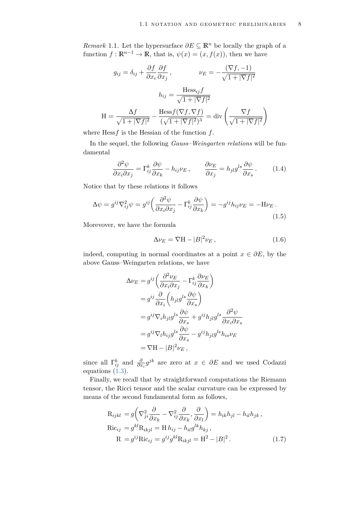*Remark* 1.1. Let the hypersurface  $\partial E \subseteq \mathbb{R}^n$  be locally the graph of a function  $f: \mathbb{R}^{n-1} \to \mathbb{R}$ , that is,  $\psi(x) = (x, f(x))$ , then we have

$$
g_{ij} = \delta_{ij} + \frac{\partial f}{\partial x_i} \frac{\partial f}{\partial x_j}, \qquad \nu_E = -\frac{(\nabla f, -1)}{\sqrt{1 + |\nabla f|^2}}
$$

$$
h_{ij} = \frac{\text{Hess}_{ij} f}{\sqrt{1 + |\nabla f|^2}}
$$

$$
H = \frac{\Delta f}{\sqrt{1 + |\nabla f|^2}} - \frac{\text{Hess} f(\nabla f, \nabla f)}{(\sqrt{1 + |\nabla f|^2})^3} = \text{div}\left(\frac{\nabla f}{\sqrt{1 + |\nabla f|^2}}\right)
$$

where Hess*f* is the Hessian of the function *f*.

In the sequel, the following *Gauss–Weingarten relations* will be fundamental

$$
\frac{\partial^2 \psi}{\partial x_i \partial x_j} = \Gamma_{ij}^k \frac{\partial \psi}{\partial x_k} - h_{ij} \nu_E, \qquad \frac{\partial \nu_E}{\partial x_j} = h_{jl} g^{ls} \frac{\partial \psi}{\partial x_s}.
$$
 (1.4)

Notice that by these relations it follows

$$
\Delta \psi = g^{ij} \nabla_{ij}^2 \psi = g^{ij} \left( \frac{\partial^2 \psi}{\partial x_i \partial x_j} - \Gamma_{ij}^k \frac{\partial \psi}{\partial x_k} \right) = -g^{ij} h_{ij} \nu_E = -\mathcal{H} \nu_E \,. \tag{1.5}
$$

Morevover, we have the formula

<span id="page-9-0"></span>
$$
\Delta \nu_E = \nabla H - |B|^2 \nu_E, \qquad (1.6)
$$

indeed, computing in normal coordinates at a point  $x \in \partial E$ , by the above Gauss–Weingarten relations, we have

$$
\Delta \nu_E = g^{ij} \left( \frac{\partial^2 \nu_E}{\partial x_i \partial x_j} - \Gamma^k_{ij} \frac{\partial \nu_E}{\partial x_k} \right)
$$
  
\n
$$
= g^{ij} \frac{\partial}{\partial x_i} \left( h_{jl} g^{ls} \frac{\partial \psi}{\partial x_s} \right)
$$
  
\n
$$
= g^{ij} \nabla_i h_{jl} g^{ls} \frac{\partial \psi}{\partial x_s} + g^{ij} h_{jl} g^{ls} \frac{\partial^2 \psi}{\partial x_i \partial x_s}
$$
  
\n
$$
= g^{ij} \nabla_l h_{ij} g^{ls} \frac{\partial \psi}{\partial x_s} - g^{ij} h_{jl} g^{ls} h_{is} \nu_E
$$
  
\n
$$
= \nabla \mathbf{H} - |B|^2 \nu_E,
$$

since all  $\Gamma_{ij}^k$  and  $\frac{\partial}{\partial x_i} g^{jk}$  are zero at  $x \in \partial E$  and we used Codazzi equations [\(1.3\)](#page-8-1).

Finally, we recall that by straightforward computations the Riemann tensor, the Ricci tensor and the scalar curvature can be expressed by means of the second fundamental form as follows,

$$
R_{ijkl} = g \left( \nabla_{ji}^2 \frac{\partial}{\partial x_k} - \nabla_{ij}^2 \frac{\partial}{\partial x_k}, \frac{\partial}{\partial x_l} \right) = h_{ik} h_{jl} - h_{il} h_{jk},
$$
  
\n
$$
Ric_{ij} = g^{kl} R_{ikjl} = H h_{ij} - h_{il} g^{lk} h_{kj},
$$
  
\n
$$
R = g^{ij} Ric_{ij} = g^{ij} g^{kl} R_{ikjl} = H^2 - |B|^2.
$$
 (1.7)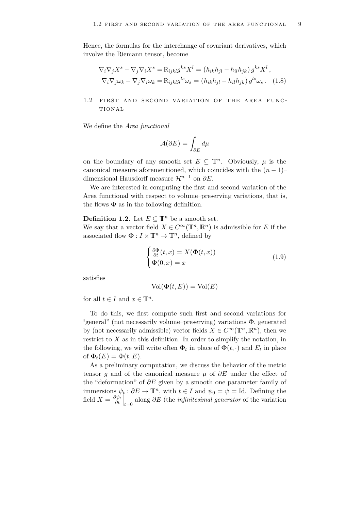Hence, the formulas for the interchange of covariant derivatives, which involve the Riemann tensor, become

$$
\nabla_i \nabla_j X^s - \nabla_j \nabla_i X^s = \mathcal{R}_{ijkl} g^{ks} X^l = (h_{ik} h_{jl} - h_{il} h_{jk}) g^{ks} X^l ,
$$
  

$$
\nabla_i \nabla_j \omega_k - \nabla_j \nabla_i \omega_k = \mathcal{R}_{ijkl} g^{ls} \omega_s = (h_{ik} h_{jl} - h_{il} h_{jk}) g^{ls} \omega_s .
$$
 (1.8)

### <span id="page-10-0"></span>1.2 FIRST AND SECOND VARIATION OF THE AREA FUNC-TIONAL

We define the *Area functional*

$$
\mathcal{A}(\partial E) = \int_{\partial E} d\mu
$$

on the boundary of any smooth set  $E \subseteq \mathbb{T}^n$ . Obviously,  $\mu$  is the canonical measure aforementioned, which coincides with the  $(n-1)$ – dimensional Hausdorff measure H*n*−<sup>1</sup> on *∂E*.

We are interested in computing the first and second variation of the Area functional with respect to volume–preserving variations, that is, the flows  $\Phi$  as in the following definition.

### **Definition 1.2.** Let  $E \subseteq \mathbb{T}^n$  be a smooth set.

We say that a vector field  $X \in C^{\infty}(\mathbb{T}^n, \mathbb{R}^n)$  is admissible for *E* if the associated flow  $\Phi: I \times \mathbb{T}^n \to \mathbb{T}^n$ , defined by

<span id="page-10-1"></span>
$$
\begin{cases} \frac{\partial \Phi}{\partial t}(t,x) = X(\Phi(t,x)) \\ \Phi(0,x) = x \end{cases}
$$
\n(1.9)

satisfies

$$
Vol(\Phi(t, E)) = Vol(E)
$$

for all  $t \in I$  and  $x \in \mathbb{T}^n$ .

To do this, we first compute such first and second variations for "general" (not necessarily volume–preserving) variations  $\Phi$ , generated by (not necessarily admissible) vector fields  $X \in C^{\infty}(\mathbb{T}^n, \mathbb{R}^n)$ , then we restrict to *X* as in this definition. In order to simplify the notation, in the following, we will write often  $\Phi_t$  in place of  $\Phi(t, \cdot)$  and  $E_t$  in place of  $\Phi_t(E) = \Phi(t, E)$ .

As a preliminary computation, we discuss the behavior of the metric tensor *g* and of the canonical measure *µ* of *∂E* under the effect of the "deformation" of *∂E* given by a smooth one parameter family of immersions  $\psi_t : \partial E \to \mathbb{T}^n$ , with  $t \in I$  and  $\psi_0 = \psi = \text{Id}$ . Defining the field  $X = \frac{\partial \psi_t}{\partial t}$  $\frac{\partial \psi_t}{\partial t}\Big|_{t=0}$  along  $\partial E$  (the *infinitesimal generator* of the variation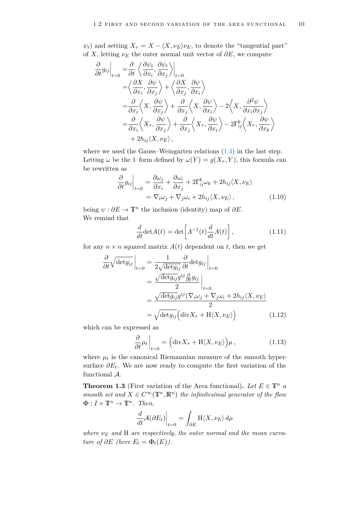$\psi_t$ ) and setting  $X_\tau = X - \langle X, \nu_E \rangle \nu_E$ , to denote the "tangential part" of *X*, letting  $\nu_E$  the outer normal unit vector of  $\partial E$ , we compute

$$
\frac{\partial}{\partial t} g_{ij} \Big|_{t=0} = \frac{\partial}{\partial t} \left\langle \frac{\partial \psi_t}{\partial x_i}, \frac{\partial \psi_t}{\partial x_j} \right\rangle_{t=0} \n= \left\langle \frac{\partial X}{\partial x_i}, \frac{\partial \psi}{\partial x_j} \right\rangle + \left\langle \frac{\partial X}{\partial x_j}, \frac{\partial \psi}{\partial x_i} \right\rangle \n= \frac{\partial}{\partial x_i} \left\langle X, \frac{\partial \psi}{\partial x_j} \right\rangle + \frac{\partial}{\partial x_j} \left\langle X, \frac{\partial \psi}{\partial x_i} \right\rangle - 2 \left\langle X, \frac{\partial^2 \psi}{\partial x_i \partial x_j} \right\rangle \n= \frac{\partial}{\partial x_i} \left\langle X_\tau, \frac{\partial \psi}{\partial x_j} \right\rangle + \frac{\partial}{\partial x_j} \left\langle X_\tau, \frac{\partial \psi}{\partial x_i} \right\rangle - 2 \Gamma_{ij}^k \left\langle X_\tau, \frac{\partial \psi}{\partial x_k} \right\rangle \n+ 2 h_{ij} \left\langle X, \nu_E \right\rangle,
$$

where we used the Gauss–Weingarten relations  $(1.4)$  in the last step. Letting  $\omega$  be the 1–form defined by  $\omega(Y) = g(X_{\tau}, Y)$ , this formula can be rewritten as

$$
\frac{\partial}{\partial t} g_{ij} \Big|_{t=0} = \frac{\partial \omega_j}{\partial x_i} + \frac{\partial \omega_i}{\partial x_j} + 2\Gamma^k_{ij}\omega_k + 2h_{ij}\langle X, \nu_E \rangle
$$
  
=  $\nabla_i \omega_j + \nabla_j \omega_i + 2h_{ij}\langle X, \nu_E \rangle$ , (1.10)

being  $\psi : \partial E \to \mathbb{T}^n$  the inclusion (identity) map of  $\partial E$ . We remind that

<span id="page-11-3"></span><span id="page-11-0"></span>
$$
\frac{d}{dt}\det A(t) = \det \left[ A^{-1}(t)\frac{d}{dt}A(t) \right],\tag{1.11}
$$

for any  $n \times n$  squared matrix  $A(t)$  dependent on *t*, then we get

$$
\frac{\partial}{\partial t} \sqrt{\det g_{ij}} \Big|_{t=0} = \frac{1}{2\sqrt{\det g_{ij}}} \frac{\partial}{\partial t} \det g_{ij} \Big|_{t=0}
$$

$$
= \frac{\sqrt{\det g_{ij}} g^{ij} \frac{\partial}{\partial t} g_{ij}}{2} \Big|_{t=0}
$$

$$
= \frac{\sqrt{\det g_{ij}} g^{ij} (\nabla_i \omega_j + \nabla_j \omega_i + 2h_{ij} \langle X, \nu_E \rangle)}{2}
$$

$$
= \sqrt{\det g_{ij}} (\text{div} X_\tau + \text{H} \langle X, \nu_E \rangle) \tag{1.12}
$$

which can be expressed as

<span id="page-11-2"></span>
$$
\frac{\partial}{\partial t}\mu_t\Big|_{t=0} = \left(\mathrm{div}X_\tau + \mathrm{H}\langle X,\nu_E\rangle\right)\mu,\tag{1.13}
$$

where  $\mu_t$  is the canonical Riemannian measure of the smooth hypersurface *∂E<sup>t</sup>* . We are now ready to compute the first variation of the functional A.

<span id="page-11-1"></span>**Theorem 1.3** (First variation of the Area functional). Let  $E \in \mathbb{T}^n$  *a smooth set and*  $X \in C^{\infty}(\mathbb{T}^n, \mathbb{R}^n)$  *the infinitesimal generator of the flow*  $\Phi: I \times \mathbb{T}^n \to \mathbb{T}^n$ . Then,

$$
\left. \frac{d}{dt} \mathcal{A}(\partial E_t) \right|_{t=0} = \int_{\partial E} \mathcal{H} \langle X, \nu_E \rangle \, d\mu
$$

*where ν<sup>E</sup> and* H *are respectively, the outer normal and the mean curvature of*  $\partial E$  *(here*  $E_t = \Phi_t(E)$ *).*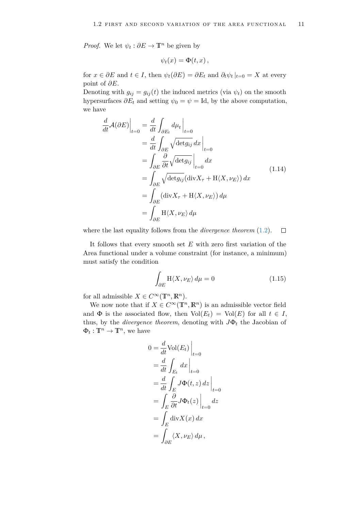*Proof.* We let  $\psi_t : \partial E \to \mathbb{T}^n$  be given by

$$
\psi_t(x) = \Phi(t,x) \,,
$$

for  $x \in \partial E$  and  $t \in I$ , then  $\psi_t(\partial E) = \partial E_t$  and  $\partial_t \psi_t |_{t=0} = X$  at every point of *∂E*.

Denoting with  $g_{ij} = g_{ij}(t)$  the induced metrics (via  $\psi_t$ ) on the smooth hypersurfaces  $\partial E_t$  and setting  $\psi_0 = \psi = \text{Id}$ , by the above computation, we have

$$
\frac{d}{dt}\mathcal{A}(\partial E)\Big|_{t=0} = \frac{d}{dt} \int_{\partial E_t} d\mu_t \Big|_{t=0}
$$
\n
$$
= \frac{d}{dt} \int_{\partial E} \sqrt{\det g_{ij}} dx \Big|_{t=0}
$$
\n
$$
= \int_{\partial E} \frac{\partial}{\partial t} \sqrt{\det g_{ij}} \Big|_{t=0} dx
$$
\n
$$
= \int_{\partial E} \sqrt{\det g_{ij}} (\text{div} X_\tau + \text{H} \langle X, \nu_E \rangle) dx
$$
\n
$$
= \int_{\partial E} (\text{div} X_\tau + \text{H} \langle X, \nu_E \rangle) d\mu
$$
\n
$$
= \int_{\partial E} \text{H} \langle X, \nu_E \rangle d\mu
$$
\n(1.14)

where the last equality follows from the *divergence theorem* [\(1.2\)](#page-8-2).  $\Box$ 

It follows that every smooth set *E* with zero first variation of the Area functional under a volume constraint (for instance, a minimum) must satisfy the condition

<span id="page-12-0"></span>
$$
\int_{\partial E} \mathcal{H}\langle X, \nu_E \rangle \, d\mu = 0 \tag{1.15}
$$

for all admissible  $X \in C^{\infty}(\mathbb{T}^n, \mathbb{R}^n)$ .

We now note that if  $X \in C^{\infty}(\mathbb{T}^n, \mathbb{R}^n)$  is an admissible vector field and  $\Phi$  is the associated flow, then  $Vol(E_t) = Vol(E)$  for all  $t \in I$ , thus, by the *divergence theorem*, denoting with  $J\Phi_t$  the Jacobian of  $\Phi_t: \mathbb{T}^n \to \mathbb{T}^n$ , we have

$$
0 = \frac{d}{dt} \text{Vol}(E_t) \Big|_{t=0}
$$
  
=  $\frac{d}{dt} \int_{E_t} dx \Big|_{t=0}$   
=  $\frac{d}{dt} \int_E J \Phi(t, z) dz \Big|_{t=0}$   
=  $\int_E \frac{\partial}{\partial t} J \Phi_t(z) \Big|_{t=0} dz$   
=  $\int_E \text{div} X(x) dx$   
=  $\int_{\partial E} \langle X, \nu_E \rangle d\mu$ ,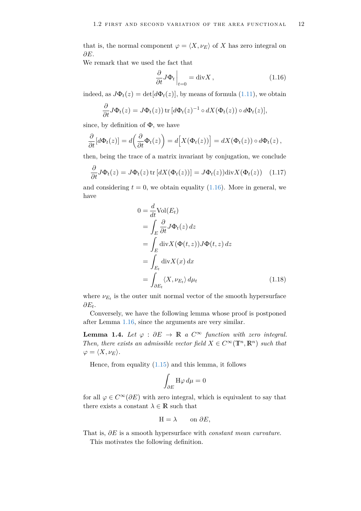that is, the normal component  $\varphi = \langle X, \nu_E \rangle$  of *X* has zero integral on *∂E*.

We remark that we used the fact that

<span id="page-13-0"></span>
$$
\frac{\partial}{\partial t} J \Phi_t \Big|_{t=0} = \text{div} X , \qquad (1.16)
$$

indeed, as  $J\Phi_t(z) = \det[d\Phi_t(z)]$ , by means of formula [\(1.11\)](#page-11-0), we obtain

$$
\frac{\partial}{\partial t}J\Phi_t(z) = J\Phi_t(z)) \operatorname{tr} \left[ d\Phi_t(z)^{-1} \circ dX(\Phi_t(z)) \circ d\Phi_t(z) \right],
$$

since, by definition of  $\Phi$ , we have

$$
\frac{\partial}{\partial t}[d\Phi_t(z)] = d\left(\frac{\partial}{\partial t}\Phi_t(z)\right) = d\Big[X(\Phi_t(z))\Big] = dX(\Phi_t(z)) \circ d\Phi_t(z),
$$

then, being the trace of a matrix invariant by conjugation, we conclude

$$
\frac{\partial}{\partial t} J \Phi_t(z) = J \Phi_t(z) \operatorname{tr} \left[ dX(\Phi_t(z)) \right] = J \Phi_t(z) ) \operatorname{div} X(\Phi_t(z)) \quad (1.17)
$$

and considering  $t = 0$ , we obtain equality  $(1.16)$ . More in general, we have

<span id="page-13-1"></span>
$$
0 = \frac{d}{dt} \text{Vol}(E_t)
$$
  
= 
$$
\int_E \frac{\partial}{\partial t} J \Phi_t(z) dz
$$
  
= 
$$
\int_E \text{div} X(\Phi(t, z)) J \Phi(t, z) dz
$$
  
= 
$$
\int_{E_t} \text{div} X(x) dx
$$
  
= 
$$
\int_{\partial E_t} \langle X, \nu_{E_t} \rangle d\mu_t
$$
 (1.18)

where  $\nu_{E_t}$  is the outer unit normal vector of the smooth hypersurface *∂E<sup>t</sup>* .

Conversely, we have the following lemma whose proof is postponed after Lemma [1.16,](#page-25-0) since the arguments are very similar.

<span id="page-13-2"></span>**Lemma 1.4.** *Let*  $\varphi : \partial E \to \mathbb{R}$  *a*  $C^{\infty}$  *function with zero integral. Then, there exists an admissible vector field*  $X \in C^{\infty}(\mathbb{T}^n, \mathbb{R}^n)$  *such that*  $\varphi = \langle X, \nu_E \rangle$ *.* 

Hence, from equality [\(1.15\)](#page-12-0) and this lemma, it follows

<span id="page-13-3"></span>
$$
\int_{\partial E} \mathcal{H}\varphi \,d\mu = 0
$$

for all  $\varphi \in C^{\infty}(\partial E)$  with zero integral, which is equivalent to say that there exists a constant  $\lambda \in \mathbb{R}$  such that

$$
H = \lambda \qquad \text{on } \partial E,
$$

That is, *∂E* is a smooth hypersurface with *constant mean curvature*.

This motivates the following definition.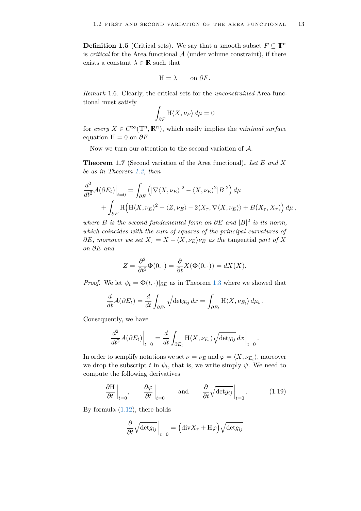**Definition 1.5** (Critical sets). We say that a smooth subset  $F \subseteq \mathbb{T}^n$ is *critical* for the Area functional  $A$  (under volume constraint), if there exists a constant  $\lambda \in \mathbb{R}$  such that

$$
H = \lambda \qquad \text{on } \partial F.
$$

<span id="page-14-1"></span>*Remark* 1.6*.* Clearly, the critical sets for the *unconstrained* Area functional must satisfy

$$
\int_{\partial F} \mathcal{H}\langle X,\nu_F\rangle \,d\mu=0
$$

for *every*  $X \in C^{\infty}(\mathbb{T}^n, \mathbb{R}^n)$ , which easily implies the *minimal surface* equation  $H = 0$  on  $\partial F$ .

Now we turn our attention to the second variation of A.

<span id="page-14-2"></span>**Theorem 1.7** (Second variation of the Area functional)**.** *Let E and X be as in Theorem [1.3,](#page-11-1) then*

$$
\frac{d^2}{dt^2} \mathcal{A}(\partial E_t)\Big|_{t=0} = \int_{\partial E} \left( |\nabla \langle X, \nu_E \rangle|^2 - \langle X, \nu_E \rangle^2 |B|^2 \right) d\mu + \int_{\partial E} \mathcal{H} \left( \mathcal{H} \langle X, \nu_E \rangle^2 + \langle Z, \nu_E \rangle - 2 \langle X_\tau, \nabla \langle X, \nu_E \rangle \rangle + B(X_\tau, X_\tau) \right) d\mu,
$$

*where B is the second fundamental form on*  $\partial E$  *and*  $|B|^2$  *is its norm, which coincides with the sum of squares of the principal curvatures of*  $\partial E$ *, moreover we set*  $X_{\tau} = X - \langle X, \nu_E \rangle \nu_E$  *as the tangential part of* X *on ∂E and*

$$
Z = \frac{\partial^2}{\partial t^2} \Phi(0, \cdot) = \frac{\partial}{\partial t} X(\Phi(0, \cdot)) = dX(X).
$$

*Proof.* We let  $\psi_t = \Phi(t, \cdot)|_{\partial E}$  as in Theorem [1.3](#page-11-1) where we showed that

$$
\frac{d}{dt}\mathcal{A}(\partial E_t) = \frac{d}{dt}\int_{\partial E_t} \sqrt{\det g_{ij}} dx = \int_{\partial E_t} H\langle X, \nu_{E_t} \rangle d\mu_t.
$$

Consequently, we have

$$
\frac{d^2}{dt^2} \mathcal{A}(\partial E_t)\Big|_{t=0} = \frac{d}{dt} \int_{\partial E_t} \mathcal{H}\langle X, \nu_{E_t} \rangle \sqrt{\det g_{ij}} \, dx \Big|_{t=0}
$$

In order to semplify notations we set  $\nu = \nu_E$  and  $\varphi = \langle X, \nu_{E_t} \rangle$ , moreover we drop the subscript *t* in  $\psi_t$ , that is, we write simply  $\psi$ . We need to compute the following derivatives

$$
\left. \frac{\partial \mathcal{H}}{\partial t} \right|_{t=0}, \qquad \left. \frac{\partial \varphi}{\partial t} \right|_{t=0} \qquad \text{and} \qquad \left. \frac{\partial}{\partial t} \sqrt{\det g_{ij}} \right|_{t=0}.
$$
 (1.19)

<span id="page-14-0"></span>.

By formula  $(1.12)$ , there holds

$$
\frac{\partial}{\partial t} \sqrt{\det g_{ij}} \Big|_{t=0} = \left( \text{div} X_{\tau} + \text{H}\varphi \right) \sqrt{\det g_{ij}}
$$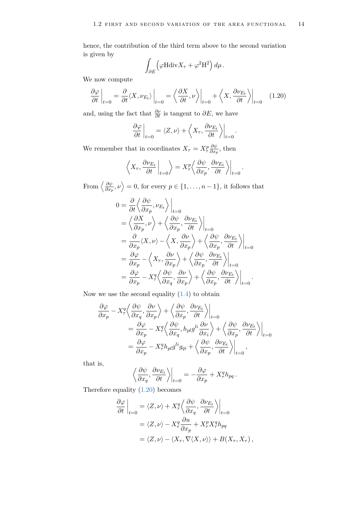hence, the contribution of the third term above to the second variation is given by

$$
\int_{\partial E} \left( \varphi \mathrm{Hdiv} X_\tau + \varphi^2 \mathrm{H}^2 \right) d\mu \,.
$$

We now compute

$$
\left. \frac{\partial \varphi}{\partial t} \right|_{t=0} = \left. \frac{\partial}{\partial t} \langle X, \nu_{E_t} \rangle \right|_{t=0} = \left. \left\langle \frac{\partial X}{\partial t}, \nu \right\rangle \right|_{t=0} + \left. \left\langle X, \frac{\partial \nu_{E_t}}{\partial t} \right\rangle \right|_{t=0} \tag{1.20}
$$

and, using the fact that  $\frac{\partial \nu}{\partial t}$  is tangent to  $\partial E$ , we have

$$
\left. \frac{\partial \varphi}{\partial t} \right|_{t=0} = \langle Z, \nu \rangle + \left\langle X_{\tau}, \frac{\partial \nu_{E_t}}{\partial t} \right\rangle \bigg|_{t=0}
$$

<span id="page-15-0"></span>.

.

We remember that in coordinates  $X_{\tau} = X_{\tau}^p \frac{\partial \psi}{\partial x_{\tau}}$  $\frac{\partial \psi}{\partial x_p}$ , then

$$
\left\langle X_{\tau}, \frac{\partial \nu_{E_t}}{\partial t} \Big|_{t=0} \right\rangle = X_{\tau}^p \left\langle \frac{\partial \psi}{\partial x_p}, \frac{\partial \nu_{E_t}}{\partial t} \right\rangle \Big|_{t=0}
$$

From  $\langle \frac{\partial \psi}{\partial x} \rangle$  $\frac{\partial \psi}{\partial x_p}, \nu \rangle = 0$ , for every  $p \in \{1, \ldots, n-1\}$ , it follows that

$$
0 = \frac{\partial}{\partial t} \left\langle \frac{\partial \psi}{\partial x_p}, \nu_{E_t} \right\rangle \Big|_{t=0}
$$
  
\n
$$
= \left\langle \frac{\partial X}{\partial x_p}, \nu \right\rangle + \left\langle \frac{\partial \psi}{\partial x_p}, \frac{\partial \nu_{E_t}}{\partial t} \right\rangle \Big|_{t=0}
$$
  
\n
$$
= \frac{\partial}{\partial x_p} \langle X, \nu \rangle - \left\langle X, \frac{\partial \nu}{\partial x_p} \right\rangle + \left\langle \frac{\partial \psi}{\partial x_p}, \frac{\partial \nu_{E_t}}{\partial t} \right\rangle \Big|_{t=0}
$$
  
\n
$$
= \frac{\partial \varphi}{\partial x_p} - \left\langle X_\tau, \frac{\partial \nu}{\partial x_p} \right\rangle + \left\langle \frac{\partial \psi}{\partial x_p}, \frac{\partial \nu_{E_t}}{\partial t} \right\rangle \Big|_{t=0}
$$
  
\n
$$
= \frac{\partial \varphi}{\partial x_p} - X_\tau^q \left\langle \frac{\partial \psi}{\partial x_q}, \frac{\partial \nu}{\partial x_p} \right\rangle + \left\langle \frac{\partial \psi}{\partial x_p}, \frac{\partial \nu_{E_t}}{\partial t} \right\rangle \Big|_{t=0}.
$$

Now we use the second equality  $(1.4)$  to obtain

$$
\frac{\partial \varphi}{\partial x_p} - X_{\tau}^q \left\langle \frac{\partial \psi}{\partial x_q}, \frac{\partial \nu}{\partial x_p} \right\rangle + \left\langle \frac{\partial \psi}{\partial x_p}, \frac{\partial \nu_{E_t}}{\partial t} \right\rangle \Big|_{t=0}
$$
\n
$$
= \frac{\partial \varphi}{\partial x_p} - X_{\tau}^q \left\langle \frac{\partial \psi}{\partial x_q}, h_{pl} g^{li} \frac{\partial \nu}{\partial x_i} \right\rangle + \left\langle \frac{\partial \psi}{\partial x_p}, \frac{\partial \nu_{E_t}}{\partial t} \right\rangle \Big|_{t=0}
$$
\n
$$
= \frac{\partial \varphi}{\partial x_p} - X_{\tau}^q h_{pl} g^{li} g_{qi} + \left\langle \frac{\partial \psi}{\partial x_p}, \frac{\partial \nu_{E_t}}{\partial t} \right\rangle \Big|_{t=0},
$$

that is,

$$
\left\langle \frac{\partial \psi}{\partial x_q}, \frac{\partial \nu_{E_t}}{\partial t} \right\rangle_{t=0} = -\frac{\partial \varphi}{\partial x_p} + X_\tau^q h_{pq}.
$$

Therefore equality [\(1.20\)](#page-15-0) becomes

$$
\frac{\partial \varphi}{\partial t}\Big|_{t=0} = \langle Z, \nu \rangle + X_{\tau}^{q} \Big\langle \frac{\partial \psi}{\partial x_{q}}, \frac{\partial \nu_{E_{t}}}{\partial t} \Big\rangle \Big|_{t=0}
$$
  

$$
= \langle Z, \nu \rangle - X_{\tau}^{q} \frac{\partial u}{\partial x_{p}} + X_{\tau}^{p} X_{\tau}^{q} h_{pq}
$$
  

$$
= \langle Z, \nu \rangle - \langle X_{\tau}, \nabla \langle X, \nu \rangle \rangle + B(X_{\tau}, X_{\tau}),
$$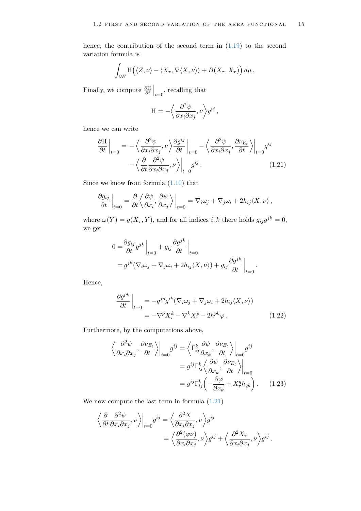hence, the contribution of the second term in [\(1.19\)](#page-14-0) to the second variation formula is

$$
\int_{\partial E} \mathrm{H}\Big(\langle Z,\nu\rangle-\langle X_\tau,\nabla\langle X,\nu\rangle\rangle+B(X_\tau,X_\tau)\Big)\,d\mu\,.
$$

Finally, we compute  $\frac{\partial H}{\partial t}\Big|_{t=0}$ , recalling that

<span id="page-16-0"></span>
$$
\mathcal{H} = -\left\langle \frac{\partial^2 \psi}{\partial x_i \partial x_j}, \nu \right\rangle g^{ij},
$$

hence we can write

$$
\frac{\partial \mathcal{H}}{\partial t}\Big|_{t=0} = -\left\langle \frac{\partial^2 \psi}{\partial x_i \partial x_j}, \nu \right\rangle \frac{\partial g^{ij}}{\partial t}\Big|_{t=0} - \left\langle \frac{\partial^2 \psi}{\partial x_i \partial x_j}, \frac{\partial \nu_{E_t}}{\partial t} \right\rangle \Big|_{t=0} g^{ij} -\left\langle \frac{\partial}{\partial t} \frac{\partial^2 \psi}{\partial x_i \partial x_j}, \nu \right\rangle \Big|_{t=0} g^{ij}.
$$
\n(1.21)

Since we know from formula  $(1.10)$  that

$$
\left. \frac{\partial g_{ij}}{\partial t} \right|_{t=0} = \frac{\partial}{\partial t} \left\langle \frac{\partial \psi}{\partial x_i}, \frac{\partial \psi}{\partial x_j} \right\rangle \Big|_{t=0} = \nabla_i \omega_j + \nabla_j \omega_i + 2h_{ij} \langle X, \nu \rangle,
$$

where  $\omega(Y) = g(X_{\tau}, Y)$ , and for all indices *i*, *k* there holds  $g_{ij}g^{jk} = 0$ , we get

$$
0 = \frac{\partial g_{ij}}{\partial t} g^{jk} \Big|_{t=0} + g_{ij} \frac{\partial g^{jk}}{\partial t} \Big|_{t=0}
$$
  
=  $g^{jk} (\nabla_i \omega_j + \nabla_j \omega_i + 2h_{ij} \langle X, \nu \rangle) + g_{ij} \frac{\partial g^{jk}}{\partial t} \Big|_{t=0}.$ 

Hence,

<span id="page-16-1"></span>
$$
\frac{\partial g^{pk}}{\partial t}\Big|_{t=0} = -g^{jp}g^{ik}(\nabla_i\omega_j + \nabla_j\omega_i + 2h_{ij}\langle X,\nu\rangle)
$$
  
=  $-\nabla^p X_\tau^k - \nabla^k X_\tau^p - 2h^{pk}\varphi.$  (1.22)

Furthermore, by the computations above,

<span id="page-16-2"></span>
$$
\left\langle \frac{\partial^2 \psi}{\partial x_i \partial x_j}, \frac{\partial \nu_{E_t}}{\partial t} \right\rangle \Big|_{t=0} g^{ij} = \left\langle \Gamma_{ij}^k \frac{\partial \psi}{\partial x_k}, \frac{\partial \nu_{E_t}}{\partial t} \right\rangle \Big|_{t=0} g^{ij}
$$

$$
= g^{ij} \Gamma_{ij}^k \left\langle \frac{\partial \psi}{\partial x_k}, \frac{\partial \nu_{E_t}}{\partial t} \right\rangle \Big|_{t=0}
$$

$$
= g^{ij} \Gamma_{ij}^k \left( -\frac{\partial \varphi}{\partial x_k} + X_\tau^q h_{qk} \right). \tag{1.23}
$$

We now compute the last term in formula [\(1.21\)](#page-16-0)

$$
\left\langle \frac{\partial}{\partial t} \frac{\partial^2 \psi}{\partial x_i \partial x_j}, \nu \right\rangle_{t=0} g^{ij} = \left\langle \frac{\partial^2 X}{\partial x_i \partial x_j}, \nu \right\rangle g^{ij}
$$
  
= 
$$
\left\langle \frac{\partial^2 (\varphi \nu)}{\partial x_i \partial x_j}, \nu \right\rangle g^{ij} + \left\langle \frac{\partial^2 X_{\tau}}{\partial x_i \partial x_j}, \nu \right\rangle g^{ij}.
$$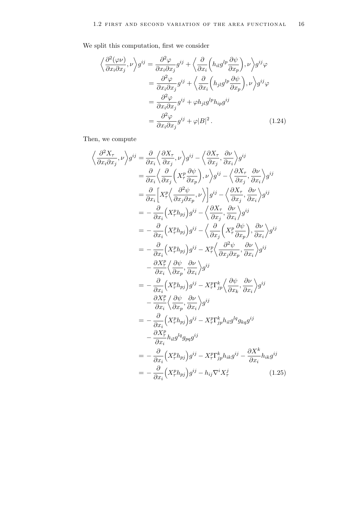We split this computation, first we consider

<span id="page-17-0"></span>
$$
\left\langle \frac{\partial^2 (\varphi \nu)}{\partial x_i \partial x_j}, \nu \right\rangle g^{ij} = \frac{\partial^2 \varphi}{\partial x_i \partial x_j} g^{ij} + \left\langle \frac{\partial}{\partial x_i} \left( h_{il} g^{lp} \frac{\partial \psi}{\partial x_p} \right), \nu \right\rangle g^{ij} \varphi
$$
  

$$
= \frac{\partial^2 \varphi}{\partial x_i \partial x_j} g^{ij} + \left\langle \frac{\partial}{\partial x_i} \left( h_{jl} g^{lp} \frac{\partial \psi}{\partial x_p} \right), \nu \right\rangle g^{ij} \varphi
$$
  

$$
= \frac{\partial^2 \varphi}{\partial x_i \partial x_j} g^{ij} + \varphi h_{jl} g^{lp} h_{ip} g^{ij}
$$
  

$$
= \frac{\partial^2 \varphi}{\partial x_i \partial x_j} g^{ij} + \varphi |B|^2.
$$
 (1.24)

Then, we compute

<span id="page-17-1"></span>
$$
\left\langle \frac{\partial^2 X_{\tau}}{\partial x_i \partial x_j}, \nu \right\rangle g^{ij} = \frac{\partial}{\partial x_i} \left\langle \frac{\partial X_{\tau}}{\partial x_j}, \nu \right\rangle g^{ij} - \left\langle \frac{\partial X_{\tau}}{\partial x_j}, \frac{\partial \nu}{\partial x_i} \right\rangle g^{ij}
$$
  
\n
$$
= \frac{\partial}{\partial x_i} \left\langle \frac{\partial}{\partial x_j} \left( X_{\tau}^p \frac{\partial \psi}{\partial x_p} \right), \nu \right\rangle g^{ij} - \left\langle \frac{\partial X_{\tau}}{\partial x_j}, \frac{\partial \nu}{\partial x_i} \right\rangle g^{ij}
$$
  
\n
$$
= \frac{\partial}{\partial x_i} \left[ X_{\tau}^p \left\langle \frac{\partial^2 \psi}{\partial x_j \partial x_p}, \nu \right\rangle \right] g^{ij} - \left\langle \frac{\partial X_{\tau}}{\partial x_j}, \frac{\partial \nu}{\partial x_i} \right\rangle g^{ij}
$$
  
\n
$$
= -\frac{\partial}{\partial x_i} \left( X_{\tau}^p h_{pj} \right) g^{ij} - \left\langle \frac{\partial X_{\tau}}{\partial x_j}, \frac{\partial \nu}{\partial x_i} \right\rangle g^{ij}
$$
  
\n
$$
= -\frac{\partial}{\partial x_i} \left( X_{\tau}^p h_{pj} \right) g^{ij} - X_{\tau}^p \left\langle \frac{\partial^2 \psi}{\partial x_j \partial x_p}, \frac{\partial \nu}{\partial x_i} \right\rangle g^{ij}
$$
  
\n
$$
- \frac{\partial X_{\tau}^p}{\partial x_i} \left\langle \frac{\partial \psi}{\partial x_p}, \frac{\partial \nu}{\partial x_i} \right\rangle g^{ij}
$$
  
\n
$$
= -\frac{\partial}{\partial x_i} \left( X_{\tau}^p h_{pj} \right) g^{ij} - X_{\tau}^p \Gamma_{jp}^k \left\langle \frac{\partial \psi}{\partial x_k}, \frac{\partial \nu}{\partial x_i} \right\rangle g^{ij}
$$
  
\n
$$
- \frac{\partial X_{\tau}^p}{\partial x_i} \left\langle \frac{\partial \psi}{\partial x_p}, \frac{\partial \nu}{\partial x_i} \right\rangle g^{ij}
$$
  
\n
$$
= -\frac{\partial}{\partial x_i} \left( X_{\tau
$$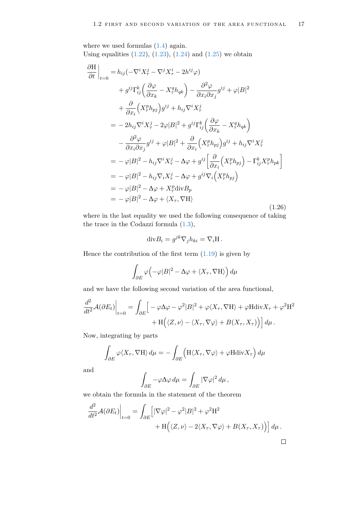where we used formulas  $(1.4)$  again. Using equalities  $(1.22)$ ,  $(1.23)$ ,  $(1.24)$  and  $(1.25)$  we obtain

$$
\frac{\partial \mathbf{H}}{\partial t}\Big|_{t=0} = h_{ij}(-\nabla^i X^j_\tau - \nabla^j X^i_\tau - 2h^{ij}\varphi) \n+ g^{ij}\Gamma^k_{ij} \left(\frac{\partial \varphi}{\partial x_k} - X^q_\tau h_{qk}\right) - \frac{\partial^2 \varphi}{\partial x_i \partial x_j} g^{ij} + \varphi |B|^2 \n+ \frac{\partial}{\partial x_i} \left(X^p_\tau h_{pj}\right) g^{ij} + h_{ij} \nabla^i X^j_\tau \n= - 2h_{ij} \nabla^i X^j_\tau - 2\varphi |B|^2 + g^{ij} \Gamma^k_{ij} \left(\frac{\partial \varphi}{\partial x_k} - X^q_\tau h_{qk}\right) \n- \frac{\partial^2 \varphi}{\partial x_i \partial x_j} g^{ij} + \varphi |B|^2 + \frac{\partial}{\partial x_i} \left(X^p_\tau h_{pj}\right) g^{ij} + h_{ij} \nabla^i X^j_\tau \n= -\varphi |B|^2 - h_{ij} \nabla^i X^j_\tau - \Delta \varphi + g^{ij} \left[\frac{\partial}{\partial x_i} \left(X^p_\tau h_{pj}\right) - \Gamma^k_{ij} X^p_\tau h_{pk}\right] \n= -\varphi |B|^2 - h_{ij} \nabla_i X^j_\tau - \Delta \varphi + g^{ij} \nabla_i \left(X^p_\tau h_{pj}\right) \n= -\varphi |B|^2 - \Delta \varphi + X^p_\tau \text{div} B_p \n= -\varphi |B|^2 - \Delta \varphi + \langle X_\tau, \nabla \mathbf{H} \rangle
$$
\n(1.26)

where in the last equality we used the following consequence of taking the trace in the Codazzi formula [\(1.3\)](#page-8-1),

$$
\mathrm{div} B_i = g^{jk} \nabla_j h_{ki} = \nabla_i \mathbf{H}.
$$

Hence the contribution of the first term  $(1.19)$  is given by

$$
\int_{\partial E} \varphi \Big( -\varphi |B|^2 - \Delta \varphi + \langle X_\tau, \nabla H \rangle \Big) d\mu
$$

and we have the following second variation of the area functional,

$$
\frac{d^2}{dt^2} \mathcal{A}(\partial E_t)\Big|_{t=0} = \int_{\partial E} \Big[ -\varphi \Delta \varphi - \varphi^2 |B|^2 + \varphi \langle X_\tau, \nabla H \rangle + \varphi H \text{div} X_\tau + \varphi^2 H^2 + H \Big( \langle Z, \nu \rangle - \langle X_\tau, \nabla \varphi \rangle + B(X_\tau, X_\tau) \Big) \Big] d\mu.
$$

Now, integrating by parts

$$
\int_{\partial E} \varphi \langle X_{\tau}, \nabla H \rangle \, d\mu = -\int_{\partial E} \Big( H \langle X_{\tau}, \nabla \varphi \rangle + \varphi H \text{div} X_{\tau} \Big) \, d\mu
$$

and

$$
\int_{\partial E} -\varphi \Delta \varphi \, d\mu = \int_{\partial E} |\nabla \varphi|^2 \, d\mu \,,
$$

we obtain the formula in the statement of the theorem

$$
\frac{d^2}{dt^2} \mathcal{A}(\partial E_t)\Big|_{t=0} = \int_{\partial E} \Big[|\nabla \varphi|^2 - \varphi^2 |B|^2 + \varphi^2 H^2 + H\Big(\langle Z, \nu \rangle - 2 \langle X_\tau, \nabla \varphi \rangle + B(X_\tau, X_\tau)\Big)\Big] d\mu.
$$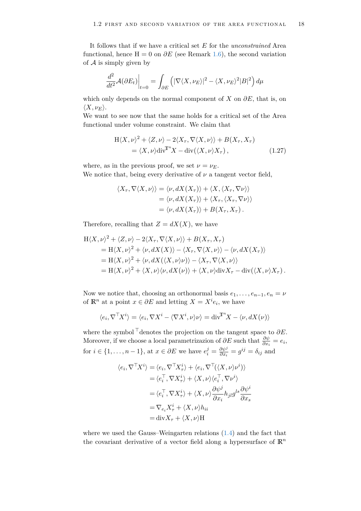It follows that if we have a critical set *E* for the *unconstrained* Area functional, hence  $H = 0$  on  $\partial E$  (see Remark [1.6\)](#page-14-1), the second variation of  $A$  is simply given by

$$
\frac{d^2}{dt^2} \mathcal{A}(\partial E_t)\Big|_{t=0} = \int_{\partial E} \left( |\nabla \langle X, \nu_E \rangle|^2 - \langle X, \nu_E \rangle^2 |B|^2 \right) d\mu
$$

which only depends on the normal component of *X* on *∂E*, that is, on  $\langle X, \nu_E \rangle$ .

We want to see now that the same holds for a critical set of the Area functional under volume constraint. We claim that

<span id="page-19-0"></span>
$$
H\langle X, \nu\rangle^2 + \langle Z, \nu\rangle - 2\langle X_\tau, \nabla\langle X, \nu\rangle\rangle + B(X_\tau, X_\tau)
$$
  
=  $\langle X, \nu\rangle \text{div}^T X - \text{div}(\langle X, \nu\rangle X_\tau),$  (1.27)

where, as in the previous proof, we set  $\nu = \nu_E$ . We notice that, being every derivative of  $\nu$  a tangent vector field,

$$
\langle X_{\tau}, \nabla \langle X, \nu \rangle \rangle = \langle \nu, dX(X_{\tau}) \rangle + \langle X, \langle X_{\tau}, \nabla \nu \rangle \rangle
$$
  
=  $\langle \nu, dX(X_{\tau}) \rangle + \langle X_{\tau}, \langle X_{\tau}, \nabla \nu \rangle \rangle$   
=  $\langle \nu, dX(X_{\tau}) \rangle + B(X_{\tau}, X_{\tau}).$ 

Therefore, recalling that  $Z = dX(X)$ , we have

$$
H\langle X, \nu\rangle^2 + \langle Z, \nu\rangle - 2\langle X_\tau, \nabla\langle X, \nu\rangle\rangle + B(X_\tau, X_\tau)
$$
  
=  $H\langle X, \nu\rangle^2 + \langle \nu, dX(X)\rangle - \langle X_\tau, \nabla\langle X, \nu\rangle\rangle - \langle \nu, dX(X_\tau)\rangle$   
=  $H\langle X, \nu\rangle^2 + \langle \nu, dX(\langle X, \nu\rangle\nu)\rangle - \langle X_\tau, \nabla\langle X, \nu\rangle\rangle$   
=  $H\langle X, \nu\rangle^2 + \langle X, \nu\rangle\langle \nu, dX(\nu)\rangle + \langle X, \nu\rangle \text{div} X_\tau - \text{div}(\langle X, \nu\rangle X_\tau).$ 

Now we notice that, choosing an orthonormal basis  $e_1, \ldots, e_{n-1}, e_n = \nu$ of  $\mathbb{R}^n$  at a point  $x \in \partial E$  and letting  $X = X^i e_i$ , we have

$$
\langle e_i, \nabla^{\top} X^i \rangle = \langle e_i, \nabla X^i - \langle \nabla X^i, \nu \rangle \nu \rangle = \text{div}^{\mathbb{T}^n} X - \langle \nu, dX(\nu) \rangle
$$

where the symbol  $\bar{\dagger}$  denotes the projection on the tangent space to  $\partial E$ . Moreover, if we choose a local parametrizazion of  $\partial E$  such that  $\frac{\partial \psi}{\partial x_i} = e_i$ , for  $i \in \{1, \ldots, n-1\}$ , at  $x \in \partial E$  we have  $e_i^j = \frac{\partial \psi^j}{\partial x_i}$  $\frac{\partial \psi^j}{\partial x_i} = g^{ij} = \delta_{ij}$  and

$$
\langle e_i, \nabla^{\top} X^i \rangle = \langle e_i, \nabla^{\top} X^i_{\tau} \rangle + \langle e_i, \nabla^{\top} (\langle X, \nu \rangle \nu^i) \rangle
$$
  
\n
$$
= \langle e_i^{\top}, \nabla X^i_{\tau} \rangle + \langle X, \nu \rangle \langle e_i^{\top}, \nabla \nu^i \rangle
$$
  
\n
$$
= \langle e_i^{\top}, \nabla X^i_{\tau} \rangle + \langle X, \nu \rangle \frac{\partial \psi^j}{\partial x_i} h_{jl} g^{ls} \frac{\partial \psi^i}{\partial x_s}
$$
  
\n
$$
= \nabla_{e_i} X^i_{\tau} + \langle X, \nu \rangle h_{ii}
$$
  
\n
$$
= \text{div} X_{\tau} + \langle X, \nu \rangle H
$$

where we used the Gauss–Weingarten relations [\(1.4\)](#page-9-0) and the fact that the covariant derivative of a vector field along a hypersurface of  $\mathbb{R}^n$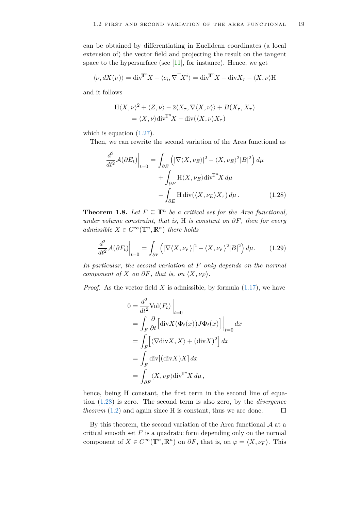can be obtained by differentiating in Euclidean coordinates (a local extension of) the vector field and projecting the result on the tangent space to the hypersurface (see  $[11]$ , for instance). Hence, we get

$$
\langle \nu, dX(\nu) \rangle = \text{div}^{\mathbb{T}^n} X - \langle e_i, \nabla^{\mathbb{T}} X^i \rangle = \text{div}^{\mathbb{T}^n} X - \text{div} X_{\tau} - \langle X, \nu \rangle \mathcal{H}
$$

and it follows

$$
H\langle X,\nu\rangle^2 + \langle Z,\nu\rangle - 2\langle X_\tau,\nabla\langle X,\nu\rangle\rangle + B(X_\tau,X_\tau)
$$
  
=  $\langle X,\nu\rangle \text{div}^{\mathbb{T}^n} X - \text{div}(\langle X,\nu\rangle X_\tau)$ 

which is equation  $(1.27)$ .

Then, we can rewrite the second variation of the Area functional as

<span id="page-20-0"></span>
$$
\frac{d^2}{dt^2} \mathcal{A}(\partial E_t) \Big|_{t=0} = \int_{\partial E} \left( |\nabla \langle X, \nu_E \rangle|^2 - \langle X, \nu_E \rangle^2 |B|^2 \right) d\mu \n+ \int_{\partial E} \mathcal{H} \langle X, \nu_E \rangle \text{div}^{\mathbb{T}^n} X d\mu \n- \int_{\partial E} \mathcal{H} \text{div}(\langle X, \nu_E \rangle X_\tau) d\mu.
$$
\n(1.28)

**Theorem 1.8.** *Let*  $F \subseteq \mathbb{T}^n$  *be a critical set for the Area functional, under volume constraint, that is,* H *is constant on ∂F, then for every admissible*  $X \in C^{\infty}(\mathbb{T}^n, \mathbb{R}^n)$  *there holds* 

$$
\frac{d^2}{dt^2} \mathcal{A}(\partial F_t)\Big|_{t=0} = \int_{\partial F} \left( |\nabla \langle X, \nu_F \rangle|^2 - \langle X, \nu_F \rangle^2 |B|^2 \right) d\mu. \tag{1.29}
$$

*In particular, the second variation at F only depends on the normal component of X on*  $\partial F$ *, that is, on*  $\langle X, \nu_F \rangle$ *.* 

*Proof.* As the vector field *X* is admissible, by formula  $(1.17)$ , we have

<span id="page-20-1"></span>
$$
0 = \frac{d^2}{dt^2} \text{Vol}(F_t) \Big|_{t=0}
$$
  
=  $\int_F \frac{\partial}{\partial t} \Big[ \text{div} X(\Phi_t(x)) J \Phi_t(x) \Big] \Big|_{t=0} dx$   
=  $\int_F \Big[ \langle \nabla \text{div} X, X \rangle + (\text{div} X)^2 \Big] dx$   
=  $\int_F \text{div}[(\text{div} X) X] dx$   
=  $\int_{\partial F} \langle X, \nu_F \rangle \text{div}^T X d\mu,$ 

hence, being H constant, the first term in the second line of equation [\(1.28\)](#page-20-0) is zero. The second term is also zero, by the *divergence theorem*  $(1.2)$  and again since H is constant, thus we are done.  $\Box$ 

By this theorem, the second variation of the Area functional  $A$  at a critical smooth set  $F$  is a quadratic form depending only on the normal component of  $X \in C^{\infty}(\mathbb{T}^n, \mathbb{R}^n)$  on  $\partial F$ , that is, on  $\varphi = \langle X, \nu_F \rangle$ . This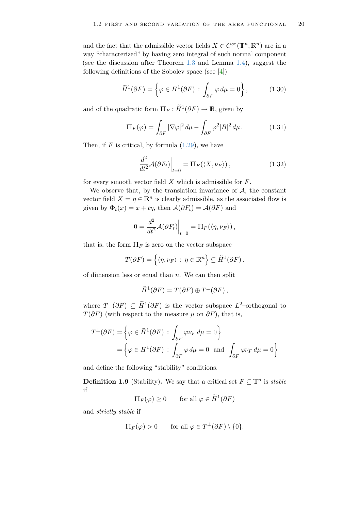and the fact that the admissible vector fields  $X \in C^{\infty}(\mathbb{T}^n, \mathbb{R}^n)$  are in a way "characterized" by having zero integral of such normal component (see the discussion after Theorem [1.3](#page-11-1) and Lemma [1.4\)](#page-13-2), suggest the following definitions of the Sobolev space (see [\[4\]](#page-79-6))

$$
\widetilde{H}^1(\partial F) = \left\{ \varphi \in H^1(\partial F) \, : \, \int_{\partial F} \varphi \, d\mu = 0 \right\},\tag{1.30}
$$

and of the quadratic form  $\Pi_F : \widetilde{H}^1(\partial F) \to \mathbb{R}$ , given by

$$
\Pi_F(\varphi) = \int_{\partial F} |\nabla \varphi|^2 \, d\mu - \int_{\partial F} \varphi^2 |B|^2 \, d\mu. \tag{1.31}
$$

Then, if  $F$  is critical, by formula  $(1.29)$ , we have

<span id="page-21-0"></span>
$$
\left. \frac{d^2}{dt^2} \mathcal{A}(\partial F_t) \right|_{t=0} = \Pi_F(\langle X, \nu_F \rangle), \tag{1.32}
$$

for every smooth vector field *X* which is admissible for *F*.

We observe that, by the translation invariance of  $A$ , the constant vector field  $X = \eta \in \mathbb{R}^n$  is clearly admissible, as the associated flow is given by  $\Phi_t(x) = x + t\eta$ , then  $\mathcal{A}(\partial F_t) = \mathcal{A}(\partial F)$  and

$$
0 = \frac{d^2}{dt^2} \mathcal{A}(\partial F_t)\Big|_{t=0} = \Pi_F(\langle \eta, \nu_F \rangle),
$$

that is, the form  $\Pi_F$  is zero on the vector subspace

$$
T(\partial F) = \{ \langle \eta, \nu_F \rangle : \eta \in \mathbb{R}^n \} \subseteq \widetilde{H}^1(\partial F).
$$

of dimension less or equal than *n*. We can then split

$$
\widetilde{H}^1(\partial F) = T(\partial F) \oplus T^{\perp}(\partial F),
$$

where  $T^{\perp}(\partial F) \subseteq \widetilde{H}^1(\partial F)$  is the vector subspace  $L^2$ -orthogonal to *T*( $\partial F$ ) (with respect to the measure  $\mu$  on  $\partial F$ ), that is,

$$
T^{\perp}(\partial F) = \left\{ \varphi \in \widetilde{H}^1(\partial F) : \int_{\partial F} \varphi \nu_F d\mu = 0 \right\}
$$
  
= 
$$
\left\{ \varphi \in H^1(\partial F) : \int_{\partial F} \varphi d\mu = 0 \text{ and } \int_{\partial F} \varphi \nu_F d\mu = 0 \right\}
$$

and define the following "stability" conditions.

<span id="page-21-1"></span>**Definition 1.9** (Stability). We say that a critical set  $F \subseteq \mathbb{T}^n$  is *stable* if

 $\Pi_F(\varphi) \ge 0$  for all  $\varphi \in \widetilde{H}^1(\partial F)$ 

and *strictly stable* if

$$
\Pi_F(\varphi) > 0 \quad \text{for all } \varphi \in T^{\perp}(\partial F) \setminus \{0\}.
$$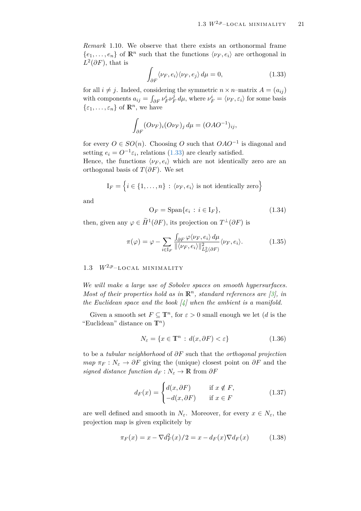<span id="page-22-3"></span>*Remark* 1.10*.* We observe that there exists an orthonormal frame  ${e_1, \ldots, e_n}$  of  $\mathbb{R}^n$  such that the functions  $\langle \nu_F, e_i \rangle$  are orthogonal in  $L^2(\partial F)$ , that is

<span id="page-22-2"></span>
$$
\int_{\partial F} \langle \nu_F, e_i \rangle \langle \nu_F, e_j \rangle \, d\mu = 0,\tag{1.33}
$$

for all  $i \neq j$ . Indeed, considering the symmetric  $n \times n$ –matrix  $A = (a_{ij})$ with components  $a_{ij} = \int_{\partial F} v_F^i v_F^j$  $\frac{d}{dF}d\mu$ , where  $\nu_F^i = \langle \nu_F, \varepsilon_i \rangle$  for some basis  $\{\varepsilon_1, \ldots, \varepsilon_n\}$  of  $\mathbb{R}^n$ , we have

$$
\int_{\partial F} (O\nu_F)_i (O\nu_F)_j \, d\mu = (OAO^{-1})_{ij},
$$

for every  $O \in SO(n)$ . Choosing *O* such that  $OAO^{-1}$  is diagonal and setting  $e_i = O^{-1} \varepsilon_i$ , relations [\(1.33\)](#page-22-2) are clearly satisfied.

Hence, the functions  $\langle \nu_F, e_i \rangle$  which are not identically zero are an orthogonal basis of  $T(\partial F)$ . We set

$$
I_F = \{i \in \{1, ..., n\} : \langle \nu_F, e_i \rangle \text{ is not identically zero}\}
$$

and

$$
\mathcal{O}_F = \text{Span}\{e_i : i \in \mathcal{I}_F\},\tag{1.34}
$$

then, given any  $\varphi \in \widetilde{H}^1(\partial F)$ , its projection on  $T^{\perp}(\partial F)$  is

$$
\pi(\varphi) = \varphi - \sum_{i \in I_F} \frac{\int_{\partial F} \varphi \langle \nu_F, e_i \rangle d\mu}{\|\langle \nu_F, e_i \rangle\|_{L^2_{\mu}(\partial F)}^2} \langle \nu_F, e_i \rangle.
$$
 (1.35)

## <span id="page-22-0"></span>1.3  $W^{2,p}$ -LOCAL MINIMALITY

*We will make a large use of Sobolev spaces on smooth hypersurfaces. Most of their properties hold as in*  $\mathbb{R}^n$ , *standard references are* [\[3\]](#page-79-7), *in the Euclidean space and the book [\[4\]](#page-79-6) when the ambient is a manifold.*

Given a smooth set  $F \subseteq \mathbb{T}^n$ , for  $\varepsilon > 0$  small enough we let (*d* is the "Euclidean" distance on  $\mathbb{T}^n$ )

<span id="page-22-1"></span>
$$
N_{\varepsilon} = \{ x \in \mathbb{T}^n : d(x, \partial F) < \varepsilon \} \tag{1.36}
$$

to be a *tubular neighborhood* of *∂F* such that the *orthogonal projection map*  $\pi_F : N_{\varepsilon} \to \partial F$  giving the (unique) closest point on  $\partial F$  and the *signed distance function*  $d_F : N_{\varepsilon} \to \mathbb{R}$  from  $\partial F$ 

<span id="page-22-4"></span>
$$
d_F(x) = \begin{cases} d(x, \partial F) & \text{if } x \notin F, \\ -d(x, \partial F) & \text{if } x \in F \end{cases}
$$
 (1.37)

are well defined and smooth in  $N_{\varepsilon}$ . Moreover, for every  $x \in N_{\varepsilon}$ , the projection map is given explicitely by

$$
\pi_F(x) = x - \nabla d_F^2(x)/2 = x - d_F(x)\nabla d_F(x)
$$
\n(1.38)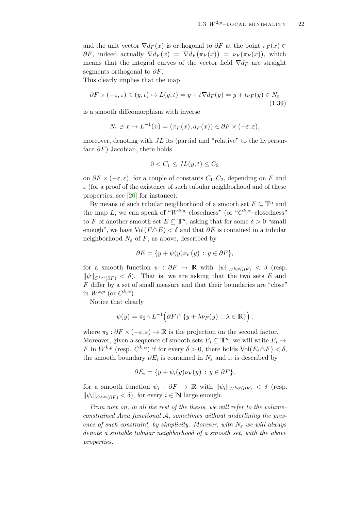and the unit vector  $\nabla d_F(x)$  is orthogonal to  $\partial F$  at the point  $\pi_F(x) \in$  $\partial F$ , indeed actually  $\nabla d_F(x) = \nabla d_F(\pi_F(x)) = \nu_F(\pi_F(x))$ , which means that the integral curves of the vector field  $\nabla d_F$  are straight segments orthogonal to *∂F*.

This clearly implies that the map

$$
\partial F \times (-\varepsilon, \varepsilon) \ni (y, t) \mapsto L(y, t) = y + t \nabla d_F(y) = y + t \nu_F(y) \in N_{\varepsilon}
$$
\n(1.39)

is a smooth diffeomorphism with inverse

$$
N_{\varepsilon} \ni x \mapsto L^{-1}(x) = (\pi_F(x), d_F(x)) \in \partial F \times (-\varepsilon, \varepsilon),
$$

moreover, denoting with *JL* its (partial and "relative" to the hypersurface *∂F*) Jacobian, there holds

<span id="page-23-0"></span>
$$
0 < C_1 \leq JL(y, t) \leq C_2
$$

on  $\partial F \times (-\varepsilon, \varepsilon)$ , for a couple of constants  $C_1, C_2$ , depending on  $F$  and  $\varepsilon$  (for a proof of the existence of such tubular neighborhood and of these properties, see [\[20\]](#page-80-8) for instance).

By means of such tubular neighborhood of a smooth set  $F \subseteq \mathbb{T}^n$  and the map *L*, we can speak of " $W^{k,p}$ -closedness" (or " $C^{k,\alpha}$ -closedness" to *F* of another smooth set  $E \subseteq \mathbb{T}^n$ , asking that for some  $\delta > 0$  "small enough", we have  $Vol(F \triangle E) < \delta$  and that  $\partial E$  is contained in a tubular neighborhood  $N_{\varepsilon}$  of  $F$ , as above, described by

$$
\partial E = \{ y + \psi(y)\nu_F(y) : y \in \partial F \},\
$$

for a smooth function  $\psi$  :  $\partial F \to \mathbb{R}$  with  $\|\psi\|_{W^{k,p}(\partial F)} < \delta$  (resp.  $\|\psi\|_{C^{k,\alpha}(\partial F)} < \delta$ . That is, we are asking that the two sets *E* and *F* differ by a set of small measure and that their boundaries are "close" in  $W^{k,p}$  (or  $C^{k,\alpha}$ ).

Notice that clearly

$$
\psi(y) = \pi_2 \circ L^{-1} \Big( \partial F \cap \{y + \lambda \nu_F(y) : \lambda \in \mathbb{R} \} \Big),
$$

where  $\pi_2 : \partial F \times (-\varepsilon, \varepsilon) \to \mathbb{R}$  is the projection on the second factor. Moreover, given a sequence of smooth sets  $E_i \subseteq \mathbb{T}^n$ , we will write  $E_i \to$ *F* in  $W^{k,p}$  (resp.  $C^{k,\alpha}$ ) if for every  $\delta > 0$ , there holds  $Vol(E_i \triangle F) < \delta$ , the smooth boundary  $\partial E_i$  is contained in  $N_\varepsilon$  and it is described by

$$
\partial E_i = \{ y + \psi_i(y)\nu_F(y) : y \in \partial F \},\
$$

for a smooth function  $\psi_i$ :  $\partial F \to \mathbb{R}$  with  $\|\psi_i\|_{W^{k,p}(\partial F)} < \delta$  (resp.  $\|\psi_i\|_{C^{k,\alpha}(\partial F)} < \delta$ , for every  $i \in \mathbb{N}$  large enough.

*From now on, in all the rest of the thesis, we will refer to the volume– constrained Area functional* A*, sometimes without underlining the presence of such constraint, by simplicity. Morever, with*  $N_{\varepsilon}$  *we will always denote a suitable tubular neighborhood of a smooth set, with the above properties.*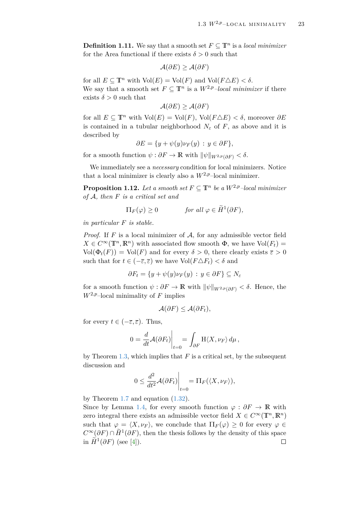<span id="page-24-0"></span>**Definition 1.11.** We say that a smooth set  $F \subseteq \mathbb{T}^n$  is a *local minimizer* for the Area functional if there exists  $\delta > 0$  such that

$$
\mathcal{A}(\partial E) \ge \mathcal{A}(\partial F)
$$

for all  $E \subset \mathbb{T}^n$  with  $\text{Vol}(E) = \text{Vol}(F)$  and  $\text{Vol}(F \triangle E) < \delta$ . We say that a smooth set  $F \subseteq \mathbb{T}^n$  is a  $W^{2,p}$ *-local minimizer* if there exists  $\delta > 0$  such that

$$
\mathcal{A}(\partial E) \ge \mathcal{A}(\partial F)
$$

for all  $E \subseteq \mathbb{T}^n$  with  $\text{Vol}(E) = \text{Vol}(F)$ ,  $\text{Vol}(F \triangle E) < \delta$ , moreover  $\partial E$ is contained in a tubular neighborhood  $N_{\varepsilon}$  of  $F$ , as above and it is described by

$$
\partial E = \{ y + \psi(y)\nu_F(y) : y \in \partial F \},\
$$

for a smooth function  $\psi : \partial F \to \mathbb{R}$  with  $\|\psi\|_{W^{2,p}(\partial F)} < \delta$ .

We immediately see a *necessary* condition for local minimizers. Notice that a local minimizer is clearly also a  $W^{2,p}$ –local minimizer.

**Proposition 1.12.** Let a smooth set  $F \subseteq \mathbb{T}^n$  be a  $W^{2,p}$ -local minimizer *of* A*, then F is a critical set and*

$$
\Pi_F(\varphi) \ge 0 \qquad \text{for all } \varphi \in \widetilde{H}^1(\partial F),
$$

*in particular F is stable.*

*Proof.* If  $F$  is a local minimizer of  $A$ , for any admissible vector field  $X \in C^{\infty}(\mathbb{T}^n, \mathbb{R}^n)$  with associated flow smooth  $\Phi$ , we have  $\text{Vol}(F_t)$  =  $Vol(\Phi_t(F)) = Vol(F)$  and for every  $\delta > 0$ , there clearly exists  $\overline{\epsilon} > 0$ such that for  $t \in (-\overline{\varepsilon}, \overline{\varepsilon})$  we have  $\text{Vol}(F \triangle F_t) < \delta$  and

$$
\partial F_t = \{ y + \psi(y)\nu_F(y) \, : \, y \in \partial F \} \subseteq N_\varepsilon
$$

for a smooth function  $\psi : \partial F \to \mathbb{R}$  with  $\|\psi\|_{W^{2,p}(\partial F)} < \delta$ . Hence, the  $W^{2,p}$ –local minimality of *F* implies

$$
\mathcal{A}(\partial F) \leq \mathcal{A}(\partial F_t),
$$

for every  $t \in (-\overline{\varepsilon}, \overline{\varepsilon})$ . Thus,

$$
0 = \frac{d}{dt} \mathcal{A}(\partial F_t)\bigg|_{t=0} = \int_{\partial F} \mathcal{H}\langle X,\nu_F\rangle d\mu,
$$

by Theorem [1.3,](#page-11-1) which implies that  $F$  is a critical set, by the subsequent discussion and

$$
0 \le \frac{d^2}{dt^2} \mathcal{A}(\partial F_t)\Big|_{t=0} = \Pi_F(\langle X, \nu_F \rangle),
$$

by Theorem [1.7](#page-14-2) and equation [\(1.32\)](#page-21-0).

Since by Lemma [1.4,](#page-13-2) for every smooth function  $\varphi : \partial F \to \mathbb{R}$  with zero integral there exists an admissible vector field  $X \in C^{\infty}(\mathbb{T}^n, \mathbb{R}^n)$ such that  $\varphi = \langle X, \nu_F \rangle$ , we conclude that  $\Pi_F(\varphi) \geq 0$  for every  $\varphi \in$  $C^{\infty}(\partial F) \cap \widetilde{H}^{1}(\partial F)$ , then the thesis follows by the density of this space in  $\widetilde{H}^1(\partial F)$  (see [\[4\]](#page-79-6)).  $\Box$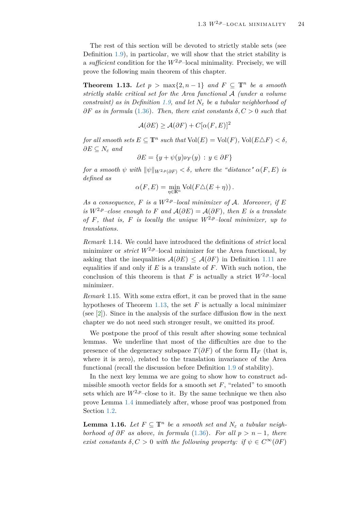The rest of this section will be devoted to strictly stable sets (see Definition [1.9\)](#page-21-1), in particolar, we will show that the strict stability is a *sufficient* condition for the  $W^{2,p}$ –local minimality. Precisely, we will prove the following main theorem of this chapter.

<span id="page-25-1"></span>**Theorem 1.13.** *Let*  $p > max\{2, n-1\}$  *and*  $F \subseteq \mathbb{T}^n$  *be a smooth strictly stable critical set for the Area functional* A *(under a volume constraint)* as in Definition [1.9,](#page-21-1) and let  $N_{\varepsilon}$  be a tubular neighborhood of  $\partial F$  *as in formula* [\(1.36\)](#page-22-1). Then, there exist constants  $\delta, C > 0$  such that

$$
\mathcal{A}(\partial E) \ge \mathcal{A}(\partial F) + C[\alpha(F, E)]^2
$$

*for all smooth sets*  $E \subseteq \mathbb{T}^n$  *such that*  $\text{Vol}(E) = \text{Vol}(F)$ ,  $\text{Vol}(E \Delta F) < \delta$ ,  $∂E ⊆ N<sub>ε</sub>$  *and* 

$$
\partial E = \{ y + \psi(y)\nu_F(y) \, : \, y \in \partial F \}
$$

*for a smooth*  $\psi$  *with*  $\|\psi\|_{W^{2,p}(\partial F)} < \delta$ , *where the "distance"*  $\alpha(F, E)$  *is defined as*

$$
\alpha(F, E) = \min_{\eta \in \mathbb{R}^n} \text{Vol}(F \triangle (E + \eta)).
$$

As a consequence, F is a  $W^{2,p}$ -local minimizer of A. Moreover, if E *is*  $W^{2,p}$ –close enough to F and  $\mathcal{A}(\partial E) = \mathcal{A}(\partial F)$ , then E is a translate *of*  $F$ *, that is,*  $F$  *is locally the unique*  $W^{2,p}$ *–local minimizer, up to translations.*

*Remark* 1.14*.* We could have introduced the definitions of *strict* local minimizer or *strict*  $W^{2,p}$ –local minimizer for the Area functional, by asking that the inequalities  $\mathcal{A}(\partial E) \leq \mathcal{A}(\partial F)$  in Definition [1.11](#page-24-0) are equalities if and only if  $E$  is a translate of  $F$ . With such notion, the conclusion of this theorem is that *F* is actually a strict  $W^{2,p}$ –local minimizer.

*Remark* 1.15*.* With some extra effort, it can be proved that in the same hypotheses of Theorem [1.13,](#page-25-1) the set  $F$  is actually a local minimizer (see [\[2\]](#page-79-3)). Since in the analysis of the surface diffusion flow in the next chapter we do not need such stronger result, we omitted its proof.

We postpone the proof of this result after showing some technical lemmas. We underline that most of the difficulties are due to the presence of the degeneracy subspace  $T(\partial F)$  of the form  $\Pi_F$  (that is, where it is zero), related to the translation invariance of the Area functional (recall the discussion before Definition [1.9](#page-21-1) of stability).

In the next key lemma we are going to show how to construct admissible smooth vector fields for a smooth set  $F$ , "related" to smooth sets which are  $W^{2,p}$ –close to it. By the same technique we then also prove Lemma [1.4](#page-13-2) immediately after, whose proof was postponed from Section [1.2.](#page-10-0)

<span id="page-25-0"></span>**Lemma 1.16.** *Let*  $F \subseteq \mathbb{T}^n$  *be a smooth set and*  $N_{\varepsilon}$  *a tubular neighborhood of*  $\partial F$  *as above, in formula* [\(1.36\)](#page-22-1)*. For all*  $p > n - 1$ *, there exist constants*  $\delta, C > 0$  *with the following property: if*  $\psi \in C^{\infty}(\partial F)$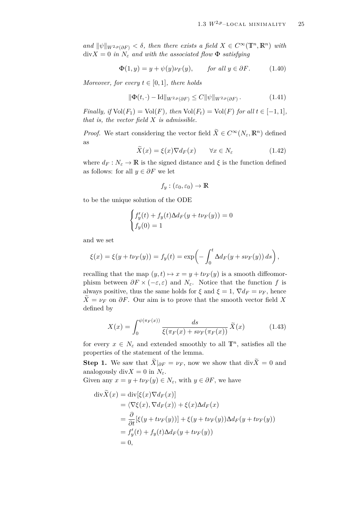$\int$  *and*  $\|\psi\|_{W^{2,p}(\partial F)} < \delta$ , then there exists a field  $X \in C^{\infty}(\mathbb{T}^n, \mathbb{R}^n)$  with  $\text{div}X = 0$  *in*  $N_{\varepsilon}$  *and with the associated flow*  $\Phi$  *satisfying* 

$$
\Phi(1, y) = y + \psi(y)\nu_F(y), \quad \text{for all } y \in \partial F. \tag{1.40}
$$

*Moreover, for every*  $t \in [0, 1]$ *, there holds* 

<span id="page-26-1"></span><span id="page-26-0"></span>
$$
\|\Phi(t,\cdot) - \mathrm{Id}\|_{W^{2,p}(\partial F)} \le C \|\psi\|_{W^{2,p}(\partial F)}.
$$
\n(1.41)

*Finally, if*  $Vol(F_1) = Vol(F)$ *, then*  $Vol(F_t) = Vol(F)$  *for all*  $t \in [-1,1]$ *, that is, the vector field X is admissible.*

*Proof.* We start considering the vector field  $\tilde{X} \in C^{\infty}(N_{\varepsilon}, \mathbb{R}^n)$  defined as

$$
\widetilde{X}(x) = \xi(x)\nabla d_F(x) \qquad \forall x \in N_{\varepsilon} \tag{1.42}
$$

where  $d_F: N_{\varepsilon} \to \mathbb{R}$  is the signed distance and  $\xi$  is the function defined as follows: for all  $y \in \partial F$  we let

<span id="page-26-3"></span>
$$
f_y : (\varepsilon_0, \varepsilon_0) \to \mathbb{R}
$$

to be the unique solution of the ODE

$$
\begin{cases} f'_y(t) + f_y(t)\Delta d_F(y + t\nu_F(y)) = 0\\ f_y(0) = 1 \end{cases}
$$

and we set

$$
\xi(x) = \xi(y + t\nu_F(y)) = f_y(t) = \exp\left(-\int_0^t \Delta d_F(y + s\nu_F(y)) ds\right),
$$

recalling that the map  $(y, t) \mapsto x = y + t\nu_F(y)$  is a smooth diffeomorphism between  $\partial F \times (-\varepsilon, \varepsilon)$  and  $N_{\varepsilon}$ . Notice that the function f is always positive, thus the same holds for  $\xi$  and  $\xi = 1$ ,  $\nabla d_F = \nu_F$ , hence  $X = \nu_F$  on  $\partial F$ . Our aim is to prove that the smooth vector field X defined by

<span id="page-26-2"></span>
$$
X(x) = \int_0^{\psi(\pi_F(x))} \frac{ds}{\xi(\pi_F(x) + s\nu_F(\pi_F(x)))} \tilde{X}(x)
$$
 (1.43)

for every  $x \in N_{\varepsilon}$  and extended smoothly to all  $\mathbb{T}^n$ , satisfies all the properties of the statement of the lemma.

**Step 1.** We saw that  $\widetilde{X}|_{\partial F} = \nu_F$ , now we show that div $\widetilde{X} = 0$  and analogously div $X = 0$  in  $N_{\varepsilon}$ .

Given any  $x = y + t\nu_F(y) \in N_\varepsilon$ , with  $y \in \partial F$ , we have

$$
\begin{aligned}\n\text{div}\tilde{X}(x) &= \text{div}[\xi(x)\nabla d_F(x)] \\
&= \langle \nabla \xi(x), \nabla d_F(x) \rangle + \xi(x)\Delta d_F(x) \\
&= \frac{\partial}{\partial t} [\xi(y + t\nu_F(y))] + \xi(y + t\nu_F(y))\Delta d_F(y + t\nu_F(y)) \\
&= f'_y(t) + f_y(t)\Delta d_F(y + t\nu_F(y)) \\
&= 0,\n\end{aligned}
$$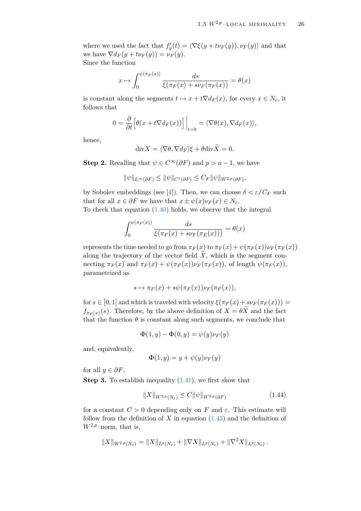where we used the fact that  $f'_y(t) = \langle \nabla \xi(y + t \nu_F(y)), \nu_F(y) \rangle$  and that we have  $\nabla d_F(y + t\nu_F(y)) = \nu_F(y)$ . Since the function

$$
x \mapsto \int_0^{\psi(\pi_F(x))} \frac{ds}{\xi(\pi_F(x) + s\nu_F(\pi_F(x))} = \theta(x)
$$

is constant along the segments  $t \mapsto x + t \nabla d_F(x)$ , for every  $x \in N_{\varepsilon}$ , it follows that

$$
0 = \frac{\partial}{\partial t} \Big[ \theta(x + t \nabla d_F(x)) \Big] \Big|_{t=0} = \langle \nabla \theta(x), \nabla d_F(x) \rangle,
$$

hence,

$$
\mathrm{div}X = \langle \nabla \theta, \nabla d_F \rangle \xi + \theta \mathrm{div}\tilde{X} = 0.
$$

**Step 2.** Recalling that  $\psi \in C^{\infty}(\partial F)$  and  $p > n - 1$ , we have

$$
\|\psi\|_{L^{\infty}(\partial F)} \le \|\psi\|_{C^1(\partial F)} \le C_F \|\psi\|_{W^{2,p}(\partial F)},
$$

by Sobolev embeddings (see [\[4\]](#page-79-6)). Then, we can choose  $\delta < \varepsilon / C_F$  such that for all  $x \in \partial F$  we have that  $x \pm \psi(x)\nu_F(x) \in N_{\varepsilon}$ . To check that equation [\(1.40\)](#page-26-0) holds, we observe that the integral

$$
\int_0^{\psi(\pi_F(x))} \frac{ds}{\xi(\pi_F(x) + s\nu_F(\pi_E(x)))} = \theta(x)
$$

represents the time needed to go from  $\pi_F(x)$  to  $\pi_F(x) + \psi(\pi_F(x))\nu_F(\pi_F(x))$ along the trajectory of the vector field  $\tilde{X}$ , which is the segment connecting  $\pi_F(x)$  and  $\pi_F(x) + \psi(\pi_F(x))\nu_F(\pi_F(x))$ , of length  $\psi(\pi_F(x))$ , parametrized as

$$
s \mapsto \pi_F(x) + s\psi(\pi_F(x))\nu_F(\pi_F(x)),
$$

for  $s \in [0, 1]$  and which is traveled with velocity  $\xi(\pi_F(x) + s\nu_F(\pi_F(x))) =$  $f_{\pi_F(x)}(s)$ . Therefore, by the above definition of  $X = \theta X$  and the fact that the function  $\theta$  is constant along such segments, we conclude that

$$
\Phi(1,y) - \Phi(0,y) = \psi(y)\nu_F(y)
$$

and, equivalently,

$$
\Phi(1, y) = y + \psi(y)\nu_F(y)
$$

for all  $y \in \partial F$ .

**Step 3.** To establish inequality [\(1.41\)](#page-26-1), we first show that

<span id="page-27-0"></span>
$$
||X||_{W^{2,p}(N_{\varepsilon})} \leq C ||\psi||_{W^{2,p}(\partial F)} \tag{1.44}
$$

for a constant  $C > 0$  depending only on *F* and  $\varepsilon$ . This estimate will follow from the definition of  $X$  in equation  $(1.43)$  and the definition of  $W^{2,p}$ –norm, that is,

$$
||X||_{W^{2,p}(N_{\varepsilon})} = ||X||_{L^p(N_{\varepsilon})} + ||\nabla X||_{L^p(N_{\varepsilon})} + ||\nabla^2 X||_{L^p(N_{\varepsilon})}.
$$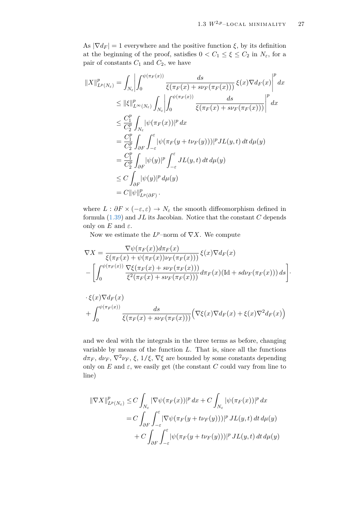As  $|\nabla d_F| = 1$  everywhere and the positive function  $\xi$ , by its definition at the beginning of the proof, satisfies  $0 < C_1 \leq \xi \leq C_2$  in  $N_{\varepsilon}$ , for a pair of constants  $C_1$  and  $C_2$ , we have

$$
||X||_{L^{p}(N_{\varepsilon})}^{p} = \int_{N_{\varepsilon}} \left| \int_{0}^{\psi(\pi_{F}(x))} \frac{ds}{\xi(\pi_{F}(x) + s\nu_{F}(\pi_{F}(x)))} \xi(x) \nabla d_{F}(x) \right|^{p} dx
$$
  
\n
$$
\leq ||\xi||_{L^{\infty}(N_{\varepsilon})}^{p} \int_{N_{\varepsilon}} \left| \int_{0}^{\psi(\pi_{F}(x))} \frac{ds}{\xi(\pi_{F}(x) + s\nu_{F}(\pi_{F}(x)))} \right|^{p} dx
$$
  
\n
$$
\leq \frac{C_{1}^{p}}{C_{2}^{p}} \int_{N_{\varepsilon}} |\psi(\pi_{F}(x))|^{p} dx
$$
  
\n
$$
= \frac{C_{1}^{p}}{C_{2}^{p}} \int_{\partial F} \int_{-\varepsilon}^{\varepsilon} |\psi(\pi_{F}(y + t\nu_{F}(y)))|^{p} JL(y, t) dt d\mu(y)
$$
  
\n
$$
= \frac{C_{1}^{p}}{C_{2}^{p}} \int_{\partial F} |\psi(y)|^{p} \int_{-\varepsilon}^{\varepsilon} JL(y, t) dt d\mu(y)
$$
  
\n
$$
\leq C \int_{\partial F} |\psi(y)|^{p} d\mu(y)
$$
  
\n
$$
= C ||\psi||_{L^{p}(\partial F)}^{p}.
$$

where  $L : \partial F \times (-\varepsilon, \varepsilon) \to N_{\varepsilon}$  the smooth diffeomorphism defined in formula [\(1.39\)](#page-23-0) and *JL* its Jacobian. Notice that the constant *C* depends only on  $E$  and  $\varepsilon$ .

Now we estimate the  $L^p$ –norm of  $\nabla X$ . We compute

$$
\nabla X = \frac{\nabla \psi(\pi_F(x)) d\pi_F(x)}{\xi(\pi_F(x) + \psi(\pi_F(x)))\nu_F(\pi_F(x)))} \xi(x) \nabla d_F(x)
$$

$$
- \left[ \int_0^{\psi(\pi_F(x))} \frac{\nabla \xi(\pi_F(x) + s\nu_F(\pi_F(x)))}{\xi^2(\pi_F(x) + s\nu_F(\pi_F(x)))} d\pi_F(x) (\text{Id} + s d\nu_F(\pi_F(x))) ds \right].
$$

$$
\cdot \xi(x)\nabla d_F(x) + \int_0^{\psi(\pi_F(x))} \frac{ds}{\xi(\pi_F(x) + s\nu_F(\pi_F(x)))} \Big( \nabla \xi(x) \nabla d_F(x) + \xi(x) \nabla^2 d_F(x) \Big)
$$

and we deal with the integrals in the three terms as before, changing variable by means of the function *L*. That is, since all the functions  $d\pi_F$ ,  $d\nu_F$ ,  $\nabla^2 \nu_F$ ,  $\xi$ ,  $1/\xi$ ,  $\nabla \xi$  are bounded by some constants depending only on  $E$  and  $\varepsilon$ , we easily get (the constant  $C$  could vary from line to line)

$$
\begin{aligned} \|\nabla X\|_{L^p(N_\varepsilon)}^p &\leq C \int_{N_\varepsilon} |\nabla \psi(\pi_F(x))|^p \, dx + C \int_{N_\varepsilon} |\psi(\pi_F(x))|^p \, dx \\ &= C \int_{\partial F} \int_{-\varepsilon}^\varepsilon |\nabla \psi(\pi_F(y + t\nu_F(y)))|^p \, JL(y, t) \, dt \, d\mu(y) \\ &+ C \int_{\partial F} \int_{-\varepsilon}^\varepsilon |\psi(\pi_F(y + t\nu_F(y)))|^p \, JL(y, t) \, dt \, d\mu(y) \end{aligned}
$$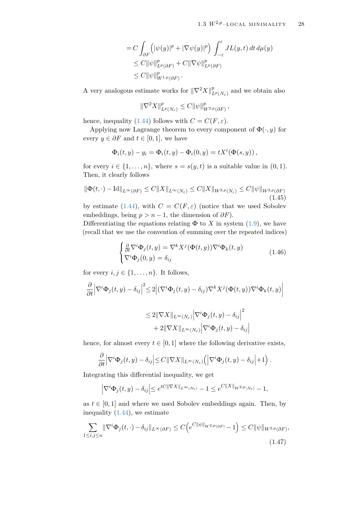$$
= C \int_{\partial F} \left( |\psi(y)|^p + |\nabla \psi(y)|^p \right) \int_{-\varepsilon}^{\varepsilon} JL(y, t) dt d\mu(y)
$$
  
\n
$$
\leq C ||\psi||_{L^p(\partial F)}^p + C ||\nabla \psi||_{L^p(\partial F)}^p
$$
  
\n
$$
\leq C ||\psi||_{W^{1,p}(\partial F)}^p.
$$

A very analogous estimate works for  $\|\nabla^2 X\|_I^p$  $L^p(N_\varepsilon)$  and we obtain also

<span id="page-29-2"></span>
$$
\|\nabla^2 X\|_{L^p(N_\varepsilon)}^p \leq C \|\psi\|_{W^{2,p}(\partial F)}^p,
$$

hence, inequality [\(1.44\)](#page-27-0) follows with  $C = C(F, \varepsilon)$ .

Applying now Lagrange theorem to every component of  $\Phi(\cdot, y)$  for every  $y \in \partial F$  and  $t \in [0,1]$ , we have

$$
\Phi_i(t,y) - y_i = \Phi_i(t,y) - \Phi_i(0,y) = tX^i(\Phi(s,y)),
$$

for every  $i \in \{1, \ldots, n\}$ , where  $s = s(y, t)$  is a suitable value in  $(0, 1)$ . Then, it clearly follows

$$
\|\Phi(t,\cdot) - \mathrm{Id}\|_{L^{\infty}(\partial F)} \le C\|X\|_{L^{\infty}(N_{\varepsilon})} \le C\|X\|_{W^{2,p}(N_{\varepsilon})} \le C\|\psi\|_{W^{2,p}(\partial F)}
$$
(1.45)

by estimate [\(1.44\)](#page-27-0), with  $C = C(F, \varepsilon)$  (notice that we used Sobolev embeddings, being  $p > n - 1$ , the dimension of  $\partial F$ ).

Differentiating the equations relating  $\Phi$  to *X* in system [\(1.9\)](#page-10-1), we have (recall that we use the convention of summing over the repeated indices)

$$
\begin{cases} \frac{\partial}{\partial t} \nabla^i \Phi_j(t, y) = \nabla^k X^j (\Phi(t, y)) \nabla^i \Phi_k(t, y) \\ \nabla^i \Phi_j(0, y) = \delta_{ij} \end{cases}
$$
(1.46)

for every  $i, j \in \{1, \ldots, n\}$ . It follows,

$$
\frac{\partial}{\partial t} \left| \nabla^i \Phi_j(t, y) - \delta_{ij} \right|^2 \le 2 \left| \left( \nabla^i \Phi_j(t, y) - \delta_{ij} \right) \nabla^k X^j (\Phi(t, y)) \nabla^i \Phi_k(t, y) \right|
$$

<span id="page-29-0"></span>
$$
\leq 2\|\nabla X\|_{L^{\infty}(N_{\varepsilon})}\left|\nabla^{i}\Phi_{j}(t,y)-\delta_{ij}\right|^{2}+2\|\nabla X\|_{L^{\infty}(N_{\varepsilon})}\left|\nabla^{i}\Phi_{j}(t,y)-\delta_{ij}\right|
$$

hence, for almost every  $t \in [0, 1]$  where the following derivative exists,

$$
\frac{\partial}{\partial t} \left| \nabla^i \Phi_j(t, y) - \delta_{ij} \right| \leq C || \nabla X ||_{L^{\infty}(N_{\varepsilon})} \left( \left| \nabla^i \Phi_j(t, y) - \delta_{ij} \right| + 1 \right).
$$

Integrating this differential inequality, we get

<span id="page-29-1"></span>
$$
\left|\nabla^i \Phi_j(t,y) - \delta_{ij}\right| \le e^{tC\|\nabla X\|_{L^\infty(N_\varepsilon)}} - 1 \le e^{C\|X\|_{W^{2,p}(N_\varepsilon)}} - 1,
$$

as  $t \in [0, 1]$  and where we used Sobolev embeddings again. Then, by inequality [\(1.44\)](#page-27-0), we estimate

$$
\sum_{1 \le i,j \le n} \|\nabla^i \Phi_j(t,\cdot) - \delta_{ij}\|_{L^\infty(\partial F)} \le C \Big(e^{C \|\psi\|_{W^{2,p}(\partial F)}} - 1\Big) \le C \|\psi\|_{W^{2,p}(\partial F)},\tag{1.47}
$$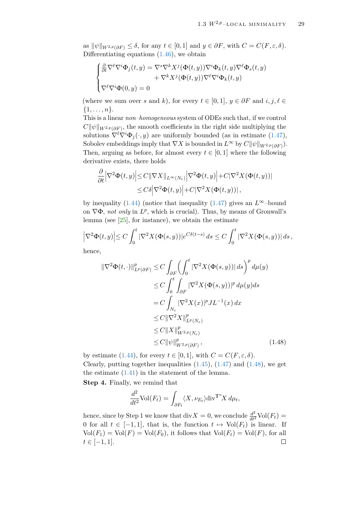as  $\|\psi\|_{W^{2,p}(\partial F)} \leq \delta$ , for any  $t \in [0,1]$  and  $y \in \partial F$ , with  $C = C(F, \varepsilon, \delta)$ . Differentiating equations [\(1.46\)](#page-29-0), we obtain

$$
\begin{cases} \frac{\partial}{\partial t} \nabla^{\ell} \nabla^{i} \Phi_{j}(t, y) = \nabla^{s} \nabla^{k} X^{j} (\Phi(t, y)) \nabla^{i} \Phi_{k}(t, y) \nabla^{\ell} \Phi_{s}(t, y) \\qquad \qquad + \nabla^{k} X^{j} (\Phi(t, y)) \nabla^{\ell} \nabla^{i} \Phi_{k}(t, y) \\ \nabla^{\ell} \nabla^{i} \Phi(0, y) = 0 \end{cases}
$$

(where we sum over *s* and *k*), for every  $t \in [0, 1]$ ,  $y \in \partial F$  and  $i, j, \ell \in$  $\{1, \ldots, n\}.$ 

This is a linear *non–homogeneous* system of ODEs such that, if we control  $C\|\psi\|_{W^{2,p}(\partial F)}$ , the smooth coefficients in the right side multiplying the solutions  $\nabla^{\ell} \nabla^{i} \Phi_{j}(\cdot, y)$  are uniformly bounded (as in estimate [\(1.47\)](#page-29-1), Sobolev embeddings imply that  $\nabla X$  is bounded in  $L^{\infty}$  by  $C||\psi||_{W^{2,p}(\partial F)}$ . Then, arguing as before, for almost every  $t \in [0, 1]$  where the following derivative exists, there holds

$$
\frac{\partial}{\partial t} \left| \nabla^2 \Phi(t, y) \right| \le C \| \nabla X \|_{L^\infty(N_\varepsilon)} \left| \nabla^2 \Phi(t, y) \right| + C | \nabla^2 X(\Phi(t, y)) |
$$
  

$$
\le C \delta \left| \nabla^2 \Phi(t, y) \right| + C | \nabla^2 X(\Phi(t, y)) |,
$$

by inequality [\(1.44\)](#page-27-0) (notice that inequality [\(1.47\)](#page-29-1) gives an  $L^{\infty}$ -bound on  $\nabla \Phi$ , *not only* in  $L^p$ , which is crucial). Thus, by means of Gronwall's lemma (see  $[25]$ , for instance), we obtain the estimate

$$
\left|\nabla^2 \Phi(t,y)\right| \le C \int_0^t |\nabla^2 X(\Phi(s,y))| e^{C\delta(t-s)} ds \le C \int_0^t |\nabla^2 X(\Phi(s,y))| ds,
$$

hence,

$$
\|\nabla^2 \Phi(t, \cdot)\|_{L^p(\partial F)}^p \le C \int_{\partial F} \left( \int_0^t |\nabla^2 X(\Phi(s, y))| ds \right)^p d\mu(y)
$$
  
\n
$$
\le C \int_0^t \int_{\partial F} |\nabla^2 X(\Phi(s, y))|^p d\mu(y) ds
$$
  
\n
$$
= C \int_{N_\varepsilon} |\nabla^2 X(x)|^p J L^{-1}(x) dx
$$
  
\n
$$
\le C \|\nabla^2 X\|_{L^p(N_\varepsilon)}^p
$$
  
\n
$$
\le C \|X\|_{W^{2,p}(N_\varepsilon)}^p
$$
  
\n
$$
\le C \|\psi\|_{W^{2,p}(\partial F)}^p,
$$
 (1.48)

by estimate [\(1.44\)](#page-27-0), for every  $t \in [0, 1]$ , with  $C = C(F, \varepsilon, \delta)$ . Clearly, putting together inequalities  $(1.45)$ ,  $(1.47)$  and  $(1.48)$ , we get the estimate [\(1.41\)](#page-26-1) in the statement of the lemma.

**Step 4.** Finally, we remind that

<span id="page-30-0"></span>
$$
\frac{d^2}{dt^2} \text{Vol}(F_t) = \int_{\partial F_t} \langle X, \nu_{E_t} \rangle \text{div}^{\mathbb{T}^n} X \, d\mu_t,
$$

hence, since by Step 1 we know that  $\text{div}X = 0$ , we conclude  $\frac{d^2}{dt^2} \text{Vol}(F_t) =$ 0 for all  $t \in [-1, 1]$ , that is, the function  $t \mapsto \text{Vol}(F_t)$  is linear. If  $Vol(F_1) = Vol(F) = Vol(F_0)$ , it follows that  $Vol(F_t) = Vol(F)$ , for all  $t \in [-1, 1].$  $\Box$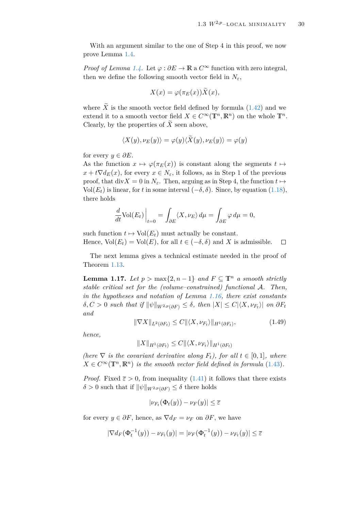<span id="page-31-0"></span> $\Box$ 

With an argument similar to the one of Step 4 in this proof, we now prove Lemma [1.4.](#page-13-2)

*Proof of Lemma [1.4.](#page-13-2)* Let  $\varphi : \partial E \to \mathbb{R}$  a  $C^{\infty}$  function with zero integral, then we define the following smooth vector field in  $N_{\varepsilon}$ ,

$$
X(x) = \varphi(\pi_E(x))\tilde{X}(x),
$$

where  $\tilde{X}$  is the smooth vector field defined by formula [\(1.42\)](#page-26-3) and we extend it to a smooth vector field  $X \in C^{\infty}(\mathbb{T}^n, \mathbb{R}^n)$  on the whole  $\mathbb{T}^n$ . Clearly, by the properties of  $\tilde{X}$  seen above,

$$
\langle X(y), \nu_E(y) \rangle = \varphi(y) \langle \tilde{X}(y), \nu_E(y) \rangle = \varphi(y)
$$

for every  $y \in \partial E$ .

As the function  $x \mapsto \varphi(\pi_E(x))$  is constant along the segments  $t \mapsto$  $x + t\nabla d_E(x)$ , for every  $x \in N_{\varepsilon}$ , it follows, as in Step 1 of the previous proof, that div $X = 0$  in  $N_{\varepsilon}$ . Then, arguing as in Step 4, the function  $t \mapsto$ Vol $(E_t)$  is linear, for *t* in some interval  $(-\delta, \delta)$ . Since, by equation [\(1.18\)](#page-13-3), there holds

$$
\frac{d}{dt}\text{Vol}(E_t)\Big|_{t=0} = \int_{\partial E} \langle X, \nu_E \rangle \, d\mu = \int_{\partial E} \varphi \, d\mu = 0,
$$

such function  $t \mapsto Vol(E_t)$  must actually be constant. Hence,  $Vol(E_t) = Vol(E)$ , for all  $t \in (-\delta, \delta)$  and X is admissible.

The next lemma gives a technical estimate needed in the proof of Theorem [1.13.](#page-25-1)

**Lemma 1.17.** *Let*  $p$  > max{2,  $n-1$ } *and*  $F ⊂ T^n$  *a smooth strictly stable critical set for the (volume–constrained) functional* A*. Then, in the hypotheses and notation of Lemma [1.16,](#page-25-0) there exist constants*  $\delta$ ,  $C > 0$  *such that if*  $\|\psi\|_{W^{2,p}(\partial F)} \leq \delta$ , then  $|X| \leq C|\langle X, \nu_{F_t} \rangle|$  on  $\partial F_t$ *and*

$$
\|\nabla X\|_{L^2(\partial F_t)} \le C \|\langle X, \nu_{F_t}\rangle\|_{H^1(\partial F_t)},\tag{1.49}
$$

*hence,*

$$
||X||_{H^1(\partial F_t)} \leq C||\langle X, \nu_{F_t}\rangle||_{H^1(\partial F_t)}
$$

*(here*  $\nabla$  *is the covariant derivative along*  $F_t$ *), for all*  $t \in [0, 1]$ *, where*  $X \in C^{\infty}(\mathbb{T}^n, \mathbb{R}^n)$  *is the smooth vector field defined in formula* [\(1.43\)](#page-26-2)*.* 

*Proof.* Fixed  $\bar{\varepsilon} > 0$ , from inequality [\(1.41\)](#page-26-1) it follows that there exists  $\delta > 0$  such that if  $\|\psi\|_{W^{2,p}(\partial F)} \leq \delta$  there holds

$$
|\nu_{F_t}(\Phi_t(y)) - \nu_F(y)| \leq \overline{\varepsilon}
$$

for every  $y \in \partial F$ , hence, as  $\nabla d_F = \nu_F$  on  $\partial F$ , we have

$$
|\nabla d_F(\Phi_t^{-1}(y)) - \nu_{F_t}(y)| = |\nu_F(\Phi_t^{-1}(y)) - \nu_{F_t}(y)| \le \overline{\varepsilon}
$$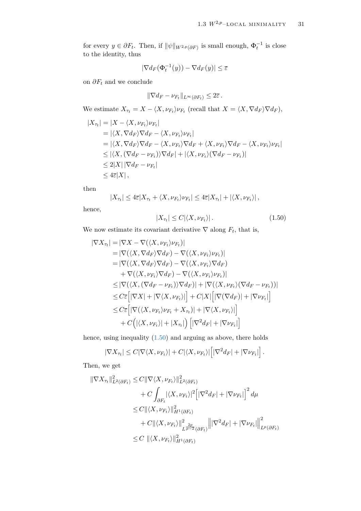for every  $y \in \partial F_t$ . Then, if  $\|\psi\|_{W^{2,p}(\partial F)}$  is small enough,  $\Phi_t^{-1}$  is close to the identity, thus

$$
|\nabla d_F(\Phi_t^{-1}(y)) - \nabla d_F(y)| \le \overline{\varepsilon}
$$

on  $\partial F_t$  and we conclude

$$
\|\nabla d_F - \nu_{F_t}\|_{L^\infty(\partial F_t)} \leq 2\overline{\varepsilon}.
$$

We estimate  $X_{\tau_t} = X - \langle X, \nu_{F_t} \rangle \nu_{F_t}$  (recall that  $X = \langle X, \nabla d_F \rangle \nabla d_F$ ),

$$
|X_{\tau_t}| = |X - \langle X, \nu_{F_t} \rangle \nu_{F_t}|
$$
  
\n
$$
= |\langle X, \nabla d_F \rangle \nabla d_F - \langle X, \nu_{F_t} \rangle \nu_{F_t}|
$$
  
\n
$$
= |\langle X, \nabla d_F \rangle \nabla d_F - \langle X, \nu_{F_t} \rangle \nabla d_F + \langle X, \nu_{F_t} \rangle \nabla d_F - \langle X, \nu_{F_t} \rangle \nu_{F_t}|
$$
  
\n
$$
\leq |\langle X, (\nabla d_F - \nu_{F_t}) \rangle \nabla d_F| + |\langle X, \nu_{F_t} \rangle (\nabla d_F - \nu_{F_t})|
$$
  
\n
$$
\leq 2|X| |\nabla d_F - \nu_{F_t}|
$$
  
\n
$$
\leq 4\overline{\varepsilon}|X|,
$$

then

$$
|X_{\tau_t}| \leq 4\overline{\varepsilon}|X_{\tau_t} + \langle X, \nu_{F_t} \rangle \nu_{F_t}| \leq 4\overline{\varepsilon}|X_{\tau_t}| + |\langle X, \nu_{F_t} \rangle|,
$$

hence,

<span id="page-32-0"></span>
$$
|X_{\tau_t}| \le C |\langle X, \nu_{F_t} \rangle| \,. \tag{1.50}
$$

We now estimate its covariant derivative  $\nabla$  along  $F_t$ , that is,

$$
|\nabla X_{\tau_t}| = |\nabla X - \nabla(\langle X, \nu_{F_t} \rangle \nu_{F_t})|
$$
  
\n
$$
= |\nabla(\langle X, \nabla d_F \rangle \nabla d_F) - \nabla(\langle X, \nu_{F_t} \rangle \nu_{F_t})|
$$
  
\n
$$
= |\nabla(\langle X, \nabla d_F \rangle \nabla d_F) - \nabla(\langle X, \nu_{F_t} \rangle \nabla d_F)
$$
  
\n
$$
+ \nabla(\langle X, \nu_{F_t} \rangle \nabla d_F) - \nabla(\langle X, \nu_{F_t} \rangle \nu_{F_t})|
$$
  
\n
$$
\leq |\nabla(\langle X, (\nabla d_F - \nu_{F_t}) \rangle \nabla d_F)| + |\nabla(\langle X, \nu_{F_t} \rangle (\nabla d_F - \nu_{F_t}))|
$$
  
\n
$$
\leq C \overline{\varepsilon} [|\nabla X| + |\nabla \langle X, \nu_{F_t} \rangle|] + C|X| [|\nabla (\nabla d_F)| + |\nabla \nu_{F_t}|]
$$
  
\n
$$
\leq C \overline{\varepsilon} [|\nabla(\langle X, \nu_{F_t} \rangle \nu_{F_t} + X_{\tau_t})| + |\nabla \langle X, \nu_{F_t} \rangle|]
$$
  
\n
$$
+ C(|\langle X, \nu_{F_t} \rangle| + |X_{\tau_t}|) [|\nabla^2 d_F| + |\nabla \nu_{F_t}|]
$$

hence, using inequality [\(1.50\)](#page-32-0) and arguing as above, there holds

$$
|\nabla X_{\tau_t}| \leq C |\nabla \langle X, \nu_{F_t} \rangle| + C |\langle X, \nu_{F_t} \rangle| \left[ |\nabla^2 d_F| + |\nabla \nu_{F_t}| \right].
$$

Then, we get

$$
\begin{aligned} \|\nabla X_{\tau_t}\|_{L^2(\partial F_t)}^2 &\leq C \|\nabla \langle X, \nu_{F_t} \rangle\|_{L^2(\partial F_t)}^2 \\ &+ C \int_{\partial F_t} |\langle X, \nu_{F_t} \rangle|^2 \Big[ |\nabla^2 d_F| + |\nabla \nu_{F_t}| \Big]^2 d\mu \\ &\leq C \|\langle X, \nu_{F_t} \rangle\|_{H^1(\partial F_t)}^2 \\ &+ C \|\langle X, \nu_{F_t} \rangle\|_{L^{\frac{2p}{p-2}}(\partial F_t)}^2 \Big\| |\nabla^2 d_F| + |\nabla \nu_{F_t}| \Big\|_{L^p(\partial F_t)}^2 \\ &\leq C \|\langle X, \nu_{F_t} \rangle\|_{H^1(\partial F_t)}^2 \end{aligned}
$$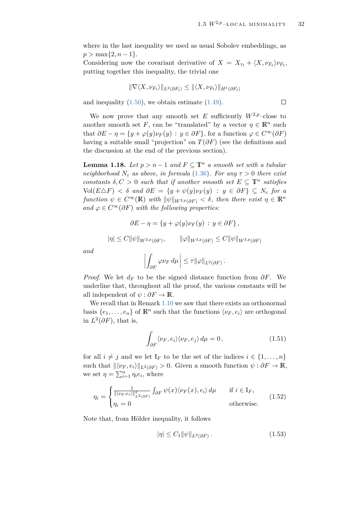$\Box$ 

where in the last inequality we used as usual Sobolev embeddings, as  $p > \max\{2, n-1\}.$ 

Considering now the covariant derivative of  $X = X_{\tau_t} + \langle X, \nu_{F_t} \rangle \nu_{F_t}$ , putting together this inequality, the trivial one

$$
\|\nabla \langle X, \nu_{F_t} \rangle\|_{L^2(\partial F_t)} \leq \|\langle X, \nu_{F_t} \rangle\|_{H^1(\partial F_t)}
$$

and inequality  $(1.50)$ , we obtain estimate  $(1.49)$ .

We now prove that any smooth set  $E$  sufficiently  $W^{2,p}$ –close to another smooth set *F*, can be "translated" by a vector  $\eta \in \mathbb{R}^n$  such that  $\partial E - \eta = \{y + \varphi(y)\nu_F(y) : y \in \partial F\}$ , for a function  $\varphi \in C^{\infty}(\partial F)$ having a suitable small "projection" on  $T(\partial F)$  (see the definitions and the discussion at the end of the previous section).

**Lemma 1.18.** *Let*  $p > n - 1$  *and*  $F \subseteq \mathbb{T}^n$  *a smooth set with a tubular neighborhood*  $N_{\varepsilon}$  *as above, in formula* [\(1.36\)](#page-22-1)*. For any*  $\tau > 0$  *there exist constants*  $\delta, C > 0$  *such that if another smooth set*  $E \subseteq \mathbb{T}^n$  *satisfies*  $Vol(E \triangle F) < \delta$  *and*  $\partial E = \{y + \psi(y) \nu_F(y) : y \in \partial F\} \subseteq N_{\epsilon}$  for a *function*  $\psi \in C^{\infty}(\mathbb{R})$  *with*  $\|\psi\|_{W^{2,p}(\partial F)} < \delta$ , then there exist  $\eta \in \mathbb{R}^n$ *and*  $\varphi$  ∈ *C*<sup>∞</sup>( $\partial$ *F*) *with the following properties:* 

$$
\partial E - \eta = \{ y + \varphi(y)\nu_F(y) : y \in \partial F \},
$$
  

$$
|\eta| \le C ||\psi||_{W^{2,p}(\partial F)}, \qquad ||\varphi||_{W^{2,p}(\partial F)} \le C ||\psi||_{W^{2,p}(\partial F)}
$$

*and*

$$
\left| \int_{\partial F} \varphi \nu_F \, d\mu \, \right| \leq \tau \|\varphi\|_{L^2(\partial F)}.
$$

*Proof.* We let  $d_F$  to be the signed distance function from  $\partial F$ . We underline that, throughout all the proof, the various constants will be all independent of  $\psi : \partial F \to \mathbb{R}$ .

We recall that in Remark [1.10](#page-22-3) we saw that there exists an orthonormal basis  $\{e_1, \ldots, e_n\}$  of  $\mathbb{R}^n$  such that the functions  $\langle \nu_F, e_i \rangle$  are orthogonal in  $L^2(\partial F)$ , that is,

$$
\int_{\partial F} \langle \nu_F, e_i \rangle \langle \nu_F, e_j \rangle \, d\mu = 0, \tag{1.51}
$$

for all  $i \neq j$  and we let I<sub>F</sub> to be the set of the indices  $i \in \{1, \ldots, n\}$ such that  $\|\langle \nu_F, e_i \rangle\|_{L^2(\partial F)} > 0$ . Given a smooth function  $\psi : \partial F \to \mathbb{R}$ , we set  $\eta = \sum_{i=1}^n \eta_i e_i$ , where

$$
\eta_i = \begin{cases} \frac{1}{\|\langle \nu_F, e_i \rangle\|_{L^2(\partial F)}^2} \int_{\partial F} \psi(x) \langle \nu_F(x), e_i \rangle \, d\mu & \text{if } i \in I_F, \\ \eta_i = 0 & \text{otherwise.} \end{cases} \tag{1.52}
$$

Note that, from Hölder inequality, it follows

<span id="page-33-0"></span>
$$
|\eta| \le C_1 \|\psi\|_{L^2(\partial F)}\,. \tag{1.53}
$$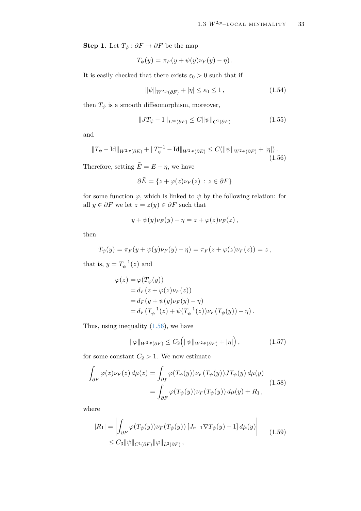**Step 1.** Let  $T_{\psi}: \partial F \to \partial F$  be the map

$$
T_{\psi}(y) = \pi_F(y + \psi(y)\nu_F(y) - \eta).
$$

It is easily checked that there exists  $\varepsilon_0 > 0$  such that if

<span id="page-34-1"></span>
$$
\|\psi\|_{W^{2,p}(\partial F)} + |\eta| \le \varepsilon_0 \le 1, \qquad (1.54)
$$

then  $T_{\psi}$  is a smooth diffeomorphism, moreover,

<span id="page-34-0"></span>
$$
||JT_{\psi} - 1||_{L^{\infty}(\partial F)} \le C ||\psi||_{C^{1}(\partial F)}
$$
\n(1.55)

and

$$
||T_{\psi} - \text{Id}||_{W^{2,p}(\partial E)} + ||T_{\psi}^{-1} - \text{Id}||_{W^{2,p}(\partial E)} \le C(||\psi||_{W^{2,p}(\partial F)} + |\eta|).
$$
\n(1.56)

Therefore, setting  $\widehat{E} = E - \eta$ , we have

$$
\partial \widehat{E} = \{ z + \varphi(z)\nu_F(z) \, : \, z \in \partial F \}
$$

for some function  $\varphi$ , which is linked to  $\psi$  by the following relation: for all  $y \in \partial F$  we let  $z = z(y) \in \partial F$  such that

$$
y+\psi(y)\nu_F(y)-\eta=z+\varphi(z)\nu_F(z)\,,
$$

then

$$
T_{\psi}(y) = \pi_F(y + \psi(y)\nu_F(y) - \eta) = \pi_F(z + \varphi(z)\nu_F(z)) = z,
$$

that is,  $y = T_{\psi}^{-1}(z)$  and

$$
\varphi(z) = \varphi(T_{\psi}(y))
$$
  
=  $d_F(z + \varphi(z)\nu_F(z))$   
=  $d_F(y + \psi(y)\nu_F(y) - \eta)$   
=  $d_F(T_{\psi}^{-1}(z) + \psi(T_{\psi}^{-1}(z))\nu_F(T_{\psi}(y)) - \eta).$ 

Thus, using inequality [\(1.56\)](#page-34-0), we have

<span id="page-34-2"></span>
$$
\|\varphi\|_{W^{2,p}(\partial F)} \le C_2 \Big( \|\psi\|_{W^{2,p}(\partial F)} + |\eta| \Big) \,,\tag{1.57}
$$

for some constant  $C_2 > 1$ . We now estimate

$$
\int_{\partial F} \varphi(z) \nu_F(z) d\mu(z) = \int_{\partial f} \varphi(T_{\psi}(y)) \nu_F(T_{\psi}(y)) J T_{\psi}(y) d\mu(y)
$$
\n
$$
= \int_{\partial F} \varphi(T_{\psi}(y)) \nu_F(T_{\psi}(y)) d\mu(y) + R_1,
$$
\n(1.58)

where

$$
|R_1| = \left| \int_{\partial F} \varphi(T_{\psi}(y)) \nu_F(T_{\psi}(y)) \left[ J_{n-1} \nabla T_{\psi}(y) - 1 \right] d\mu(y) \right|
$$
  
 
$$
\leq C_3 \|\psi\|_{C^1(\partial F)} \|\varphi\|_{L^2(\partial F)},
$$
 (1.59)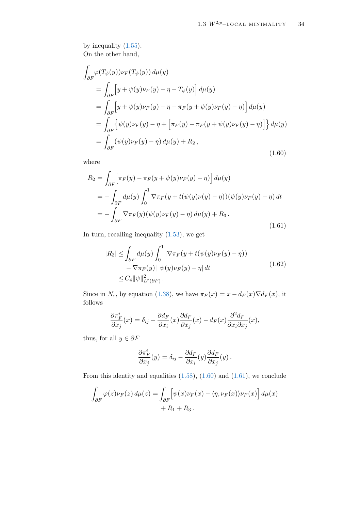by inequality [\(1.55\)](#page-34-1). On the other hand,

$$
\int_{\partial F} \varphi(T_{\psi}(y)) \nu_F(T_{\psi}(y)) d\mu(y)
$$
\n
$$
= \int_{\partial F} \left[ y + \psi(y) \nu_F(y) - \eta - T_{\psi}(y) \right] d\mu(y)
$$
\n
$$
= \int_{\partial F} \left[ y + \psi(y) \nu_F(y) - \eta - \pi_F(y + \psi(y) \nu_F(y) - \eta) \right] d\mu(y)
$$
\n
$$
= \int_{\partial F} \left\{ \psi(y) \nu_F(y) - \eta + \left[ \pi_F(y) - \pi_F(y + \psi(y) \nu_F(y) - \eta) \right] \right\} d\mu(y)
$$
\n
$$
= \int_{\partial F} \left( \psi(y) \nu_F(y) - \eta \right) d\mu(y) + R_2,
$$
\n(1.60)

where

<span id="page-35-0"></span>
$$
R_2 = \int_{\partial F} \left[ \pi_F(y) - \pi_F(y + \psi(y)\nu_F(y) - \eta) \right] d\mu(y)
$$
  
\n
$$
= -\int_{\partial F} d\mu(y) \int_0^1 \nabla \pi_F(y + t(\psi(y)\nu(y) - \eta))(\psi(y)\nu_F(y) - \eta) dt
$$
  
\n
$$
= -\int_{\partial F} \nabla \pi_F(y)(\psi(y)\nu_F(y) - \eta) d\mu(y) + R_3.
$$
\n(1.61)

In turn, recalling inequality [\(1.53\)](#page-33-0), we get

<span id="page-35-1"></span>
$$
|R_3| \leq \int_{\partial F} d\mu(y) \int_0^1 |\nabla \pi_F(y + t(\psi(y)) \nu_F(y) - \eta)|
$$
  
-  $\nabla \pi_F(y) ||\psi(y) \nu_F(y) - \eta| dt$   
 $\leq C_4 ||\psi||^2_{L^2(\partial F)}.$  (1.62)

Since in  $N_{\varepsilon}$ , by equation [\(1.38\)](#page-22-4), we have  $\pi_F(x) = x - d_F(x)\nabla d_F(x)$ , it follows

$$
\frac{\partial \pi_F^i}{\partial x_j}(x) = \delta_{ij} - \frac{\partial d_F}{\partial x_i}(x) \frac{\partial d_F}{\partial x_j}(x) - d_F(x) \frac{\partial^2 d_F}{\partial x_i \partial x_j}(x),
$$

thus, for all  $y \in \partial F$ 

$$
\frac{\partial \pi_F^i}{\partial x_j}(y) = \delta_{ij} - \frac{\partial d_F}{\partial x_i}(y) \frac{\partial d_F}{\partial x_j}(y).
$$

From this identity and equalities  $(1.58)$ ,  $(1.60)$  and  $(1.61)$ , we conclude

$$
\int_{\partial F} \varphi(z) \nu_F(z) d\mu(z) = \int_{\partial F} \left[ \psi(x) \nu_F(x) - \langle \eta, \nu_F(x) \rangle \nu_F(x) \right] d\mu(x) + R_1 + R_3.
$$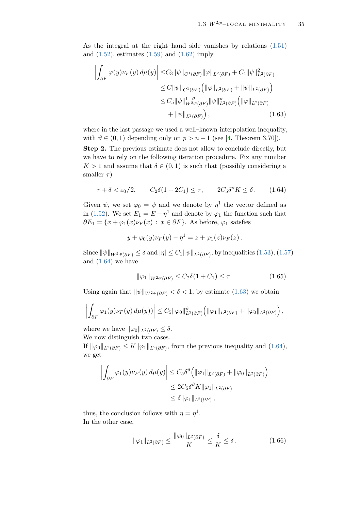As the integral at the right–hand side vanishes by relations [\(1.51\)](#page-33-0) and  $(1.52)$ , estimates  $(1.59)$  and  $(1.62)$  imply

<span id="page-36-1"></span>
$$
\left| \int_{\partial F} \varphi(y) \nu_F(y) d\mu(y) \right| \leq C_3 \|\psi\|_{C^1(\partial F)} \|\varphi\|_{L^2(\partial F)} + C_4 \|\psi\|_{L^2(\partial F)}^2
$$
  
\n
$$
\leq C \|\psi\|_{C^1(\partial F)} \left( \|\varphi\|_{L^2(\partial F)} + \|\psi\|_{L^2(\partial F)} \right)
$$
  
\n
$$
\leq C_5 \|\psi\|_{W^{2,p}(\partial F)}^{1-\vartheta} \|\psi\|_{L^2(\partial F)}^{\vartheta} \left( \|\varphi\|_{L^2(\partial F)} \right)
$$
  
\n
$$
+ \|\psi\|_{L^2(\partial F)} \right), \qquad (1.63)
$$

where in the last passage we used a well–known interpolation inequality, with  $\vartheta \in (0,1)$  depending only on  $p > n - 1$  (see [\[4,](#page-79-0) Theorem 3.70]).

**Step 2.** The previous estimate does not allow to conclude directly, but we have to rely on the following iteration procedure. Fix any number  $K > 1$  and assume that  $\delta \in (0, 1)$  is such that (possibly considering a smaller *τ* )

$$
\tau + \delta < \varepsilon_0/2, \qquad C_2 \delta (1 + 2C_1) \le \tau, \qquad 2C_5 \delta^{\vartheta} K \le \delta. \tag{1.64}
$$

Given  $\psi$ , we set  $\varphi_0 = \psi$  and we denote by  $\eta^1$  the vector defined as in [\(1.52\)](#page-33-1). We set  $E_1 = E - \eta^1$  and denote by  $\varphi_1$  the function such that  $\partial E_1 = \{x + \varphi_1(x)\nu_F(x) : x \in \partial F\}$ . As before,  $\varphi_1$  satsfies

<span id="page-36-0"></span>
$$
y+\varphi_0(y)\nu_F(y)-\eta^1=z+\varphi_1(z)\nu_F(z).
$$

Since  $\|\psi\|_{W^{2,p}(\partial F)} \leq \delta$  and  $|\eta| \leq C_1 \|\psi\|_{L^2(\partial F)}$ , by inequalities [\(1.53\)](#page-33-2), [\(1.57\)](#page-34-1) and  $(1.64)$  we have

<span id="page-36-3"></span>
$$
\|\varphi_1\|_{W^{2,p}(\partial F)} \le C_2 \delta(1 + C_1) \le \tau.
$$
 (1.65)

Using again that  $\|\psi\|_{W^{2,p}(\partial F)} < \delta < 1$ , by estimate [\(1.63\)](#page-36-1) we obtain

$$
\left|\int_{\partial F} \varphi_1(y)\nu_F(y)\,d\mu(y)\right|\leq C_5\|\varphi_0\|_{L^2(\partial F)}^{\vartheta}\left(\|\varphi_1\|_{L^2(\partial F)}+\|\varphi_0\|_{L^2(\partial F)}\right),
$$

where we have  $\|\varphi_0\|_{L^2(\partial F)} \leq \delta$ . We now distinguish two cases.

If  $\|\varphi_0\|_{L^2(\partial F)} \leq K \|\varphi_1\|_{L^2(\partial F)}$ , from the previous inequality and [\(1.64\)](#page-36-0), we get

$$
\left| \int_{\partial F} \varphi_1(y) \nu_F(y) d\mu(y) \right| \leq C_5 \delta^{\vartheta} \left( \|\varphi_1\|_{L^2(\partial F)} + \|\varphi_0\|_{L^2(\partial F)} \right)
$$
  

$$
\leq 2C_5 \delta^{\vartheta} K \|\varphi_1\|_{L^2(\partial F)}
$$
  

$$
\leq \delta \|\varphi_1\|_{L^2(\partial F)},
$$

thus, the conclusion follows with  $\eta = \eta^1$ . In the other case,

<span id="page-36-2"></span>
$$
\|\varphi_1\|_{L^2(\partial F)} \le \frac{\|\varphi_0\|_{L^2(\partial F)}}{K} \le \frac{\delta}{K} \le \delta. \tag{1.66}
$$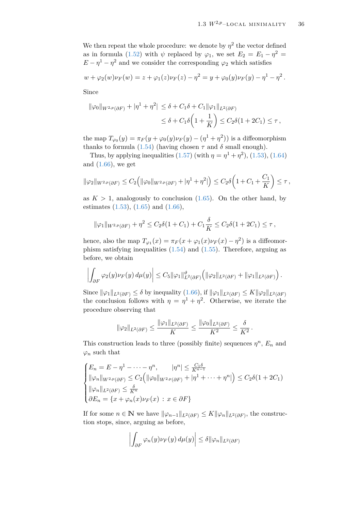We then repeat the whole procedure: we denote by  $\eta^2$  the vector defined as in formula [\(1.52\)](#page-33-1) with  $\psi$  replaced by  $\varphi_1$ , we set  $E_2 = E_1 - \eta^2 =$  $E - \eta^1 - \eta^2$  and we consider the corresponding  $\varphi_2$  which satisfies

$$
w + \varphi_2(w)\nu_F(w) = z + \varphi_1(z)\nu_F(z) - \eta^2 = y + \varphi_0(y)\nu_F(y) - \eta^1 - \eta^2.
$$

Since

$$
\|\varphi_0\|_{W^{2,p}(\partial F)} + |\eta^1 + \eta^2| \le \delta + C_1\delta + C_1\|\varphi_1\|_{L^2(\partial F)}
$$
  

$$
\le \delta + C_1\delta\left(1 + \frac{1}{K}\right) \le C_2\delta(1 + 2C_1) \le \tau,
$$

the map  $T_{\varphi_0}(y) = \pi_F(y + \varphi_0(y)\nu_F(y) - (\eta^1 + \eta^2))$  is a diffeomorphism thanks to formula [\(1.54\)](#page-34-2) (having chosen  $\tau$  and  $\delta$  small enough).

Thus, by applying inequalities  $(1.57)$  (with  $\eta = \eta^1 + \eta^2$ ),  $(1.53)$ ,  $(1.64)$ and  $(1.66)$ , we get

$$
\|\varphi_2\|_{W^{2,p}(\partial F)} \le C_2 \Big( \|\varphi_0\|_{W^{2,p}(\partial F)} + |\eta^1 + \eta^2| \Big) \le C_2 \delta \Big( 1 + C_1 + \frac{C_1}{K} \Big) \le \tau,
$$

as  $K > 1$ , analogously to conclusion  $(1.65)$ . On the other hand, by estimates  $(1.53)$ ,  $(1.65)$  and  $(1.66)$ ,

$$
\|\varphi_1\|_{W^{2,p}(\partial F)} + \eta^2 \le C_2 \delta(1+C_1) + C_1 \frac{\delta}{K} \le C_2 \delta(1+2C_1) \le \tau,
$$

hence, also the map  $T_{\varphi_1}(x) = \pi_F(x + \varphi_1(x)\nu_F(x) - \eta^2)$  is a diffeomorphism satisfying inequalities [\(1.54\)](#page-34-2) and [\(1.55\)](#page-34-3). Therefore, arguing as before, we obtain

$$
\left|\int_{\partial F} \varphi_2(y)\nu_F(y)\,d\mu(y)\right|\leq C_5\|\varphi_1\|_{L^2(\partial F)}^{\vartheta}\left(\|\varphi_2\|_{L^2(\partial F)}+\|\varphi_1\|_{L^2(\partial F)}\right).
$$

Since  $\|\varphi_1\|_{L^2(\partial F)} \leq \delta$  by inequality [\(1.66\)](#page-36-2), if  $\|\varphi_1\|_{L^2(\partial F)} \leq K \|\varphi_2\|_{L^2(\partial F)}$ the conclusion follows with  $\eta = \eta^1 + \eta^2$ . Otherwise, we iterate the procedure observing that

$$
\|\varphi_2\|_{L^2(\partial F)} \le \frac{\|\varphi_1\|_{L^2(\partial F)}}{K} \le \frac{\|\varphi_0\|_{L^2(\partial F)}}{K^2} \le \frac{\delta}{K^2}.
$$

This construction leads to three (possibly finite) sequences  $\eta^n$ ,  $E_n$  and  $\varphi_n$  such that

$$
\begin{cases}\nE_n = E - \eta^1 - \dots - \eta^n, & |\eta^n| \le \frac{C_1 \delta}{K^{n-1}} \\
\|\varphi_n\|_{W^{2,p}(\partial F)} \le C_2 \Big(\|\varphi_0\|_{W^{2,p}(\partial F)} + |\eta^1 + \dots + \eta^n|\Big) \le C_2 \delta(1 + 2C_1) \\
\|\varphi_n\|_{L^2(\partial F)} \le \frac{\delta}{K^n} \\
\partial E_n = \{x + \varphi_n(x)\nu_F(x) : x \in \partial F\}\n\end{cases}
$$

If for some  $n \in \mathbb{N}$  we have  $\|\varphi_{n-1}\|_{L^2(\partial F)} \leq K \|\varphi_n\|_{L^2(\partial F)}$ , the construction stops, since, arguing as before,

$$
\left| \int_{\partial F} \varphi_n(y) \nu_F(y) \, d\mu(y) \right| \leq \delta ||\varphi_n||_{L^2(\partial F)}
$$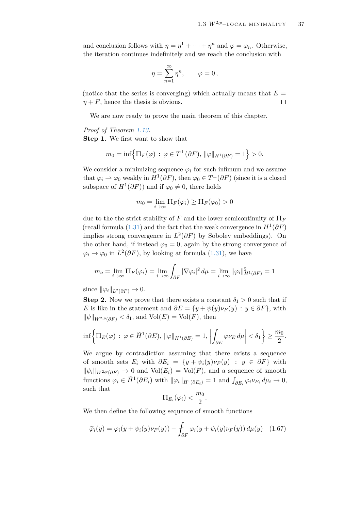and conclusion follows with  $\eta = \eta^1 + \cdots + \eta^n$  and  $\varphi = \varphi_n$ . Otherwise, the iteration continues indefinitely and we reach the conclusion with

$$
\eta = \sum_{n=1}^{\infty} \eta^n, \qquad \varphi = 0,
$$

(notice that the series is converging) which actually means that  $E =$  $\eta + F$ , hence the thesis is obvious.  $\Box$ 

We are now ready to prove the main theorem of this chapter.

#### *Proof of Theorem [1.13.](#page-25-0)*

**Step 1.** We first want to show that

$$
m_0 = \inf \left\{ \Pi_F(\varphi) \, : \, \varphi \in T^{\perp}(\partial F), \, \|\varphi\|_{H^1(\partial F)} = 1 \right\} > 0.
$$

We consider a minimizing sequence  $\varphi_i$  for such infimum and we assume that  $\varphi_i \rightharpoonup \varphi_0$  weakly in  $H^1(\partial F)$ , then  $\varphi_0 \in T^{\perp}(\partial F)$  (since it is a closed subspace of  $H^1(\partial F)$  and if  $\varphi_0 \neq 0$ , there holds

$$
m_0 = \lim_{i \to \infty} \Pi_F(\varphi_i) \ge \Pi_F(\varphi_0) > 0
$$

due to the the strict stability of *F* and the lower semicontinuity of  $\Pi_F$ (recall formula [\(1.31\)](#page-21-0) and the fact that the weak convergence in  $H^1(\partial F)$ implies strong convergence in  $L^2(\partial F)$  by Sobolev embeddings). On the other hand, if instead  $\varphi_0 = 0$ , again by the strong convergence of  $\varphi_i \to \varphi_0$  in  $L^2(\partial F)$ , by looking at formula [\(1.31\)](#page-21-0), we have

$$
m_o = \lim_{i \to \infty} \Pi_F(\varphi_i) = \lim_{i \to \infty} \int_{\partial F} |\nabla \varphi_i|^2 d\mu = \lim_{i \to \infty} ||\varphi_i||_{H^1(\partial F)}^2 = 1
$$

since  $\|\varphi_i\|_{L^2(\partial F)} \to 0.$ 

**Step 2.** Now we prove that there exists a constant  $\delta_1 > 0$  such that if *E* is like in the statement and  $\partial E = \{y + \psi(y)\nu_F(y) : y \in \partial F\}$ , with  $\|\psi\|_{W^{2,p}(\partial F)} < \delta_1$ , and  $\text{Vol}(E) = \text{Vol}(F)$ , then

$$
\inf \left\{ \Pi_E(\varphi) \, : \, \varphi \in \widetilde{H}^1(\partial E), \, \|\varphi\|_{H^1(\partial E)} = 1, \, \left| \int_{\partial E} \varphi \nu_E \, d\mu \right| < \delta_1 \right\} \ge \frac{m_0}{2}.
$$

We argue by contradiction assuming that there exists a sequence of smooth sets  $E_i$  with  $\partial E_i = \{y + \psi_i(y)\nu_F(y) : y \in \partial F\}$  with  $\|\psi_i\|_{W^{2,p}(\partial F)} \to 0$  and  $\text{Vol}(E_i) = \text{Vol}(F)$ , and a sequence of smooth  $\text{functions } \varphi_i \in \widetilde{H}^1(\partial E_i) \text{ with } ||\varphi_i||_{H^1(\partial E_i)} = 1 \text{ and } \int_{\partial E_i} \varphi_i \nu_{E_i} d\mu_i \to 0,$ such that

<span id="page-38-0"></span>
$$
\Pi_{E_i}(\varphi_i) < \frac{m_0}{2}.
$$

We then define the following sequence of smooth functions

$$
\widetilde{\varphi}_i(y) = \varphi_i(y + \psi_i(y)\nu_F(y)) - \int_{\partial F} \varphi_i(y + \psi_i(y)\nu_F(y)) d\mu(y) \quad (1.67)
$$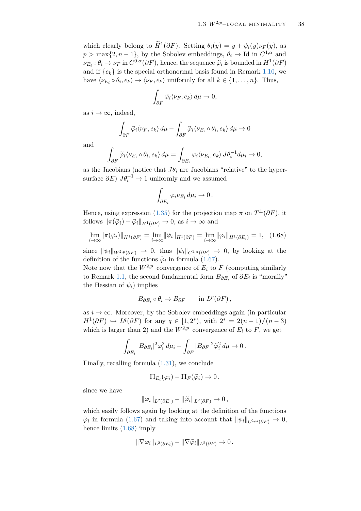which clearly belong to  $\widetilde{H}^1(\partial F)$ . Setting  $\theta_i(y) = y + \psi_i(y)\nu_F(y)$ , as  $p > \max\{2, n-1\}$ , by the Sobolev embeddings,  $\theta_i \to \text{Id}$  in  $C^{1,\alpha}$  and  $\nu_{E_i} \circ \theta_i \to \nu_F$  in  $C^{0,\alpha}(\partial F)$ , hence, the sequence  $\tilde{\varphi}_i$  is bounded in  $H^1(\partial F)$ and if  $\{e_k\}$  is the special orthonormal basis found in Remark [1.10,](#page-22-0) we have  $\langle \nu_{E_i} \circ \theta_i, e_k \rangle \rightarrow \langle \nu_F, e_k \rangle$  uniformly for all  $k \in \{1, ..., n\}$ . Thus,

$$
\int_{\partial F} \widetilde{\varphi}_i \langle \nu_F, e_k \rangle \, d\mu \to 0,
$$

as  $i \to \infty$ , indeed,

$$
\int_{\partial F} \widetilde{\varphi}_i \langle \nu_F, e_k \rangle \, d\mu - \int_{\partial F} \widetilde{\varphi}_i \langle \nu_{E_i} \circ \theta_i, e_k \rangle \, d\mu \to 0
$$

and

$$
\int_{\partial F} \widetilde{\varphi}_i \langle \nu_{E_i} \circ \theta_i, e_k \rangle d\mu = \int_{\partial E_i} \varphi_i \langle \nu_{E_i}, e_k \rangle J \theta_i^{-1} d\mu_i \to 0,
$$

as the Jacobians (notice that  $J\theta_i$  are Jacobians "relative" to the hypersurface  $\partial E$ )  $J\theta_i^{-1} \to 1$  uniformly and we assumed

<span id="page-39-0"></span>
$$
\int_{\partial E_i} \varphi_i \nu_{E_i} d\mu_i \to 0.
$$

Hence, using expression [\(1.35\)](#page-22-1) for the projection map  $\pi$  on  $T^{\perp}(\partial F)$ , it follows  $\|\pi(\tilde{\varphi}_i) - \tilde{\varphi}_i\|_{H^1(\partial F)} \to 0$ , as  $i \to \infty$  and

$$
\lim_{i \to \infty} \|\pi(\widetilde{\varphi}_i)\|_{H^1(\partial F)} = \lim_{i \to \infty} \|\widetilde{\varphi}_i\|_{H^1(\partial F)} = \lim_{i \to \infty} \|\varphi_i\|_{H^1(\partial E_i)} = 1, \quad (1.68)
$$

since  $\|\psi_i\|_{W^{2,p}(\partial F)} \to 0$ , thus  $\|\psi_i\|_{C^{1,\alpha}(\partial F)} \to 0$ , by looking at the definition of the functions  $\tilde{\varphi}_i$  in formula [\(1.67\)](#page-38-0).

Note now that the  $W^{2,p}$ –convergence of  $E_i$  to  $F$  (computing similarly to Remark [1.1,](#page-9-0) the second fundamental form  $B_{\partial E_i}$  of  $\partial E_i$  is "morally" the Hessian of  $\psi_i$ ) implies

$$
B_{\partial E_i} \circ \theta_i \to B_{\partial F} \quad \text{in } L^p(\partial F),
$$

as  $i \to \infty$ . Moreover, by the Sobolev embeddings again (in particular *H*<sup>1</sup>( $\partial$ *F*)  $\hookrightarrow$  *L*<sup>*q*</sup>( $\partial$ *F*) for any *q* ∈ [1, 2<sup>\*</sup>), with 2<sup>\*</sup> = 2(*n* − 1)/(*n* − 3) which is larger than 2) and the  $W^{2,p}$ –convergence of  $E_i$  to  $F$ , we get

$$
\int_{\partial E_i} |B_{\partial E_i}|^2 \varphi_i^2 d\mu_i - \int_{\partial F} |B_{\partial F}|^2 \widetilde{\varphi}_i^2 d\mu \to 0.
$$

Finally, recalling formula [\(1.31\)](#page-21-0), we conclude

$$
\Pi_{E_i}(\varphi_i) - \Pi_F(\widetilde{\varphi}_i) \to 0,
$$

since we have

$$
\|\varphi_i\|_{L^2(\partial E_i)} - \|\widetilde{\varphi}_i\|_{L^2(\partial F)} \to 0,
$$

which easily follows again by looking at the definition of the functions  $\widetilde{\varphi}_i$  in formula [\(1.67\)](#page-38-0) and taking into account that  $\|\psi_i\|_{C^{1,\alpha}(\partial F)} \to 0$ , hence limits [\(1.68\)](#page-39-0) imply

$$
\|\nabla \varphi_i\|_{L^2(\partial E_i)} - \|\nabla \widetilde{\varphi}_i\|_{L^2(\partial F)} \to 0.
$$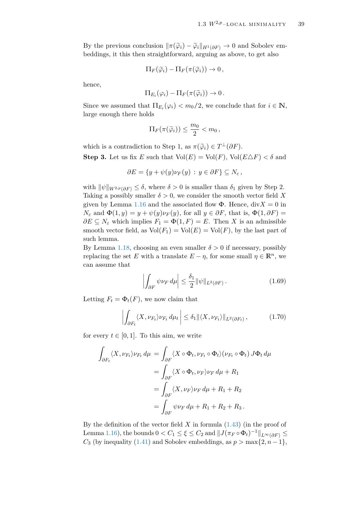By the previous conclusion  $\|\pi(\tilde{\varphi}_i) - \tilde{\varphi}_i\|_{H^1(\partial F)} \to 0$  and Sobolev embeddings, it this then straightforward, arguing as above, to get also

$$
\Pi_F(\widetilde{\varphi}_i) - \Pi_F(\pi(\widetilde{\varphi}_i)) \to 0,
$$

hence,

$$
\Pi_{E_i}(\varphi_i) - \Pi_F(\pi(\widetilde{\varphi}_i)) \to 0.
$$

Since we assumed that  $\Pi_{E_i}(\varphi_i) < m_0/2$ , we conclude that for  $i \in \mathbb{N}$ , large enough there holds

$$
\Pi_F(\pi(\widetilde{\varphi}_i)) \leq \frac{m_0}{2} < m_0 \,,
$$

which is a contradiction to Step 1, as  $\pi(\tilde{\varphi}_i) \in T^{\perp}(\partial F)$ . **Step 3.** Let us fix *E* such that  $Vol(E) = Vol(F)$ ,  $Vol(E \triangle F) < \delta$  and

$$
\partial E = \{ y + \psi(y) \nu_F(y) : y \in \partial F \} \subseteq N_{\varepsilon} ,
$$

with  $\|\psi\|_{W^{2,p}(\partial F)} \leq \delta$ , where  $\delta > 0$  is smaller than  $\delta_1$  given by Step 2. Taking a possibly smaller  $\delta > 0$ , we consider the smooth vector field X given by Lemma [1.16](#page-25-1) and the associated flow  $\Phi$ . Hence, div $X = 0$  in  $N_{\varepsilon}$  and  $\Phi(1, y) = y + \psi(y)\nu_F(y)$ , for all  $y \in \partial F$ , that is,  $\Phi(1, \partial F) =$  $∂E ⊆ N<sub>ε</sub>$  which implies  $F<sub>1</sub> = \Phi(1, F) = E$ . Then *X* is an admissible smooth vector field, as  $Vol(F_1) = Vol(E) = Vol(F)$ , by the last part of such lemma.

By Lemma [1.18,](#page-33-3) choosing an even smaller  $\delta > 0$  if necessary, possibly replacing the set *E* with a translate  $E - \eta$ , for some small  $\eta \in \mathbb{R}^n$ , we can assume that

<span id="page-40-1"></span><span id="page-40-0"></span>
$$
\left| \int_{\partial F} \psi \nu_F \, d\mu \right| \le \frac{\delta_1}{2} ||\psi||_{L^2(\partial F)} \,. \tag{1.69}
$$

Letting  $F_t = \Phi_t(F)$ , we now claim that

$$
\left| \int_{\partial F_t} \langle X, \nu_{F_t} \rangle \nu_{F_t} \, d\mu_t \right| \leq \delta_1 \| \langle X, \nu_{F_t} \rangle \|_{L^2(\partial F_t)}, \tag{1.70}
$$

for every  $t \in [0, 1]$ . To this aim, we write

$$
\int_{\partial F_t} \langle X, \nu_{F_t} \rangle \nu_{F_t} d\mu = \int_{\partial F} \langle X \circ \Phi_t, \nu_{F_t} \circ \Phi_t \rangle (\nu_{F_t} \circ \Phi_t) J \Phi_t d\mu
$$

$$
= \int_{\partial F} \langle X \circ \Phi_t, \nu_F \rangle \nu_F d\mu + R_1
$$

$$
= \int_{\partial F} \langle X, \nu_F \rangle \nu_F d\mu + R_1 + R_2
$$

$$
= \int_{\partial F} \psi \nu_F d\mu + R_1 + R_2 + R_3.
$$

By the definition of the vector field *X* in formula [\(1.43\)](#page-26-0) (in the proof of Lemma [1.16\)](#page-25-1), the bounds  $0 < C_1 \leq \xi \leq C_2$  and  $||J(\pi_F \circ \Phi_t)^{-1}||_{L^{\infty}(\partial F)} \leq$ *C*<sub>3</sub> (by inequality [\(1.41\)](#page-26-1) and Sobolev embeddings, as  $p > \max\{2, n-1\}$ ,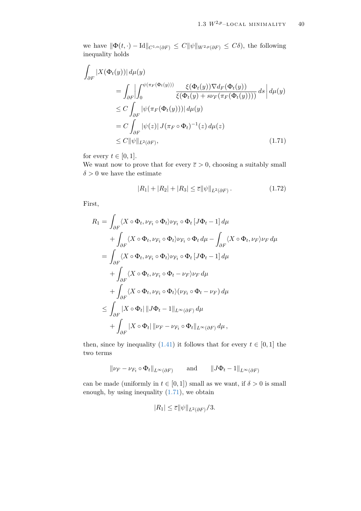we have  $\|\Phi(t, \cdot) - \text{Id}\|_{C^{1,\alpha}(\partial F)} \leq C \|\psi\|_{W^{2,p}(\partial F)} \leq C\delta$ , the following inequality holds

$$
\int_{\partial F} |X(\Phi_t(y))| d\mu(y)
$$
\n
$$
= \int_{\partial F} \left| \int_0^{\psi(\pi_F(\Phi_t(y)))} \frac{\xi(\Phi_t(y)) \nabla d_F(\Phi_t(y))}{\xi(\Phi_t(y) + s\nu_F(\pi_F(\Phi_t(y))))} ds \right| d\mu(y)
$$
\n
$$
\leq C \int_{\partial F} |\psi(\pi_F(\Phi_t(y)))| d\mu(y)
$$
\n
$$
= C \int_{\partial F} |\psi(z)| J(\pi_F \circ \Phi_t)^{-1}(z) d\mu(z)
$$
\n
$$
\leq C \|\psi\|_{L^2(\partial F)}, \qquad (1.71)
$$

for every  $t \in [0, 1]$ .

We want now to prove that for every  $\bar{\varepsilon} > 0$ , choosing a suitably small  $\delta > 0$  we have the estimate

<span id="page-41-1"></span><span id="page-41-0"></span>
$$
|R_1| + |R_2| + |R_3| \le \overline{\varepsilon} \|\psi\|_{L^2(\partial F)}.
$$
\n(1.72)

First,

$$
R_{1} = \int_{\partial F} \langle X \circ \Phi_{t}, \nu_{F_{t}} \circ \Phi_{t} \rangle \nu_{F_{t}} \circ \Phi_{t} [J\Phi_{t} - 1] d\mu
$$
  
+ 
$$
\int_{\partial F} \langle X \circ \Phi_{t}, \nu_{F_{t}} \circ \Phi_{t} \rangle \nu_{F_{t}} \circ \Phi_{t} d\mu - \int_{\partial F} \langle X \circ \Phi_{t}, \nu_{F} \rangle \nu_{F} d\mu
$$
  
= 
$$
\int_{\partial F} \langle X \circ \Phi_{t}, \nu_{F_{t}} \circ \Phi_{t} \rangle \nu_{F_{t}} \circ \Phi_{t} [J\Phi_{t} - 1] d\mu
$$
  
+ 
$$
\int_{\partial F} \langle X \circ \Phi_{t}, \nu_{F_{t}} \circ \Phi_{t} - \nu_{F} \rangle \nu_{F} d\mu
$$
  
+ 
$$
\int_{\partial F} \langle X \circ \Phi_{t}, \nu_{F_{t}} \circ \Phi_{t} \rangle (\nu_{F_{t}} \circ \Phi_{t} - \nu_{F}) d\mu
$$
  

$$
\leq \int_{\partial F} |X \circ \Phi_{t}| ||J\Phi_{t} - 1||_{L^{\infty}(\partial F)} d\mu
$$
  
+ 
$$
\int_{\partial F} |X \circ \Phi_{t}| ||\nu_{F} - \nu_{F_{t}} \circ \Phi_{t}||_{L^{\infty}(\partial F)} d\mu,
$$

then, since by inequality [\(1.41\)](#page-26-1) it follows that for every  $t \in [0, 1]$  the two terms

$$
\|\nu_F - \nu_{F_t} \circ \Phi_t\|_{L^{\infty}(\partial F)} \quad \text{and} \quad \|J\Phi_t - 1\|_{L^{\infty}(\partial F)}
$$

can be made (uniformly in  $t \in [0, 1]$ ) small as we want, if  $\delta > 0$  is small enough, by using inequality [\(1.71\)](#page-41-0), we obtain

$$
|R_1| \leq \overline{\varepsilon} ||\psi||_{L^2(\partial F)}/3.
$$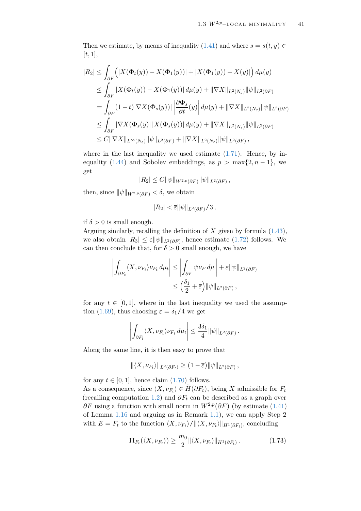Then we estimate, by means of inequality [\(1.41\)](#page-26-1) and where  $s = s(t, y) \in$ [*t*, 1],

$$
|R_2| \leq \int_{\partial F} \left( |X(\Phi_t(y)) - X(\Phi_1(y))| + |X(\Phi_1(y)) - X(y)| \right) d\mu(y)
$$
  
\n
$$
\leq \int_{\partial F} |X(\Phi_t(y)) - X(\Phi_1(y))| d\mu(y) + ||\nabla X||_{L^2(N_{\varepsilon})} ||\psi||_{L^2(\partial F)}
$$
  
\n
$$
= \int_{\partial F} (1-t) |\nabla X(\Phi_s(y))| \left| \frac{\partial \Phi_s}{\partial t}(y) \right| d\mu(y) + ||\nabla X||_{L^2(N_{\varepsilon})} ||\psi||_{L^2(\partial F)}
$$
  
\n
$$
\leq \int_{\partial F} |\nabla X(\Phi_s(y))| X(\Phi_s(y))| d\mu(y) + ||\nabla X||_{L^2(N_{\varepsilon})} ||\psi||_{L^2(\partial F)}
$$
  
\n
$$
\leq C ||\nabla X||_{L^{\infty}(N_{\varepsilon})} ||\psi||_{L^2(\partial F)} + ||\nabla X||_{L^2(N_{\varepsilon})} ||\psi||_{L^2(\partial F)},
$$

where in the last inequality we used estimate  $(1.71)$ . Hence, by in-equality [\(1.44\)](#page-27-0) and Sobolev embeddings, as  $p > \max\{2, n-1\}$ , we get

$$
|R_2| \leq C ||\psi||_{W^{2,p}(\partial F)} ||\psi||_{L^2(\partial F)},
$$

then, since  $\|\psi\|_{W^{2,p}(\partial F)} < \delta$ , we obtain

$$
|R_2|<\overline{\varepsilon}||\psi||_{L^2(\partial F)}/3\,,
$$

if  $\delta > 0$  is small enough.

Arguing similarly, recalling the definition of *X* given by formula [\(1.43\)](#page-26-0), we also obtain  $|R_3| \leq \overline{\varepsilon} ||\psi||_{L^2(\partial F)}$ , hence estimate [\(1.72\)](#page-41-1) follows. We can then conclude that, for  $\delta > 0$  small enough, we have

$$
\left| \int_{\partial F_t} \langle X, \nu_{F_t} \rangle \nu_{F_t} \, d\mu_t \right| \le \left| \int_{\partial F} \psi \nu_F \, d\mu \right| + \overline{\varepsilon} ||\psi||_{L^2(\partial F)} \le \left( \frac{\delta_1}{2} + \overline{\varepsilon} \right) ||\psi||_{L^2(\partial F)},
$$

for any  $t \in [0, 1]$ , where in the last inequality we used the assump-tion [\(1.69\)](#page-40-0), thus choosing  $\bar{\varepsilon} = \delta_1/4$  we get

$$
\left| \int_{\partial F_t} \langle X, \nu_{F_t} \rangle \nu_{F_t} \, d\mu_t \right| \leq \frac{3\delta_1}{4} ||\psi||_{L^2(\partial F)}.
$$

Along the same line, it is then easy to prove that

$$
\|\langle X,\nu_{F_t}\rangle\|_{L^2(\partial F_t)}\geq (1-\overline{\varepsilon})\|\psi\|_{L^2(\partial F)},
$$

for any  $t \in [0, 1]$ , hence claim  $(1.70)$  follows.

As a consequence, since  $\langle X, \nu_{F_t} \rangle \in H(\partial F_t)$ , being *X* admissible for  $F_t$ (recalling computation [1.2\)](#page-12-0) and  $\partial F_t$  can be described as a graph over  $\partial F$  using a function with small norm in  $W^{2,p}(\partial F)$  (by estimate [\(1.41\)](#page-26-1) of Lemma [1.16](#page-25-1) and arguing as in Remark [1.1\)](#page-9-0), we can apply Step 2 with  $E = F_t$  to the function  $\langle X, \nu_{F_t} \rangle / ||\langle X, \nu_{F_t} \rangle ||_{H^1(\partial F_t)}$ , concluding

<span id="page-42-0"></span>
$$
\Pi_{F_t}(\langle X, \nu_{F_t} \rangle) \ge \frac{m_0}{2} \|\langle X, \nu_{F_t} \rangle\|_{H^1(\partial F_t)}.
$$
\n(1.73)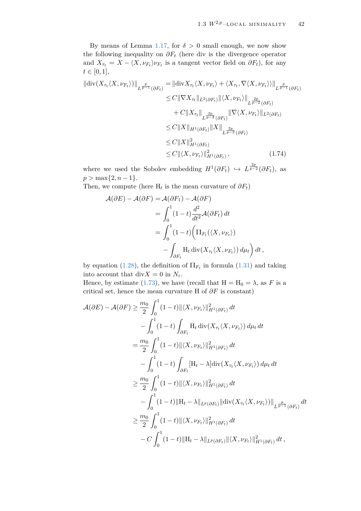By means of Lemma [1.17,](#page-31-0) for  $\delta > 0$  small enough, we now show the following inequality on *∂F<sup>t</sup>* (here div is the divergence operator and  $X_{\tau_t} = X - \langle X, \nu_{F_t} \rangle \nu_{F_t}$  is a tangent vector field on  $\partial F_t$ ), for any  $t \in [0, 1],$ 

$$
\|\text{div}(X_{\tau_t}\langle X,\nu_{F_t}\rangle)\|_{L^{\frac{p}{p-1}}(\partial F_t)} = \|\text{div}X_{\tau_t}\langle X,\nu_{F_t}\rangle + \langle X_{\tau_t}, \nabla\langle X,\nu_{F_t}\rangle\rangle\|_{L^{\frac{p}{p-1}}(\partial F_t)}
$$
  
\n
$$
\leq C\|\nabla X_{\tau_t}\|_{L^2(\partial F_t)} \|\langle X,\nu_{F_t}\rangle\|_{L^{\frac{2p}{p-2}}(\partial F_t)}
$$
  
\n
$$
+ C\|X_{\tau_t}\|_{L^{\frac{2p}{p-2}}(\partial F_t)} \|\nabla\langle X,\nu_{F_t}\rangle\|_{L^2(\partial F_t)}
$$
  
\n
$$
\leq C\|X\|_{H^1(\partial F_t)} \|X\|_{L^{\frac{2p}{p-2}}(\partial F_t)}
$$
  
\n
$$
\leq C\|X\|_{H^1(\partial F_t)}^2
$$
  
\n
$$
\leq C\|\langle X,\nu_{F_t}\rangle\|_{H^1(\partial F_t)}^2, \qquad (1.74)
$$

where we used the Sobolev embedding  $H^1(\partial F_t) \hookrightarrow L^{\frac{2p}{p-2}}(\partial F_t)$ , as  $p > \max\{2, n-1\}.$ 

Then, we compute (here  $H_t$  is the mean curvature of  $\partial F_t$ )

<span id="page-43-0"></span>
$$
\mathcal{A}(\partial E) - \mathcal{A}(\partial F) = \mathcal{A}(\partial F_1) - \mathcal{A}(\partial F)
$$
  
= 
$$
\int_0^1 (1 - t) \frac{d^2}{dt^2} \mathcal{A}(\partial F_t) dt
$$
  
= 
$$
\int_0^1 (1 - t) \left( \Pi_{F_t}(\langle X, \nu_{F_t} \rangle) - \int_{\partial F_t} H_t \operatorname{div}(X_{\tau_t} \langle X, \nu_{F_t} \rangle) d\mu_t \right) dt,
$$

by equation [\(1.28\)](#page-20-0), the definition of  $\Pi_{F_t}$  in formula [\(1.31\)](#page-21-0) and taking into account that  $div X = 0$  in  $N_{\varepsilon}$ .

Hence, by estimate [\(1.73\)](#page-42-0), we have (recall that  $H = H_0 = \lambda$ , as *F* is a critical set, hence the mean curvature H of *∂F* is constant)

$$
\mathcal{A}(\partial E) - \mathcal{A}(\partial F) \geq \frac{m_0}{2} \int_0^1 (1-t) \| \langle X, \nu_{F_t} \rangle \|_{H^1(\partial F_t)}^2 dt \n- \int_0^1 (1-t) \int_{\partial F_t} H_t \operatorname{div}(X_{\tau_t} \langle X, \nu_{F_t}) \rangle d\mu_t dt \n= \frac{m_0}{2} \int_0^1 (1-t) \| \langle X, \nu_{F_t} \rangle \|_{H^1(\partial F_t)}^2 dt \n- \int_0^1 (1-t) \int_{\partial F_t} [H_t - \lambda] \operatorname{div}(X_{\tau_t} \langle X, \nu_{F_t} \rangle) d\mu_t dt \n\geq \frac{m_0}{2} \int_0^1 (1-t) \| \langle X, \nu_{F_t} \rangle \|_{H^1(\partial F_t)}^2 dt \n- \int_0^1 (1-t) \| H_t - \lambda \|_{L^p(\partial F_t)} \| \operatorname{div}(X_{\tau_t} \langle X, \nu_{F_t} \rangle) \|_{L^{\frac{p}{p-1}}(\partial F_t)} dt \n\geq \frac{m_0}{2} \int_0^1 (1-t) \| \langle X, \nu_{F_t} \rangle \|_{H^1(\partial F_t)}^2 dt \n- C \int_0^1 (1-t) \| H_t - \lambda \|_{L^p(\partial F_t)} \| \langle X, \nu_{F_t} \rangle \|_{H^1(\partial F_t)}^2 dt,
$$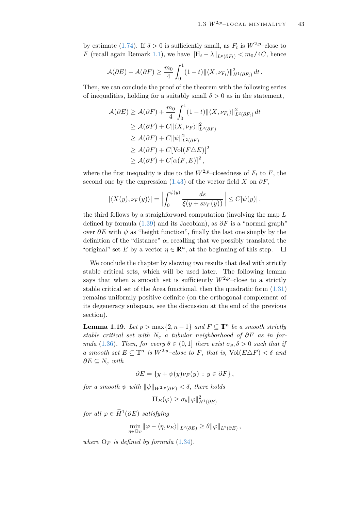by estimate [\(1.74\)](#page-43-0). If  $\delta > 0$  is sufficiently small, as  $F_t$  is  $W^{2,p}$ –close to *F* (recall again Remark [1.1\)](#page-9-0), we have  $\|\text{H}_t - \lambda\|_{L^p(\partial F_t)} < m_0/4C$ , hence

$$
\mathcal{A}(\partial E) - \mathcal{A}(\partial F) \geq \frac{m_0}{4} \int_0^1 (1-t) \|\langle X, \nu_{F_t}\rangle\|_{H^1(\partial F_t)}^2 dt.
$$

Then, we can conclude the proof of the theorem with the following series of inequalities, holding for a suitably small  $\delta > 0$  as in the statement,

$$
\mathcal{A}(\partial E) \ge \mathcal{A}(\partial F) + \frac{m_0}{4} \int_0^1 (1-t) \| \langle X, \nu_{F_t} \rangle \|^2_{L^2(\partial F_t)} dt
$$
  
\n
$$
\ge \mathcal{A}(\partial F) + C \| \langle X, \nu_F \rangle \|^2_{L^2(\partial F)}
$$
  
\n
$$
\ge \mathcal{A}(\partial F) + C \| \psi \|^2_{L^2(\partial F)}
$$
  
\n
$$
\ge \mathcal{A}(\partial F) + C [\text{Vol}(F \Delta E)]^2
$$
  
\n
$$
\ge \mathcal{A}(\partial F) + C [\alpha(F, E)]^2,
$$

where the first inequality is due to the  $W^{2,p}$ –closedness of  $F_t$  to  $F$ , the second one by the expression  $(1.43)$  of the vector field *X* on  $\partial F$ ,

$$
|\langle X(y), \nu_F(y)\rangle| = \left|\int_0^{\psi(y)} \frac{ds}{\xi(y + s\nu_F(y))}\right| \leq C|\psi(y)|,
$$

the third follows by a straighforward computation (involving the map *L* defined by formula [\(1.39\)](#page-23-0) and its Jacobian), as *∂F* is a "normal graph" over *∂E* with *ψ* as "height function", finally the last one simply by the definition of the "distance"  $\alpha$ , recalling that we possibly translated the "original" set *E* by a vector  $\eta \in \mathbb{R}^n$ , at the beginning of this step.  $\Box$ 

We conclude the chapter by showing two results that deal with strictly stable critical sets, which will be used later. The following lemma says that when a smooth set is sufficiently  $W^{2,p}$ –close to a strictly stable critical set of the Area functional, then the quadratic form [\(1.31\)](#page-21-0) remains uniformly positive definite (on the orthogonal complement of its degeneracy subspace, see the discussion at the end of the previous section).

<span id="page-44-0"></span>**Lemma 1.19.** *Let*  $p > max\{2, n-1\}$  *and*  $F ⊆ T$ <sup>*n*</sup> *be a smooth strictly stable critical set with*  $N_{\varepsilon}$  *a tubular neighborhood of*  $\partial F$  *as in formula* [\(1.36\)](#page-22-2)*. Then, for every*  $\theta \in (0,1]$  *there exist*  $\sigma_{\theta}$ ,  $\delta > 0$  *such that if a* smooth set  $E \subseteq \mathbb{T}^n$  is  $W^{2,p}$ -close to *F*, that is,  $Vol(E \triangle F) < \delta$  and  $∂E ⊆ N<sub>ε</sub> with$ 

$$
\partial E = \{ y + \psi(y)\nu_F(y) : y \in \partial F \},
$$

*for a smooth*  $\psi$  *with*  $\|\psi\|_{W^{2,p}(\partial F)} < \delta$ , there holds

$$
\Pi_E(\varphi) \ge \sigma_\theta \|\varphi\|_{H^1(\partial E)}^2
$$

 $for \ all \ \varphi \in \widetilde{H}^1(\partial E) \ satisfying$ 

$$
\min_{\eta \in O_F} \|\varphi - \langle \eta, \nu_E \rangle\|_{L^2(\partial E)} \ge \theta \|\varphi\|_{L^2(\partial E)},
$$

*where*  $O_F$  *is defined by formula* [\(1.34\)](#page-22-3)*.*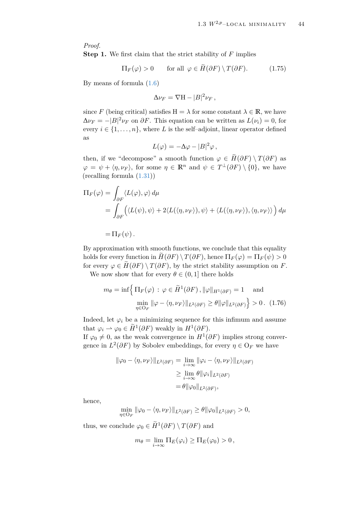*Proof.*

**Step 1.** We first claim that the strict stability of *F* implies

$$
\Pi_F(\varphi) > 0 \qquad \text{for all } \varphi \in \tilde{H}(\partial F) \setminus T(\partial F). \tag{1.75}
$$

By means of formula [\(1.6\)](#page-9-1)

<span id="page-45-0"></span>
$$
\Delta \nu_F = \nabla H - |B|^2 \nu_F,
$$

since *F* (being critical) satisfies  $H = \lambda$  for some constant  $\lambda \in \mathbb{R}$ , we have  $\Delta \nu_F = -|B|^2 \nu_F$  on  $\partial F$ . This equation can be written as  $L(\nu_i) = 0$ , for every  $i \in \{1, \ldots, n\}$ , where *L* is the self-adjoint, linear operator defined as

$$
L(\varphi) = -\Delta \varphi - |B|^2 \varphi ,
$$

then, if we "decompose" a smooth function  $\varphi \in \widetilde{H}(\partial F) \setminus T(\partial F)$  as  $\varphi = \psi + \langle \eta, \nu_F \rangle$ , for some  $\eta \in \mathbb{R}^n$  and  $\psi \in T^{\perp}(\partial F) \setminus \{0\}$ , we have (recalling formula [\(1.31\)](#page-21-0))

$$
\Pi_F(\varphi) = \int_{\partial F} \langle L(\varphi), \varphi \rangle d\mu
$$
  
= 
$$
\int_{\partial F} \Big( \langle L(\psi), \psi \rangle + 2 \langle L(\langle \eta, \nu_F \rangle), \psi \rangle + \langle L(\langle \eta, \nu_F \rangle), \langle \eta, \nu_F \rangle \rangle \Big) d\mu
$$

 $=\Pi_F(\psi)$ .

By approximation with smooth functions, we conclude that this equality holds for every function in  $H(\partial F) \setminus T(\partial F)$ , hence  $\Pi_F(\varphi) = \Pi_F(\psi) > 0$ for every  $\varphi \in H(\partial F) \setminus T(\partial F)$ , by the strict stability assumption on *F*.

We now show that for every  $\theta \in (0,1]$  there holds

<span id="page-45-1"></span>
$$
m_{\theta} = \inf \Biggl\{ \Pi_F(\varphi) \, : \, \varphi \in \widetilde{H}^1(\partial F), \|\varphi\|_{H^1(\partial F)} = 1 \quad \text{and}
$$

$$
\min_{\eta \in \mathcal{O}_F} \|\varphi - \langle \eta, \nu_F \rangle\|_{L^2(\partial F)} \ge \theta \|\varphi\|_{L^2(\partial F)} \Biggr\} > 0. \tag{1.76}
$$

Indeed, let  $\varphi_i$  be a minimizing sequence for this infimum and assume that  $\varphi_i \rightharpoonup \varphi_0 \in \widetilde{H}^1(\partial F)$  weakly in  $H^1(\partial F)$ .

If  $\varphi_0 \neq 0$ , as the weak convergence in  $H^1(\partial F)$  implies strong convergence in  $L^2(\partial F)$  by Sobolev embeddings, for every  $\eta \in O_F$  we have

$$
\|\varphi_0 - \langle \eta, \nu_F \rangle\|_{L^2(\partial F)} = \lim_{i \to \infty} \|\varphi_i - \langle \eta, \nu_F \rangle\|_{L^2(\partial F)}
$$
  
\n
$$
\geq \lim_{i \to \infty} \theta \|\varphi_i\|_{L^2(\partial F)}
$$
  
\n
$$
= \theta \|\varphi_0\|_{L^2(\partial F)},
$$

hence,

 $\min_{\eta \in \mathcal{O}_F} ||\varphi_0 - \langle \eta, \nu_F \rangle||_{L^2(\partial F)} \geq \theta ||\varphi_0||_{L^2(\partial F)} > 0,$ 

thus, we conclude  $\varphi_0 \in \widetilde{H}^1(\partial F) \setminus T(\partial F)$  and

$$
m_{\theta} = \lim_{i \to \infty} \Pi_E(\varphi_i) \geq \Pi_E(\varphi_0) > 0,
$$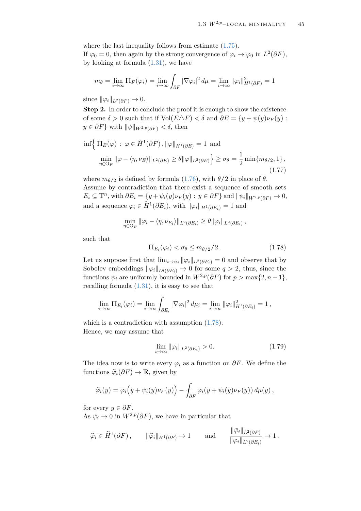where the last inequality follows from estimate  $(1.75)$ . If  $\varphi_0 = 0$ , then again by the strong convergence of  $\varphi_i \to \varphi_0$  in  $L^2(\partial F)$ , by looking at formula  $(1.31)$ , we have

$$
m_{\theta} = \lim_{i \to \infty} \Pi_F(\varphi_i) = \lim_{i \to \infty} \int_{\partial F} |\nabla \varphi_i|^2 d\mu = \lim_{i \to \infty} ||\varphi_i||^2_{H^1(\partial F)} = 1
$$

since  $\|\varphi_i\|_{L^2(\partial F)} \to 0.$ 

**Step 2.** In order to conclude the proof it is enough to show the existence of some  $\delta > 0$  such that if  $Vol(E \triangle F) < \delta$  and  $\partial E = \{y + \psi(y) \nu_F(y) :$  $y \in \partial F$ } with  $\|\psi\|_{W^{2,p}(\partial F)} < \delta$ , then

$$
\inf \Big\{ \Pi_E(\varphi) \, : \, \varphi \in \widetilde{H}^1(\partial F), \|\varphi\|_{H^1(\partial E)} = 1 \text{ and}
$$
\n
$$
\min_{\eta \in \mathcal{O}_F} \|\varphi - \langle \eta, \nu_E \rangle\|_{L^2(\partial E)} \ge \theta \|\varphi\|_{L^2(\partial E)} \Big\} \ge \sigma_\theta = \frac{1}{2} \min \{m_{\theta/2}, 1\},
$$
\n(1.77)

where  $m_{\theta/2}$  is defined by formula [\(1.76\)](#page-45-1), with  $\theta/2$  in place of  $\theta$ . Assume by contradiction that there exist a sequence of smooth sets  $E_i \subseteq \mathbb{T}^n$ , with  $\partial E_i = \{y + \psi_i(y)\nu_F(y) : y \in \partial F\}$  and  $\|\psi_i\|_{W^{2,p}(\partial F)} \to 0$ , and a sequence  $\varphi_i \in \widetilde{H}^1(\partial E_i)$ , with  $\|\varphi_i\|_{H^1(\partial E_i)} = 1$  and

$$
\min_{\eta \in \mathcal{O}_F} \|\varphi_i - \langle \eta, \nu_{E_i} \rangle\|_{L^2(\partial E_i)} \geq \theta \|\varphi_i\|_{L^2(\partial E_i)},
$$

such that

<span id="page-46-2"></span><span id="page-46-0"></span>
$$
\Pi_{E_i}(\varphi_i) < \sigma_\theta \le m_{\theta/2}/2. \tag{1.78}
$$

Let us suppose first that  $\lim_{i\to\infty} ||\varphi_i||_{L^2(\partial E_i)} = 0$  and observe that by Sobolev embeddings  $\|\varphi_i\|_{L^q(\partial E_i)} \to 0$  for some  $q > 2$ , thus, since the functions  $\psi_i$  are uniformly bounded in  $W^{2,p}(\partial F)$  for  $p > \max\{2, n-1\}$ , recalling formula  $(1.31)$ , it is easy to see that

$$
\lim_{i\to\infty} \Pi_{E_i}(\varphi_i) = \lim_{i\to\infty} \int_{\partial E_i} |\nabla \varphi_i|^2 d\mu_i = \lim_{i\to\infty} ||\varphi_i||_{H^1(\partial E_i)}^2 = 1,
$$

which is a contradiction with assumption  $(1.78)$ . Hence, we may assume that

<span id="page-46-1"></span>
$$
\lim_{i \to \infty} \|\varphi_i\|_{L^2(\partial E_i)} > 0. \tag{1.79}
$$

The idea now is to write every  $\varphi_i$  as a function on  $\partial F$ . We define the functions  $\widetilde{\varphi}_i(\partial F) \to \mathbb{R}$ , given by

$$
\widetilde{\varphi}_i(y) = \varphi_i\Big(y + \psi_i(y)\nu_F(y)\Big) - \int_{\partial F} \varphi_i(y + \psi_i(y)\nu_F(y)) d\mu(y),
$$

for every  $y \in \partial F$ .

As  $\psi_i \to 0$  in  $W^{2,p}(\partial F)$ , we have in particular that

$$
\widetilde{\varphi}_i \in \widetilde{H}^1(\partial F), \qquad \|\widetilde{\varphi}_i\|_{H^1(\partial F)} \to 1 \qquad \text{and} \qquad \frac{\|\widetilde{\varphi}_i\|_{L^2(\partial F)}}{\|\varphi_i\|_{L^2(\partial E_i)}} \to 1.
$$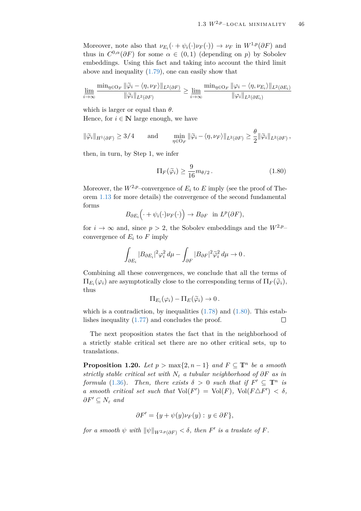Moreover, note also that  $\nu_{E_i}(\cdot + \psi_i(\cdot)\nu_F(\cdot)) \to \nu_F$  in  $W^{1,p}(\partial F)$  and thus in  $C^{0,\alpha}(\partial F)$  for some  $\alpha \in (0,1)$  (depending on *p*) by Sobolev embeddings. Using this fact and taking into account the third limit above and inequality [\(1.79\)](#page-46-1), one can easily show that

$$
\underline{\lim_{i \to \infty}} \frac{\min_{\eta \in O_F} \|\widetilde{\varphi}_i - \langle \eta, \nu_F \rangle\|_{L^2(\partial F)}}{\|\widetilde{\varphi}_i\|_{L^2(\partial F)}} \ge \underline{\lim_{i \to \infty}} \frac{\min_{\eta \in O_F} \|\varphi_i - \langle \eta, \nu_{E_i} \rangle\|_{L^2(\partial E_i)}}{\|\varphi_i\|_{L^2(\partial E_i)}}
$$

which is larger or equal than *θ*.

Hence, for  $i \in \mathbb{N}$  large enough, we have

$$
\|\widetilde{\varphi}_i\|_{H^1(\partial F)} \ge 3/4 \quad \text{and} \quad \min_{\eta \in \mathcal{O}_F} \|\widetilde{\varphi}_i - \langle \eta, \nu_F \rangle\|_{L^2(\partial F)} \ge \frac{\theta}{2} \|\widetilde{\varphi}_i\|_{L^2(\partial F)},
$$

then, in turn, by Step 1, we infer

<span id="page-47-0"></span>
$$
\Pi_F(\tilde{\varphi}_i) \ge \frac{9}{16} m_{\theta/2} \,. \tag{1.80}
$$

Moreover, the  $W^{2,p}$ –convergence of  $E_i$  to  $E$  imply (see the proof of Theorem [1.13](#page-25-0) for more details) the convergence of the second fundamental forms

$$
B_{\partial E_i}\Big(\cdot+\psi_i(\cdot)\nu_F(\cdot)\Big)\to B_{\partial F} \text{ in } L^p(\partial F),
$$

for  $i \to \infty$  and, since  $p > 2$ , the Sobolev embeddings and the  $W^{2,p}$ – convergence of  $E_i$  to  $F$  imply

$$
\int_{\partial E_i} |B_{\partial E_i}|^2 \varphi_i^2 \, d\mu - \int_{\partial F} |B_{\partial F}|^2 \widetilde{\varphi}_i^2 \, d\mu \to 0 \, .
$$

Combining all these convergences, we conclude that all the terms of  $\Pi_{E_i}(\varphi_i)$  are asymptotically close to the corresponding terms of  $\Pi_F(\widetilde{\varphi}_i)$ , thus

$$
\Pi_{E_i}(\varphi_i) - \Pi_E(\widetilde{\varphi}_i) \to 0.
$$

which is a contradiction, by inequalities  $(1.78)$  and  $(1.80)$ . This establishes inequality [\(1.77\)](#page-46-2) and concludes the proof. П

The next proposition states the fact that in the neighborhood of a strictly stable critical set there are no other critical sets, up to translations.

<span id="page-47-1"></span>**Proposition 1.20.** *Let*  $p > max\{2, n-1\}$  *and*  $F \subseteq \mathbb{T}^n$  *be a smooth strictly stable critical set with N<sup>ε</sup> a tubular neighborhood of ∂F as in formula* [\(1.36\)](#page-22-2)*. Then, there exists*  $\delta > 0$  *such that if*  $F' \subseteq \mathbb{T}^n$  *is a* smooth critical set such that  $Vol(F') = Vol(F)$ ,  $Vol(F \Delta F') < \delta$ ,  $\partial F' \subseteq N_{\varepsilon}$  *and* 

$$
\partial F' = \{ y + \psi(y)\nu_F(y) : y \in \partial F \},\
$$

*for a smooth*  $\psi$  *with*  $\|\psi\|_{W^{2,p}(\partial F)} < \delta$ , *then*  $F'$  *is a traslate of*  $F$ *.*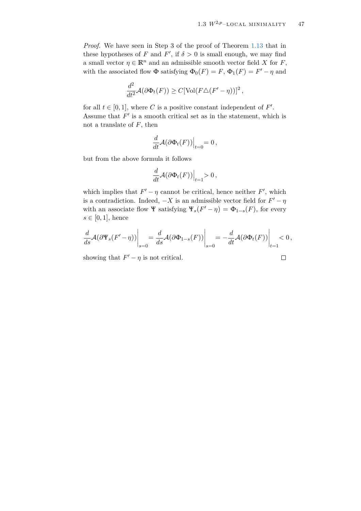$\Box$ 

*Proof.* We have seen in Step 3 of the proof of Theorem [1.13](#page-25-0) that in these hypotheses of *F* and *F*<sup>'</sup>, if  $\delta > 0$  is small enough, we may find a small vector  $\eta \in \mathbb{R}^n$  and an admissible smooth vector field *X* for *F*, with the associated flow  $\Phi$  satisfying  $\Phi_0(F) = F$ ,  $\Phi_1(F) = F' - \eta$  and

$$
\frac{d^2}{dt^2} \mathcal{A}(\partial \Phi_t(F)) \ge C[\text{Vol}(F \triangle (F' - \eta))]^2,
$$

for all  $t \in [0, 1]$ , where C is a positive constant independent of F'. Assume that  $F'$  is a smooth critical set as in the statement, which is not a translate of *F*, then

$$
\frac{d}{dt}\mathcal{A}(\partial\Phi_t(F))\Big|_{t=0}=0\,,
$$

but from the above formula it follows

$$
\frac{d}{dt}\mathcal{A}(\partial\Phi_t(F))\Big|_{t=1} > 0,
$$

which implies that  $F' - \eta$  cannot be critical, hence neither  $F'$ , which is a contradiction. Indeed,  $-X$  is an admissible vector field for  $F' - \eta$ with an associate flow  $\Psi$  satisfying  $\Psi_s(F' - \eta) = \Phi_{1-s}(F)$ , for every  $s \in [0,1]$ , hence

$$
\frac{d}{ds}\mathcal{A}(\partial \Psi_s(F'-\eta))\bigg|_{s=0} = \frac{d}{ds}\mathcal{A}(\partial \Phi_{1-s}(F))\bigg|_{s=0} = -\frac{d}{dt}\mathcal{A}(\partial \Phi_t(F))\bigg|_{t=1} < 0,
$$

showing that  $F' - \eta$  is not critical.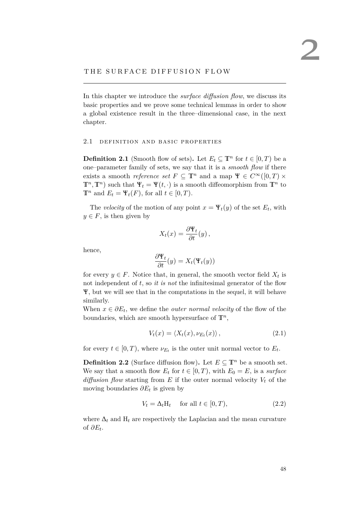### THE SURFACE DIFFUSION FLOW

In this chapter we introduce the *surface diffusion flow*, we discuss its basic properties and we prove some technical lemmas in order to show a global existence result in the three–dimensional case, in the next chapter.

#### 2.1 DEFINITION AND BASIC PROPERTIES

<span id="page-49-2"></span>**Definition 2.1** (Smooth flow of sets). Let  $E_t \subseteq \mathbb{T}^n$  for  $t \in [0, T)$  be a one–parameter family of sets, we say that it is a *smooth flow* if there exists a smooth *reference set*  $F \subseteq \mathbb{T}^n$  and a map  $\Psi \in C^\infty([0,T) \times$ **T**<sup>*n*</sup>, **T**<sup>*n*</sup>) such that **Ψ**<sub>*t*</sub> = **Ψ**(*t*, ·) is a smooth diffeomorphism from **T**<sup>*n*</sup> to **T**<sup>*n*</sup> and  $E_t = \Psi_t(F)$ , for all  $t \in [0, T)$ .

The *velocity* of the motion of any point  $x = \Psi_t(y)$  of the set  $E_t$ , with  $y \in F$ , is then given by

$$
X_t(x) = \frac{\partial \Psi_t}{\partial t}(y),
$$

hence,

$$
\frac{\partial \Psi_t}{\partial t}(y) = X_t(\Psi_t(y))
$$

for every  $y \in F$ . Notice that, in general, the smooth vector field  $X_t$  is not independent of *t*, so *it is not* the infinitesimal generator of the flow Ψ, but we will see that in the computations in the sequel, it will behave similarly.

When  $x \in \partial E_t$ , we define the *outer normal velocity* of the flow of the boundaries, which are smooth hypersurface of  $\mathbb{T}^n$ ,

$$
V_t(x) = \langle X_t(x), \nu_{E_t}(x) \rangle, \qquad (2.1)
$$

for every  $t \in [0, T)$ , where  $\nu_{E_t}$  is the outer unit normal vector to  $E_t$ .

<span id="page-49-1"></span>**Definition 2.2** (Surface diffusion flow). Let  $E \subseteq \mathbb{T}^n$  be a smooth set. We say that a smooth flow  $E_t$  for  $t \in [0, T)$ , with  $E_0 = E$ , is a *surface diffusion flow* starting from  $E$  if the outer normal velocity  $V_t$  of the moving boundaries *∂E<sup>t</sup>* is given by

<span id="page-49-0"></span>
$$
V_t = \Delta_t H_t \quad \text{for all } t \in [0, T), \tag{2.2}
$$

where  $\Delta_t$  and  $H_t$  are respectively the Laplacian and the mean curvature of *∂E<sup>t</sup>* .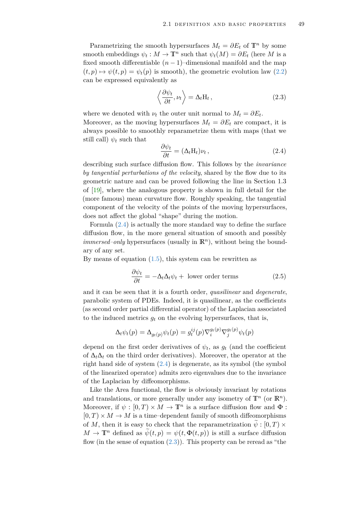Parametrizing the smooth hypersurfaces  $M_t = \partial E_t$  of  $\mathbb{T}^n$  by some smooth embeddings  $\psi_t : M \to \mathbb{T}^n$  such that  $\psi_t(M) = \partial E_t$  (here *M* is a fixed smooth differentiable  $(n-1)$ –dimensional manifold and the map  $(t, p) \mapsto \psi(t, p) = \psi_t(p)$  is smooth), the geometric evolution law [\(2.2\)](#page-49-0) can be expressed equivalently as

<span id="page-50-1"></span>
$$
\left\langle \frac{\partial \psi_t}{\partial t}, \nu_t \right\rangle = \Delta_t H_t, \qquad (2.3)
$$

where we denoted with  $\nu_t$  the outer unit normal to  $M_t = \partial E_t$ . Moreover, as the moving hypersurfaces  $M_t = \partial E_t$  are compact, it is always possible to smoothly reparametrize them with maps (that we still call)  $\psi_t$  such that

<span id="page-50-0"></span>
$$
\frac{\partial \psi_t}{\partial t} = (\Delta_t \mathbf{H}_t) \nu_t, \qquad (2.4)
$$

describing such surface diffusion flow. This follows by the *invariance by tangential perturbations of the velocity*, shared by the flow due to its geometric nature and can be proved following the line in Section 1.3 of [\[19\]](#page-80-0), where the analogous property is shown in full detail for the (more famous) mean curvature flow. Roughly speaking, the tangential component of the velocity of the points of the moving hypersurfaces, does not affect the global "shape" during the motion.

Formula [\(2.4\)](#page-50-0) is actually the more standard way to define the surface diffusion flow, in the more general situation of smooth and possibly *immersed–only* hypersurfaces (usually in **R***<sup>n</sup>* ), without being the boundary of any set.

By means of equation  $(1.5)$ , this system can be rewritten as

<span id="page-50-2"></span>
$$
\frac{\partial \psi_t}{\partial t} = -\Delta_t \Delta_t \psi_t + \text{ lower order terms} \tag{2.5}
$$

and it can be seen that it is a fourth order, *quasilinear* and *degenerate*, parabolic system of PDEs. Indeed, it is quasilinear, as the coefficients (as second order partial differential operator) of the Laplacian associated to the induced metrics  $g_t$  on the evolving hypersurfaces, that is,

$$
\Delta_t \psi_t(p) = \Delta_{g_t(p)} \psi_t(p) = g_t^{ij}(p) \nabla_i^{g_t(p)} \nabla_j^{g_t(p)} \psi_t(p)
$$

depend on the first order derivatives of  $\psi_t$ , as  $g_t$  (and the coefficient of  $\Delta_t \Delta_t$  on the third order derivatives). Moreover, the operator at the right hand side of system [\(2.4\)](#page-50-0) is degenerate, as its symbol (the symbol of the linearized operator) admits zero eigenvalues due to the invariance of the Laplacian by diffeomorphisms.

Like the Area functional, the flow is obviously invariant by rotations and translations, or more generally under any isometry of  $\mathbb{T}^n$  (or  $\mathbb{R}^n$ ). Moreover, if  $\psi : [0, T) \times M \to \mathbb{T}^n$  is a surface diffusion flow and  $\Phi$ :  $[0, T] \times M \rightarrow M$  is a time-dependent family of smooth diffeomorphisms of *M*, then it is easy to check that the reparametrization  $\psi : [0, T) \times$  $M \to \mathbb{T}^n$  defined as  $\psi(t,p) = \psi(t,\Phi(t,p))$  is still a surface diffusion flow (in the sense of equation  $(2.3)$ ). This property can be reread as "the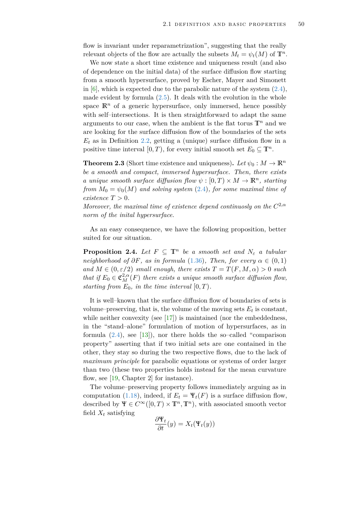flow is invariant under reparametrization", suggesting that the really relevant objects of the flow are actually the subsets  $M_t = \psi_t(M)$  of  $\mathbb{T}^n$ .

We now state a short time existence and uniqueness result (and also of dependence on the initial data) of the surface diffusion flow starting from a smooth hypersurface, proved by Escher, Mayer and Simonett in  $[6]$ , which is expected due to the parabolic nature of the system  $(2.4)$ , made evident by formula  $(2.5)$ . It deals with the evolution in the whole space  $\mathbb{R}^n$  of a generic hypersurface, only immersed, hence possibly with self–intersections. It is then straightforward to adapt the same arguments to our case, when the ambient is the flat torus  $\mathbb{T}^n$  and we are looking for the surface diffusion flow of the boundaries of the sets  $E_t$  as in Definition [2.2,](#page-49-1) getting a (unique) surface diffusion flow in a positive time interval  $[0, T)$ , for every initial smooth set  $E_0 \subseteq \mathbb{T}^n$ .

**Theorem 2.3** (Short time existence and uniqueness). Let  $\psi_0 : M \to \mathbb{R}^n$ *be a smooth and compact, immersed hypersurface. Then, there exists a unique smooth surface diffusion flow*  $\psi : [0, T) \times M \to \mathbb{R}^n$ , starting *from*  $M_0 = \psi_0(M)$  *and solving system* [\(2.4\)](#page-50-0)*, for some maximal time of*  $ext{extence } T > 0.$ 

*Moreover, the maximal time of existence depend continuosly on the C* 2,*α norm of the inital hypersurface.*

As an easy consequence, we have the following proposition, better suited for our situation.

<span id="page-51-0"></span>**Proposition 2.4.** *Let*  $F \subseteq \mathbb{T}^n$  *be a smooth set and*  $N_{\varepsilon}$  *a tubular neighborhood of*  $\partial F$ *, as in formula* [\(1.36\)](#page-22-2)*, Then, for every*  $\alpha \in (0,1)$ *and*  $M \in (0, \varepsilon/2)$  *small enough, there exists*  $T = T(F, M, \alpha) > 0$  *such that if*  $E_0 \in \mathfrak{C}_M^{2,\alpha}(F)$  *there exists a unique smooth surface diffusion flow, starting from*  $E_0$ *, in the time interval*  $[0, T)$ *.* 

It is well–known that the surface diffusion flow of boundaries of sets is volume–preserving, that is, the volume of the moving sets  $E_t$  is constant, while neither convexity (see  $[17]$ ) is maintained (nor the embeddedness, in the "stand–alone" formulation of motion of hypersurfaces, as in formula  $(2.4)$ , see [\[13\]](#page-79-2)), nor there holds the so-called "comparison property" asserting that if two initial sets are one contained in the other, they stay so during the two respective flows, due to the lack of *maximum principle* for parabolic equations or systems of order larger than two (these two properties holds instead for the mean curvature flow, see [\[19,](#page-80-0) Chapter 2] for instance).

The volume–preserving property follows immediately arguing as in computation [\(1.18\)](#page-13-0), indeed, if  $E_t = \Psi_t(F)$  is a surface diffusion flow, described by  $\Psi \in C^{\infty}([0, T) \times \mathbb{T}^n, \mathbb{T}^n)$ , with associated smooth vector field  $X_t$  satisfying

$$
\frac{\partial \Psi_t}{\partial t}(y) = X_t(\Psi_t(y))
$$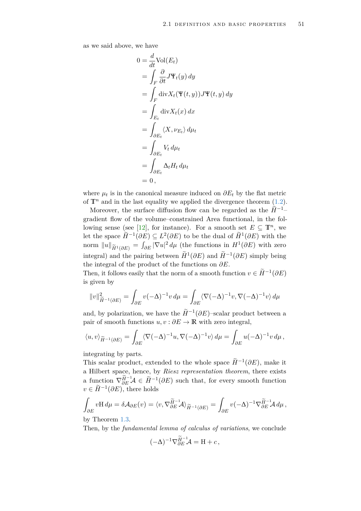as we said above, we have

$$
0 = \frac{d}{dt} \text{Vol}(E_t)
$$
  
=  $\int_F \frac{\partial}{\partial t} J \Psi_t(y) dy$   
=  $\int_F \text{div} X_t (\Psi(t, y)) J \Psi(t, y) dy$   
=  $\int_{E_t} \text{div} X_t(x) dx$   
=  $\int_{\partial E_t} \langle X, \nu_{E_t} \rangle d\mu_t$   
=  $\int_{\partial E_t} V_t d\mu_t$   
=  $\int_{\partial E_t} \Delta_t H_t d\mu_t$   
= 0,

where  $\mu_t$  is in the canonical measure induced on  $\partial E_t$  by the flat metric of  $\mathbb{T}^n$  and in the last equality we applied the divergence theorem [\(1.2\)](#page-8-0).

Moreover, the surface diffusion flow can be regarded as the  $\tilde{H}^{-1}$ – gradient flow of the volume–constrained Area functional, in the fol-lowing sense (see [\[12\]](#page-79-3), for instance). For a smooth set  $E \subseteq \mathbb{T}^n$ , we let the space  $\widetilde{H}^{-1}(\partial E) \subseteq L^2(\partial E)$  to be the dual of  $\widetilde{H}^1(\partial E)$  with the norm  $||u||_{\widetilde{H}^1(\partial E)} = \int_{\partial E} |\nabla u|^2 d\mu$  (the functions in  $H^1(\partial E)$  with zero integral) and the pairing between  $\widetilde{H}^1(\partial E)$  and  $\widetilde{H}^{-1}(\partial E)$  simply being the integral of the product of the functions on *∂E*.

Then, it follows easily that the norm of a smooth function  $v \in \widetilde{H}^{-1}(\partial E)$ is given by

$$
||v||_{\widetilde{H}^{-1}(\partial E)}^2 = \int_{\partial E} v(-\Delta)^{-1}v \, d\mu = \int_{\partial E} \langle \nabla (-\Delta)^{-1}v, \nabla (-\Delta)^{-1}v \rangle \, d\mu
$$

and, by polarization, we have the  $\widetilde{H}^{-1}(\partial E)$ -scalar product between a pair of smooth functions  $u, v : \partial E \to \mathbb{R}$  with zero integral,

$$
\langle u, v \rangle_{\widetilde{H}^{-1}(\partial E)} = \int_{\partial E} \langle \nabla (-\Delta)^{-1} u, \nabla (-\Delta)^{-1} v \rangle \, d\mu = \int_{\partial E} u(-\Delta)^{-1} v \, d\mu,
$$

integrating by parts.

This scalar product, extended to the whole space  $\widetilde{H}^{-1}(\partial E)$ , make it a Hilbert space, hence, by *Riesz representation theorem*, there exists a function  $\nabla_{\partial E}^{\widetilde{H}^{-1}} \mathcal{A} \in \widetilde{H}^{-1}(\partial E)$  such that, for every smooth function  $v \in \widetilde{H}^{-1}(\partial E)$ , there holds

$$
\int_{\partial E} v \mathbf{H} \, d\mu = \delta \mathcal{A}_{\partial E}(v) = \langle v, \nabla_{\partial E} \tilde{H}^{-1} \mathcal{A} \rangle_{\widetilde{H}^{-1}(\partial E)} = \int_{\partial E} v(-\Delta)^{-1} \nabla_{\partial E} \tilde{H}^{-1} \mathcal{A} \, d\mu,
$$

by Theorem [1.3.](#page-11-0)

Then, by the *fundamental lemma of calculus of variations*, we conclude

$$
(-\Delta)^{-1}\nabla_{\partial E}^{\widetilde{H}^{-1}}\mathcal{A} = \mathbf{H} + c,
$$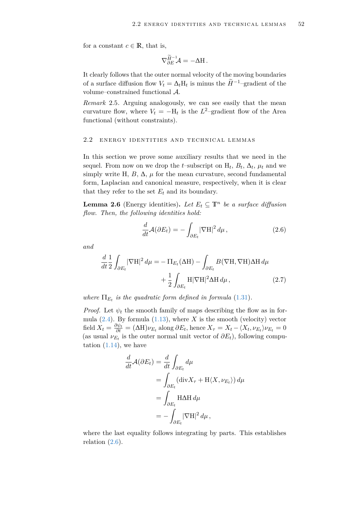for a constant  $c \in \mathbb{R}$ , that is,

$$
\nabla_{\partial E}^{\widetilde{H}^{-1}} \mathcal{A} = -\Delta H.
$$

It clearly follows that the outer normal velocity of the moving boundaries of a surface diffusion flow  $V_t = \Delta_t H_t$  is minus the  $\widetilde{H}^{-1}$ –gradient of the volume–constrained functional A.

*Remark* 2.5*.* Arguing analogously, we can see easily that the mean curvature flow, where  $V_t = -H_t$  is the  $L^2$ -gradient flow of the Area functional (without constraints).

## 2.2 ENERGY IDENTITIES AND TECHNICAL LEMMAS

In this section we prove some auxiliary results that we need in the sequel. From now on we drop the *t*-subscript on  $H_t$ ,  $B_t$ ,  $\Delta_t$ ,  $\mu_t$  and we simply write H,  $B$ ,  $\Delta$ ,  $\mu$  for the mean curvature, second fundamental form, Laplacian and canonical measure, respectively, when it is clear that they refer to the set  $E_t$  and its boundary.

<span id="page-53-2"></span>**Lemma 2.6** (Energy identities). Let  $E_t \subseteq \mathbb{T}^n$  be a surface diffusion *flow. Then, the following identities hold:*

<span id="page-53-1"></span><span id="page-53-0"></span>
$$
\frac{d}{dt}\mathcal{A}(\partial E_t) = -\int_{\partial E_t} |\nabla H|^2 d\mu, \qquad (2.6)
$$

*and*

$$
\frac{d}{dt} \frac{1}{2} \int_{\partial E_t} |\nabla \mathbf{H}|^2 d\mu = -\Pi_{E_t} (\Delta \mathbf{H}) - \int_{\partial E_t} B(\nabla \mathbf{H}, \nabla \mathbf{H}) \Delta \mathbf{H} d\mu \n+ \frac{1}{2} \int_{\partial E_t} \mathbf{H} |\nabla \mathbf{H}|^2 \Delta \mathbf{H} d\mu,
$$
\n(2.7)

*where*  $\Pi_{E_t}$  *is the quadratic form defined in formula* [\(1.31\)](#page-21-0)*.* 

*Proof.* Let  $\psi_t$  the smooth family of maps describing the flow as in formula  $(2.4)$ . By formula  $(1.13)$ , where *X* is the smooth (velocity) vector field  $X_t = \frac{\partial \psi_t}{\partial t} = (\Delta H)\nu_{E_t}$  along  $\partial E_t$ , hence  $X_\tau = X_t - \langle X_t, \nu_{E_t} \rangle \nu_{E_t} = 0$ (as usual  $\nu_{E_t}$  is the outer normal unit vector of  $\partial E_t$ ), following computation  $(1.14)$ , we have

$$
\frac{d}{dt}\mathcal{A}(\partial E_t) = \frac{d}{dt} \int_{\partial E_t} d\mu
$$
  
= 
$$
\int_{\partial E_t} (\text{div} X_\tau + \text{H} \langle X, \nu_{E_t} \rangle) d\mu
$$
  
= 
$$
\int_{\partial E_t} \text{H} \Delta \text{H} d\mu
$$
  
= 
$$
-\int_{\partial E_t} |\nabla \text{H}|^2 d\mu,
$$

where the last equality follows integrating by parts. This establishes relation  $(2.6)$ .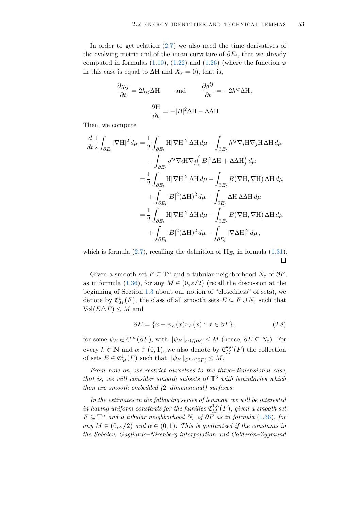In order to get relation [\(2.7\)](#page-53-1) we also need the time derivatives of the evolving metric and of the mean curvature of  $\partial E_t$ , that we already computed in formulas [\(1.10\)](#page-11-2), [\(1.22\)](#page-16-0) and [\(1.26\)](#page-18-0) (where the function  $\varphi$ in this case is equal to  $\Delta H$  and  $X_\tau = 0$ , that is,

$$
\frac{\partial g_{ij}}{\partial t} = 2h_{ij}\Delta H \quad \text{and} \quad \frac{\partial g^{ij}}{\partial t} = -2h^{ij}\Delta H,
$$

$$
\frac{\partial H}{\partial t} = -|B|^2 \Delta H - \Delta \Delta H
$$

Then, we compute

$$
\frac{d}{dt} \frac{1}{2} \int_{\partial E_t} |\nabla \mathbf{H}|^2 d\mu = \frac{1}{2} \int_{\partial E_t} \mathbf{H} |\nabla \mathbf{H}|^2 \Delta \mathbf{H} d\mu - \int_{\partial E_t} h^{ij} \nabla_i \mathbf{H} \nabla_j \mathbf{H} \Delta \mathbf{H} d\mu \n- \int_{\partial E_t} g^{ij} \nabla_i \mathbf{H} \nabla_j \left( |B|^2 \Delta \mathbf{H} + \Delta \Delta \mathbf{H} \right) d\mu \n= \frac{1}{2} \int_{\partial E_t} \mathbf{H} |\nabla \mathbf{H}|^2 \Delta \mathbf{H} d\mu - \int_{\partial E_t} B(\nabla \mathbf{H}, \nabla \mathbf{H}) \Delta \mathbf{H} d\mu \n+ \int_{\partial E_t} |B|^2 (\Delta \mathbf{H})^2 d\mu + \int_{\partial E_t} \Delta \mathbf{H} \Delta \Delta \mathbf{H} d\mu \n= \frac{1}{2} \int_{\partial E_t} \mathbf{H} |\nabla \mathbf{H}|^2 \Delta \mathbf{H} d\mu - \int_{\partial E_t} B(\nabla \mathbf{H}, \nabla \mathbf{H}) \Delta \mathbf{H} d\mu \n+ \int_{\partial E_t} |B|^2 (\Delta \mathbf{H})^2 d\mu - \int_{\partial E_t} |\nabla \Delta \mathbf{H}|^2 d\mu,
$$

which is formula [\(2.7\)](#page-53-1), recalling the definition of  $\Pi_{E_t}$  in formula [\(1.31\)](#page-21-0).  $\Box$ 

Given a smooth set  $F \subseteq \mathbb{T}^n$  and a tubular neighborhood  $N_{\varepsilon}$  of  $\partial F$ , as in formula [\(1.36\)](#page-22-2), for any  $M \in (0, \varepsilon/2)$  (recall the discussion at the beginning of Section [1.3](#page-22-4) about our notion of "closedness" of sets), we denote by  $\mathfrak{C}_M^1(F)$ , the class of all smooth sets  $E \subseteq F \cup N_{\varepsilon}$  such that  $Vol(E \triangle F) \leq M$  and

<span id="page-54-0"></span>
$$
\partial E = \{x + \psi_E(x)\nu_F(x) : x \in \partial F\},\tag{2.8}
$$

for some  $\psi_E \in C^{\infty}(\partial F)$ , with  $\|\psi_E\|_{C^1(\partial F)} \leq M$  (hence,  $\partial E \subseteq N_{\varepsilon}$ ). For every  $k \in \mathbb{N}$  and  $\alpha \in (0, 1)$ , we also denote by  $\mathfrak{C}_M^{k, \alpha}(F)$  the collection of sets  $E \in \mathfrak{C}_M^1(F)$  such that  $\|\psi_E\|_{C^{k,\alpha}(\partial F)} \leq M$ .

*From now on, we restrict ourselves to the three–dimensional case, that is, we will consider smooth subsets of* **T**<sup>3</sup> *with boundaries which then are smooth embedded (*2*–dimensional) surfaces.*

*In the estimates in the following series of lemmas, we will be interested*  $i$ *n having uniform constants for the families*  $\mathfrak{C}^{1,\alpha}_M(F)$ *, given a smooth set*  $F \subseteq \mathbb{T}^n$  *and a tubular neighborhood*  $N_{\varepsilon}$  *of*  $\partial F$  *as in formula* [\(1.36\)](#page-22-2)*, for any*  $M \in (0, \varepsilon/2)$  *and*  $\alpha \in (0, 1)$ *. This is guaranteed if the constants in the Sobolev, Gagliardo–Nirenberg interpolation and Calderón–Zygmund*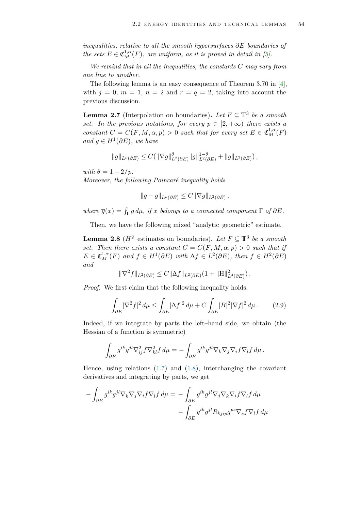*inequalities, relative to all the smooth hypersurfaces ∂E boundaries of the sets*  $E \in \mathfrak{C}_M^{1,\alpha}(F)$ , are uniform, as it is proved in detail in [\[5\]](#page-79-4).

*We remind that in all the inequalities, the constants C may vary from one line to another.*

The following lemma is an easy consequence of Theorem 3.70 in [\[4\]](#page-79-0), with  $j = 0$ ,  $m = 1$ ,  $n = 2$  and  $r = q = 2$ , taking into account the previous discussion.

<span id="page-55-1"></span>**Lemma 2.7** (Interpolation on boundaries). Let  $F \subseteq \mathbb{T}^3$  be a smooth *set.* In the previous notations, for every  $p \in [2, +\infty)$  there exists a *constant*  $C = C(F, M, \alpha, p) > 0$  *such that for every set*  $E \in \mathfrak{C}_M^{1,\alpha}(F)$ *and*  $g$  ∈  $H$ <sup>1</sup>( $\partial$ E)*,* we have

$$
||g||_{L^{p}(\partial E)} \leq C(||\nabla g||^{\theta}_{L^{2}(\partial E)} ||g||^{1-\theta}_{L^{2}(\partial E)} + ||g||_{L^{2}(\partial E)}),
$$

*with*  $\theta = 1 - 2/p$ *.* 

*Moreover, the following Poincaré inequality holds*

$$
||g - \overline{g}||_{L^p(\partial E)} \leq C||\nabla g||_{L^2(\partial E)},
$$

*where*  $\overline{g}(x) = \int_{\Gamma} g d\mu$ , *if x belongs to a connected component*  $\Gamma$  *of*  $\partial E$ *.* 

Then, we have the following mixed "analytic–geometric" estimate.

<span id="page-55-2"></span>**Lemma 2.8** ( $H^2$ –estimates on boundaries). Let  $F \subseteq \mathbb{T}^3$  be a smooth *set.* Then there exists a constant  $C = C(F, M, \alpha, p) > 0$  such that if  $E \in \mathfrak{C}_M^{1,\alpha}(F)$  and  $f \in H^1(\partial E)$  with  $\Delta f \in L^2(\partial E)$ , then  $f \in H^2(\partial E)$ *and*

<span id="page-55-0"></span>
$$
\|\nabla^2 f\|_{L^2(\partial E)} \leq C \|\Delta f\|_{L^2(\partial E)} (1 + \|H\|_{L^4(\partial E)}^2).
$$

*Proof.* We first claim that the following inequality holds,

$$
\int_{\partial E} |\nabla^2 f|^2 \, d\mu \le \int_{\partial E} |\Delta f|^2 \, d\mu + C \int_{\partial E} |B|^2 |\nabla f|^2 \, d\mu. \tag{2.9}
$$

Indeed, if we integrate by parts the left–hand side, we obtain (the Hessian of a function is symmetric)

$$
\int_{\partial E} g^{ik} g^{jl} \nabla_{ij}^2 f \nabla_{kl}^2 f d\mu = - \int_{\partial E} g^{ik} g^{jl} \nabla_k \nabla_j \nabla_i f \nabla_l f d\mu.
$$

Hence, using relations  $(1.7)$  and  $(1.8)$ , interchanging the covariant derivatives and integrating by parts, we get

$$
-\int_{\partial E} g^{ik} g^{jl} \nabla_k \nabla_j \nabla_i f \nabla_l f \, d\mu = -\int_{\partial E} g^{ik} g^{jl} \nabla_j \nabla_k \nabla_i f \nabla_l f \, d\mu -\int_{\partial E} g^{ik} g^{jl} R_{kjip} g^{ps} \nabla_s f \nabla_l f \, d\mu
$$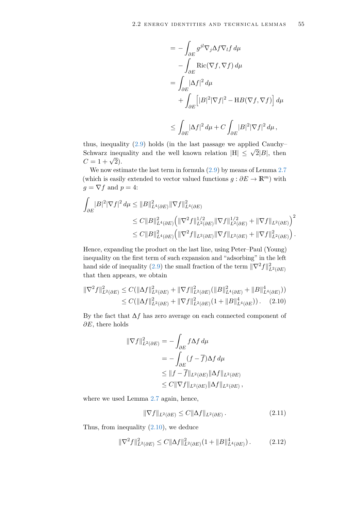$$
= -\int_{\partial E} g^{jl} \nabla_j \Delta f \nabla_l f \, d\mu
$$
  

$$
- \int_{\partial E} \text{Ric}(\nabla f, \nabla f) \, d\mu
$$
  

$$
= \int_{\partial E} |\Delta f|^2 \, d\mu
$$
  

$$
+ \int_{\partial E} [|B|^2 |\nabla f|^2 - \text{H}B(\nabla f, \nabla f)] \, d\mu
$$
  

$$
\leq \int_{\partial E} |\Delta f|^2 \, d\mu + C \int_{\partial E} |B|^2 |\nabla f|^2 \, d\mu,
$$

thus, inequality  $(2.9)$  holds (in the last passage we applied Cauchy– Schwarz inequality and the well known relation  $|H| \leq \sqrt{2}|B|$ , then  $C = 1 + \sqrt{2}$ .

We now estimate the last term in formula [\(2.9\)](#page-55-0) by means of Lemma [2.7](#page-55-1) (which is easily extended to vector valued functions  $g : \partial E \to \mathbb{R}^m$ ) with  $g = \nabla f$  and  $p = 4$ :

$$
\int_{\partial E} |B|^2 |\nabla f|^2 d\mu \leq \|B\|_{L^4(\partial E)}^2 \|\nabla f\|_{L^4(\partial E)}^2
$$
  
\n
$$
\leq C \|B\|_{L^4(\partial E)}^2 \Big( \|\nabla^2 f\|_{L^2(\partial E)}^{1/2} \|\nabla f\|_{L^2(\partial E)}^{1/2} + \|\nabla f\|_{L^2(\partial E)} \Big)^2
$$
  
\n
$$
\leq C \|B\|_{L^4(\partial E)}^2 \Big( \|\nabla^2 f\|_{L^2(\partial E)} \|\nabla f\|_{L^2(\partial E)} + \|\nabla f\|_{L^2(\partial E)}^2 \Big).
$$

Hence, expanding the product on the last line, using Peter–Paul (Young) inequality on the first term of such expansion and "adsorbing" in the left hand side of inequality [\(2.9\)](#page-55-0) the small fraction of the term  $\|\nabla^2 f\|_{L^2(\partial E)}^2$ that then appears, we obtain

$$
\|\nabla^2 f\|_{L^2(\partial E)}^2 \le C(\|\Delta f\|_{L^2(\partial E)}^2 + \|\nabla f\|_{L^2(\partial E)}^2 (\|B\|_{L^4(\partial E)}^2 + \|B\|_{L^4(\partial E)}^4))
$$
  
\n
$$
\le C(\|\Delta f\|_{L^2(\partial E)}^2 + \|\nabla f\|_{L^2(\partial E)}^2 (1 + \|B\|_{L^4(\partial E)}^4)).
$$
 (2.10)

By the fact that ∆*f* has zero average on each connected component of *∂E*, there holds

<span id="page-56-0"></span>
$$
\begin{aligned} \|\nabla f\|_{L^2(\partial E)}^2 &= -\int_{\partial E} f \Delta f \, d\mu \\ &= -\int_{\partial E} (f - \overline{f}) \Delta f \, d\mu \\ &\le \|f - \overline{f}\|_{L^2(\partial E)} \|\Delta f\|_{L^2(\partial E)} \\ &\le C \|\nabla f\|_{L^2(\partial E)} \|\Delta f\|_{L^2(\partial E)} \,, \end{aligned}
$$

where we used Lemma  $2.7$  again, hence,

<span id="page-56-2"></span><span id="page-56-1"></span>
$$
\|\nabla f\|_{L^2(\partial E)} \le C \|\Delta f\|_{L^2(\partial E)}.
$$
\n(2.11)

Thus, from inequality  $(2.10)$ , we deduce

$$
\|\nabla^2 f\|_{L^2(\partial E)}^2 \le C \|\Delta f\|_{L^2(\partial E)}^2 (1 + \|B\|_{L^4(\partial E)}^4). \tag{2.12}
$$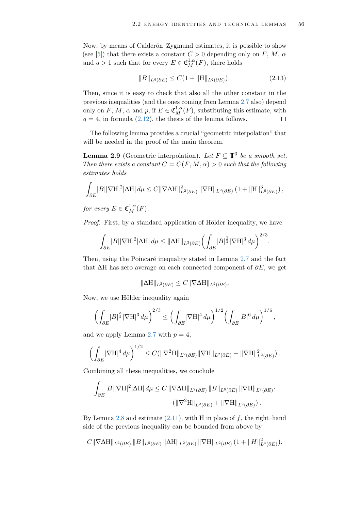Now, by means of Calderón–Zygmund estimates, it is possible to show (see [\[5\]](#page-79-4)) that there exists a constant  $C > 0$  depending only on  $F, M, \alpha$ and  $q > 1$  such that for every  $E \in \mathfrak{C}^{1,\alpha}_M(F)$ , there holds

<span id="page-57-0"></span>
$$
||B||_{L^{q}(\partial E)} \le C(1 + ||H||_{L^{q}(\partial E)}).
$$
\n(2.13)

Then, since it is easy to check that also all the other constant in the previous inequalities (and the ones coming from Lemma [2.7](#page-55-1) also) depend only on *F*, *M*,  $\alpha$  and  $p$ , if  $E \in \mathfrak{C}_M^{1,\alpha}(F)$ , substituting this estimate, with  $q = 4$ , in formula [\(2.12\)](#page-56-1), the thesis of the lemma follows.  $\Box$ 

The following lemma provides a crucial "geometric interpolation" that will be needed in the proof of the main theorem.

<span id="page-57-1"></span>**Lemma 2.9** (Geometric interpolation). Let  $F \subseteq \mathbb{T}^3$  be a smooth set. *Then there exists a constant*  $C = C(F, M, \alpha) > 0$  *such that the following estimates holds*

$$
\int_{\partial E} |B| |\nabla \mathcal{H}|^2 |\Delta \mathcal{H}| d\mu \leq C \|\nabla \Delta \mathcal{H}\|_{L^2(\partial E)}^2 \|\nabla \mathcal{H}\|_{L^2(\partial E)} (1 + \|\mathcal{H}\|_{L^6(\partial E)}^3),
$$

*for every*  $E \in \mathfrak{C}_M^{1,\alpha}(F)$ *.* 

*Proof.* First, by a standard application of Hölder inequality, we have

$$
\int_{\partial E} |B| |\nabla H|^2 |\Delta H| \, d\mu \leq \|\Delta H\|_{L^3(\partial E)} \left( \int_{\partial E} |B|^{\frac{3}{2}} |\nabla H|^3 \, d\mu \right)^{2/3}.
$$

Then, using the Poincaré inequality stated in Lemma [2.7](#page-55-1) and the fact that ∆H has zero average on each connected component of *∂E*, we get

$$
\|\Delta H\|_{L^3(\partial E)} \leq C\|\nabla \Delta H\|_{L^2(\partial E)}.
$$

Now, we use Hölder inequality again

$$
\left(\int_{\partial E} |B|^{\frac{3}{2}} |\nabla H|^3 \, d\mu\right)^{2/3} \le \left(\int_{\partial E} |\nabla H|^4 \, d\mu\right)^{1/2} \left(\int_{\partial E} |B|^6 \, d\mu\right)^{1/6},
$$

and we apply Lemma [2.7](#page-55-1) with  $p = 4$ ,

$$
\left(\int_{\partial E} |\nabla \mathcal{H}|^4 d\mu\right)^{1/2} \leq C(||\nabla^2 \mathcal{H}||_{L^2(\partial E)} ||\nabla \mathcal{H}||_{L^2(\partial E)} + ||\nabla \mathcal{H}||_{L^2(\partial E)}^2).
$$

Combining all these inequalities, we conclude

$$
\int_{\partial E} |B||\nabla H|^2 |\Delta H| d\mu \leq C \|\nabla \Delta H\|_{L^2(\partial E)} \|B\|_{L^6(\partial E)} \|\nabla H\|_{L^2(\partial E)}.
$$

$$
\cdot (\|\nabla^2 H\|_{L^2(\partial E)} + \|\nabla H\|_{L^2(\partial E)}).
$$

By Lemma [2.8](#page-55-2) and estimate [\(2.11\)](#page-56-2), with H in place of *f*, the right–hand side of the previous inequality can be bounded from above by

$$
C\|\nabla\Delta H\|_{L^{2}(\partial E)}\,\|B\|_{L^{6}(\partial E)}\,\|\Delta H\|_{L^{2}(\partial E)}\,\|\nabla H\|_{L^{2}(\partial E)}\,(1+\|H\|_{L^{4}(\partial E)}^{2}).
$$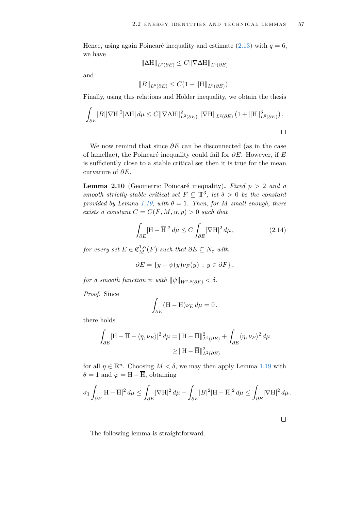Hence, using again Poincaré inequality and estimate  $(2.13)$  with  $q = 6$ , we have

$$
\|\Delta H\|_{L^2(\partial E)} \le C \|\nabla \Delta H\|_{L^2(\partial E)}
$$

and

$$
||B||_{L^{6}(\partial E)} \leq C(1 + ||H||_{L^{6}(\partial E)}).
$$

Finally, using this relations and Hölder inequality, we obtain the thesis

$$
\int_{\partial E} |B||\nabla H|^2 |\Delta H| d\mu \leq C \|\nabla \Delta H\|_{L^2(\partial E)}^2 \|\nabla H\|_{L^2(\partial E)} (1 + \|H\|_{L^6(\partial E)}^3).
$$

We now remind that since *∂E* can be disconnected (as in the case of lamellae), the Poincaré inequality could fail for *∂E*. However, if *E* is sufficiently close to a stable critical set then it is true for the mean curvature of *∂E*.

<span id="page-58-1"></span>**Lemma 2.10** (Geometric Poincaré inequality)**.** *Fixed p >* 2 *and a smooth strictly stable critical set*  $F \subseteq \mathbb{T}^3$ , *let*  $\delta > 0$  *be the constant provided by Lemma [1.19,](#page-44-0) with*  $\theta = 1$ *. Then, for M small enough, there exists a constant*  $C = C(F, M, \alpha, p) > 0$  *such that* 

<span id="page-58-0"></span>
$$
\int_{\partial E} |\mathbf{H} - \overline{\mathbf{H}}|^2 d\mu \le C \int_{\partial E} |\nabla \mathbf{H}|^2 d\mu, \qquad (2.14)
$$

 $for\ every\ set\ E\in \mathfrak{C}_M^{1,\alpha}(F)\ such\ that\ \partial E\subseteq N_\varepsilon\ with$ 

$$
\partial E = \{ y + \psi(y) \nu_F(y) : y \in \partial F \},
$$

*for a smooth function*  $\psi$  *with*  $\|\psi\|_{W^{2,p}(\partial F)} < \delta$ .

*Proof.* Since

$$
\int_{\partial E} (\mathbf{H} - \overline{\mathbf{H}}) \nu_E \, d\mu = 0 \,,
$$

there holds

$$
\int_{\partial E} |\mathbf{H} - \overline{\mathbf{H}} - \langle \eta, \nu_E \rangle|^2 d\mu = ||\mathbf{H} - \overline{\mathbf{H}}||_{L^2(\partial E)}^2 + \int_{\partial E} \langle \eta, \nu_E \rangle^2 d\mu
$$
  

$$
\geq ||\mathbf{H} - \overline{\mathbf{H}}||_{L^2(\partial E)}^2
$$

for all  $\eta \in \mathbb{R}^n$ . Choosing  $M < \delta$ , we may then apply Lemma [1.19](#page-44-0) with  $\theta = 1$  and  $\varphi = H - \overline{H}$ , obtaining

$$
\sigma_1 \int_{\partial E} |\mathbf{H} - \overline{\mathbf{H}}|^2 d\mu \le \int_{\partial E} |\nabla \mathbf{H}|^2 d\mu - \int_{\partial E} |B|^2 |\mathbf{H} - \overline{\mathbf{H}}|^2 d\mu \le \int_{\partial E} |\nabla \mathbf{H}|^2 d\mu.
$$

 $\Box$ 

The following lemma is straightforward.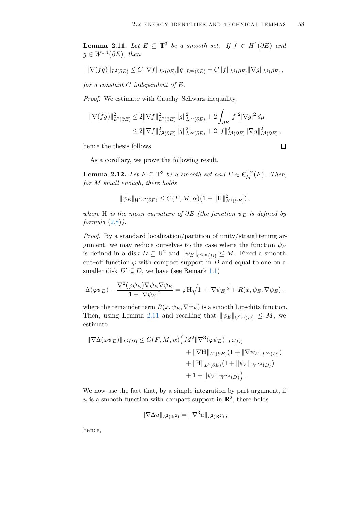<span id="page-59-0"></span>**Lemma 2.11.** *Let*  $E \subseteq \mathbb{T}^3$  *be a smooth set. If*  $f \in H^1(\partial E)$  *and g* ∈  $W^{1,4}(\partial E)$ *, then* 

$$
\|\nabla(fg)\|_{L^2(\partial E)} \leq C\|\nabla f\|_{L^2(\partial E)}\|g\|_{L^\infty(\partial E)} + C\|f\|_{L^4(\partial E)}\|\nabla g\|_{L^4(\partial E)},
$$

*for a constant C independent of E.*

*Proof.* We estimate with Cauchy–Schwarz inequality,

$$
\begin{aligned} \|\nabla(fg)\|_{L^2(\partial E)}^2 &\le 2\|\nabla f\|_{L^2(\partial E)}^2\|g\|_{L^\infty(\partial E)}^2 + 2\int_{\partial E}|f|^2|\nabla g|^2\,d\mu \\ &\le 2\|\nabla f\|_{L^2(\partial E)}^2\|g\|_{L^\infty(\partial E)}^2 + 2\|f\|_{L^4(\partial E)}^2\|\nabla g\|_{L^4(\partial E)}^2\,, \end{aligned}
$$

hence the thesis follows.

 $\Box$ 

As a corollary, we prove the following result.

<span id="page-59-1"></span>**Lemma 2.12.** *Let*  $F \subseteq \mathbb{T}^3$  *be a smooth set and*  $E \in \mathfrak{C}_M^{1,\alpha}(F)$ *. Then, for M small enough, there holds*

$$
\|\psi_E\|_{W^{3,2}(\partial F)} \le C(F, M, \alpha) \left(1 + \|H\|_{H^1(\partial E)}^2\right),
$$

*where* H *is the mean curvature of*  $\partial E$  *(the function*  $\psi_E$  *is defined by formula* [\(2.8\)](#page-54-0)*).*

*Proof.* By a standard localization/partition of unity/straightening argument, we may reduce ourselves to the case where the function  $\psi_E$ is defined in a disk  $D \subseteq \mathbb{R}^2$  and  $\|\psi_E\|_{C^{1,\alpha}(D)} \leq M$ . Fixed a smooth cut–off function  $\varphi$  with compact support in  $D$  and equal to one on a smaller disk  $D' \subseteq D$ , we have (see Remark [1.1\)](#page-9-0)

$$
\Delta(\varphi\psi_E) - \frac{\nabla^2(\varphi\psi_E)\nabla\psi_E\nabla\psi_E}{1+|\nabla\psi_E|^2} = \varphi H \sqrt{1+|\nabla\psi_E|^2} + R(x,\psi_E,\nabla\psi_E),
$$

where the remainder term  $R(x, \psi_E, \nabla \psi_E)$  is a smooth Lipschitz function. Then, using Lemma [2.11](#page-59-0) and recalling that  $\|\psi_E\|_{C^{1,\alpha}(D)} \leq M$ , we estimate

$$
\|\nabla\Delta(\varphi\psi_E)\|_{L^2(D)} \le C(F, M, \alpha) \Big(M^2 \|\nabla^3(\varphi\psi_E)\|_{L^2(D)} + \|\nabla H\|_{L^2(\partial E)} (1 + \|\nabla\psi_E\|_{L^\infty(D)}) + \|\nabla H\|_{L^4(\partial E)} (1 + \|\psi_E\|_{W^{2,4}(D)}) + 1 + \|\psi_E\|_{W^{2,4}(D)}\Big).
$$

We now use the fact that, by a simple integration by part argument, if u is a smooth function with compact support in  $\mathbb{R}^2$ , there holds

$$
\|\nabla \Delta u\|_{L^2(\mathbb{R}^2)} = \|\nabla^3 u\|_{L^2(\mathbb{R}^2)},
$$

hence,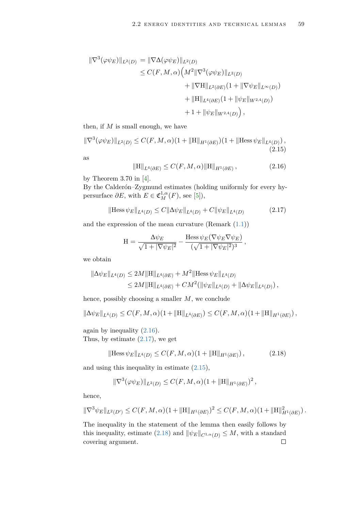$$
\|\nabla^{3}(\varphi\psi_{E})\|_{L^{2}(D)} = \|\nabla\Delta(\varphi\psi_{E})\|_{L^{2}(D)}
$$
  
\n
$$
\leq C(F, M, \alpha) \Big(M^{2} \|\nabla^{3}(\varphi\psi_{E})\|_{L^{2}(D)} + \|\nabla H\|_{L^{2}(\partial E)} (1 + \|\nabla\psi_{E}\|_{L^{\infty}(D)}) + \|\nabla H\|_{L^{4}(\partial E)} (1 + \|\psi_{E}\|_{W^{2,4}(D)}) + 1 + \|\psi_{E}\|_{W^{2,4}(D)}\Big),
$$

then, if *M* is small enough, we have

$$
\|\nabla^3(\varphi\psi_E)\|_{L^2(D)} \le C(F, M, \alpha)(1 + \|H\|_{H^1(\partial E)})(1 + \|H\|_{L^4(D)}),
$$
\n(2.15)

as

<span id="page-60-2"></span><span id="page-60-1"></span><span id="page-60-0"></span>
$$
\|\mathbf{H}\|_{L^{4}(\partial E)} \le C(F, M, \alpha) \|\mathbf{H}\|_{H^{1}(\partial E)},
$$
\n(2.16)

by Theorem 3.70 in [\[4\]](#page-79-0).

By the Calderón–Zygmund estimates (holding uniformly for every hypersurface  $\partial E$ , with  $E \in \mathfrak{C}_M^{1,\alpha}(F)$ , see [\[5\]](#page-79-4)),

$$
\|\text{Hess}\,\psi_E\|_{L^4(D)} \le C\|\Delta\psi_E\|_{L^4(D)} + C\|\psi_E\|_{L^4(D)}\tag{2.17}
$$

and the expression of the mean curvature  $(Remark (1.1))$  $(Remark (1.1))$  $(Remark (1.1))$ 

$$
H = \frac{\Delta \psi_E}{\sqrt{1 + |\nabla \psi_E|^2}} - \frac{\text{Hess}\,\psi_E(\nabla \psi_E \nabla \psi_E)}{(\sqrt{1 + |\nabla \psi_E|^2})^3},
$$

we obtain

$$
\|\Delta \psi_E\|_{L^4(D)} \le 2M \|H\|_{L^4(\partial E)} + M^2 \|\text{Hess}\,\psi_E\|_{L^4(D)}
$$
  

$$
\le 2M \|H\|_{L^4(\partial E)} + CM^2(\|\psi_E\|_{L^4(D)} + \|\Delta \psi_E\|_{L^4(D)}),
$$

hence, possibly choosing a smaller *M*, we conclude

$$
\|\Delta \psi_E\|_{L^4(D)} \leq C(F, M, \alpha)(1 + \|H\|_{L^4(\partial E)}) \leq C(F, M, \alpha)(1 + \|H\|_{H^1(\partial E)}),
$$

again by inequality [\(2.16\)](#page-60-0).

Thus, by estimate  $(2.17)$ , we get

$$
\|\text{Hess}\,\psi_E\|_{L^4(D)} \le C(F, M, \alpha)(1 + \|H\|_{H^1(\partial E)}),\tag{2.18}
$$

and using this inequality in estimate [\(2.15\)](#page-60-2),

<span id="page-60-3"></span>
$$
\|\nabla^3(\varphi\psi_E)\|_{L^2(D)} \leq C(F, M, \alpha)(1 + \|H\|_{H^1(\partial E)})^2,
$$

hence,

$$
\|\nabla^3 \psi_E\|_{L^2(D')} \leq C(F, M, \alpha) (1 + \|H\|_{H^1(\partial E)})^2 \leq C(F, M, \alpha) (1 + \|H\|_{H^1(\partial E)}^2).
$$

The inequality in the statement of the lemma then easily follows by this inequality, estimate [\(2.18\)](#page-60-3) and  $\|\psi_E\|_{C^{1,\alpha}(D)} \leq M$ , with a standard covering argument. $\Box$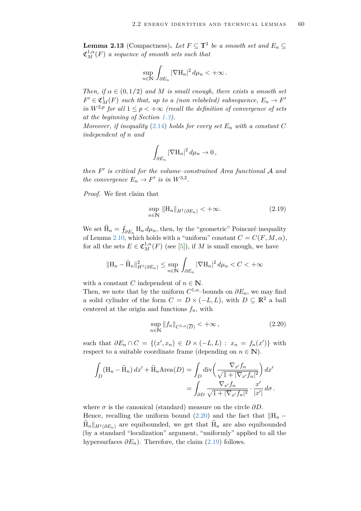<span id="page-61-2"></span>**Lemma 2.13** (Compactness). Let  $F \subseteq \mathbb{T}^3$  be a smooth set and  $E_n \subseteq$  $\mathfrak{C}^{1,\alpha}_M(F)$  *a sequence of smooth sets such that* 

$$
\sup_{n\in\mathbb{N}}\int_{\partial E_n}|\nabla\mathrm{H}_n|^2\,d\mu_n<+\infty\,.
$$

*Then, if*  $\alpha \in (0, 1/2)$  *and M is small enough, there exists a smooth set*  $F' \in \mathfrak{C}_M^1(F)$  *such that, up to a (non relabeled) subsequence,*  $E_n \to F'$ *in*  $W^{2,p}$  for all  $1 \leq p < +\infty$  (recall the definition of convergence of sets *at the beginning of Section [1.3\)](#page-22-4).*

*Moreover, if inequality* [\(2.14\)](#page-58-0) *holds for every set*  $E_n$  *with a constant*  $C$ *independent of n and*

$$
\int_{\partial E_n} |\nabla \mathcal{H}_n|^2 \, d\mu_n \to 0 \,,
$$

*then F* 0 *is critical for the volume–constrained Area functional* A *and the convergence*  $E_n \to F'$  *is in*  $W^{3,2}$ *.* 

*Proof.* We first claim that

<span id="page-61-1"></span>
$$
\sup_{n \in \mathbb{N}} \| \mathbf{H}_n \|_{H^1(\partial E_n)} < +\infty. \tag{2.19}
$$

We set  $H_n = \int_{\partial E_n} H_n d\mu_n$ , then, by the "geometric" Poincaré inequality of Lemma [2.10,](#page-58-1) which holds with a "uniform" constant  $C = C(F, M, \alpha)$ , for all the sets  $E \in \mathfrak{C}_M^{1,\alpha}(F)$  (see [\[5\]](#page-79-4)), if *M* is small enough, we have

$$
\|\mathbf{H}_n - \widetilde{\mathbf{H}}_n\|_{H^1(\partial E_n)}^2 \le \sup_{n \in \mathbb{N}} \int_{\partial E_n} |\nabla \mathbf{H}_n|^2 d\mu_n < C < +\infty
$$

with a constant *C* independent of  $n \in \mathbb{N}$ .

Then, we note that by the uniform  $C^{1,\alpha}$ –bounds on  $\partial E_n$ , we may find a solid cylinder of the form  $C = D \times (-L, L)$ , with  $D \subseteq \mathbb{R}^2$  a ball centered at the origin and functions  $f_n$ , with

<span id="page-61-0"></span>
$$
\sup_{n \in \mathbb{N}} \|f_n\|_{C^{1,\alpha}(\overline{D})} < +\infty,\tag{2.20}
$$

such that  $\partial E_n \cap C = \{(x', x_n) \in D \times (-L, L) : x_n = f_n(x')\}$  with respect to a suitable coordinate frame (depending on  $n \in \mathbb{N}$ ).

$$
\int_{D} (\mathbf{H}_n - \widetilde{\mathbf{H}}_n) dx' + \widetilde{\mathbf{H}}_n \text{Area}(D) = \int_{D} \text{div} \left( \frac{\nabla_{x'} f_n}{\sqrt{1 + |\nabla_{x'} f_n|^2}} \right) dx' \n= \int_{\partial D} \frac{\nabla_{x'} f_n}{\sqrt{1 + |\nabla_{x'} f_n|^2}} \cdot \frac{x'}{|x'|} d\sigma.
$$

where  $\sigma$  is the canonical (standard) measure on the circle  $\partial D$ . Hence, recalling the uniform bound [\(2.20\)](#page-61-0) and the fact that  $\Vert H_n \|H_n\|_{H^1(\partial E_n)}$  are equibounded, we get that  $H_n$  are also equibounded (by a standard "localization" argument, "uniformly" applied to all the hypersurfaces  $\partial E_n$ ). Therefore, the claim [\(2.19\)](#page-61-1) follows.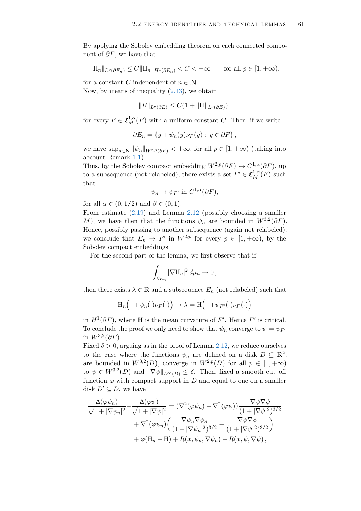By applying the Sobolev embedding theorem on each connected component of *∂F*, we have that

$$
||H_n||_{L^p(\partial E_n)} \leq C||H_n||_{H^1(\partial E_n)} < C < +\infty \quad \text{for all } p \in [1, +\infty).
$$

for a constant *C* independent of  $n \in \mathbb{N}$ . Now, by means of inequality [\(2.13\)](#page-57-0), we obtain

$$
||B||_{L^p(\partial E)} \leq C(1+||H||_{L^p(\partial E)}).
$$

for every  $E \in \mathfrak{C}_M^{1,\alpha}(F)$  with a uniform constant *C*. Then, if we write

$$
\partial E_n = \{ y + \psi_n(y) \nu_F(y) : y \in \partial F \},
$$

we have  $\sup_{n\in\mathbb{N}}\|\psi_n\|_{W^{2,p}(\partial F)} < +\infty$ , for all  $p\in[1,+\infty)$  (taking into account Remark [1.1\)](#page-9-0).

Thus, by the Sobolev compact embedding  $W^{2,p}(\partial F) \hookrightarrow C^{1,\alpha}(\partial F)$ , up to a subsequence (not relabeled), there exists a set  $F' \in \mathfrak{C}_M^{1,\alpha}(F)$  such that

$$
\psi_n \to \psi_{F'}
$$
 in  $C^{1,\alpha}(\partial F)$ ,

for all  $\alpha \in (0, 1/2)$  and  $\beta \in (0, 1)$ .

From estimate [\(2.19\)](#page-61-1) and Lemma [2.12](#page-59-1) (possibly choosing a smaller *M*), we have then that the functions  $\psi_n$  are bounded in  $W^{3,2}(\partial F)$ . Hence, possibly passing to another subsequence (again not relabeled), we conclude that  $E_n \to F'$  in  $W^{2,p}$  for every  $p \in [1, +\infty)$ , by the Sobolev compact embeddings.

For the second part of the lemma, we first observe that if

$$
\int_{\partial E_n} |\nabla \mathcal{H}_n|^2 \, d\mu_n \to 0 \,,
$$

then there exists  $\lambda \in \mathbb{R}$  and a subsequence  $E_n$  (not relabeled) such that

$$
\mathrm{H}_n\Big(\cdot+\psi_n(\cdot)\nu_F(\cdot)\Big)\to\lambda=\mathrm{H}\Big(\cdot+\psi_{F'}(\cdot)\nu_F(\cdot)\Big)
$$

in  $H^1(\partial F)$ , where H is the mean curvature of *F'*. Hence *F'* is critical. To conclude the proof we only need to show that  $\psi_n$  converge to  $\psi = \psi_{F'}$ in  $W^{3,2}(\partial F)$ .

Fixed  $\delta > 0$ , arguing as in the proof of Lemma [2.12,](#page-59-1) we reduce ourselves to the case where the functions  $\psi_n$  are defined on a disk  $D \subseteq \mathbb{R}^2$ , are bounded in  $W^{3,2}(D)$ , converge in  $W^{2,p}(D)$  for all  $p \in [1, +\infty)$ to  $\psi \in W^{3,2}(D)$  and  $\|\nabla \psi\|_{L^{\infty}(D)} \leq \delta$ . Then, fixed a smooth cut–off function  $\varphi$  with compact support in *D* and equal to one on a smaller disk  $D' \subseteq D$ , we have

$$
\frac{\Delta(\varphi\psi_n)}{\sqrt{1+|\nabla\psi_n|^2}} - \frac{\Delta(\varphi\psi)}{\sqrt{1+|\nabla\psi|^2}} = (\nabla^2(\varphi\psi_n) - \nabla^2(\varphi\psi)) \frac{\nabla\psi\nabla\psi}{(1+|\nabla\psi|^2)^{3/2}} \n+ \nabla^2(\varphi\psi_n) \left(\frac{\nabla\psi_n\nabla\psi_n}{(1+|\nabla\psi_n|^2)^{3/2}} - \frac{\nabla\psi\nabla\psi}{(1+|\nabla\psi|^2)^{3/2}}\right) \n+ \varphi(\mathbf{H}_n - \mathbf{H}) + R(x, \psi_n, \nabla\psi_n) - R(x, \psi, \nabla\psi),
$$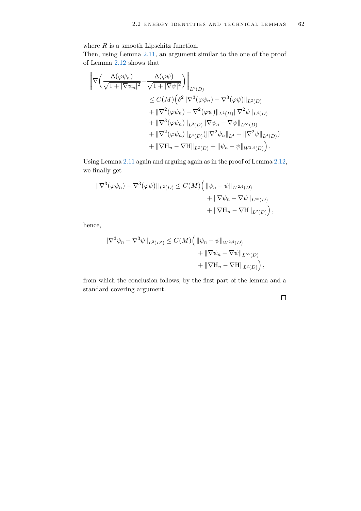where  $R$  is a smooth Lipschitz function.

Then, using Lemma [2.11,](#page-59-0) an argument similar to the one of the proof of Lemma [2.12](#page-59-1) shows that

$$
\begin{split}\n\left\|\nabla \left(\frac{\Delta(\varphi\psi_n)}{\sqrt{1+|\nabla\psi_n|^2}} - \frac{\Delta(\varphi\psi)}{\sqrt{1+|\nabla\psi|^2}}\right)\right\|_{L^2(D)} \\
&\leq C(M) \left(\delta^2 \|\nabla^3(\varphi\psi_n) - \nabla^3(\varphi\psi)\|_{L^2(D)} \\
&+ \|\nabla^2(\varphi\psi_n) - \nabla^2(\varphi\psi)\|_{L^4(D)} \|\nabla^2\psi\|_{L^4(D)} \\
&+ \|\nabla^3(\varphi\psi_n)\|_{L^2(D)} \|\nabla\psi_n - \nabla\psi\|_{L^\infty(D)} \\
&+ \|\nabla^2(\varphi\psi_n)\|_{L^4(D)} (\|\nabla^2\psi_n\|_{L^4} + \|\nabla^2\psi\|_{L^4(D)}) \\
&+ \|\nabla H_n - \nabla H\|_{L^2(D)} + \|\psi_n - \psi\|_{W^{2,4}(D)}\n\end{split}
$$

Using Lemma [2.11](#page-59-0) again and arguing again as in the proof of Lemma [2.12,](#page-59-1) we finally get

$$
\begin{aligned} \|\nabla^3(\varphi\psi_n) - \nabla^3(\varphi\psi)\|_{L^2(D)} &\leq C(M) \Big( \|\psi_n - \psi\|_{W^{2,4}(D)} \\ &+ \|\nabla\psi_n - \nabla\psi\|_{L^\infty(D)} \\ &+ \|\nabla\mathcal{H}_n - \nabla\mathcal{H}\|_{L^2(D)} \Big), \end{aligned}
$$

hence,

$$
\|\nabla^3 \psi_n - \nabla^3 \psi\|_{L^2(D')} \le C(M) \Big( \|\psi_n - \psi\|_{W^{2,4}(D)} + \|\nabla \psi_n - \nabla \psi\|_{L^\infty(D)} + \|\nabla \mathbf{H}_n - \nabla \mathbf{H}\|_{L^2(D)} \Big),
$$

from which the conclusion follows, by the first part of the lemma and a standard covering argument.

 $\Box$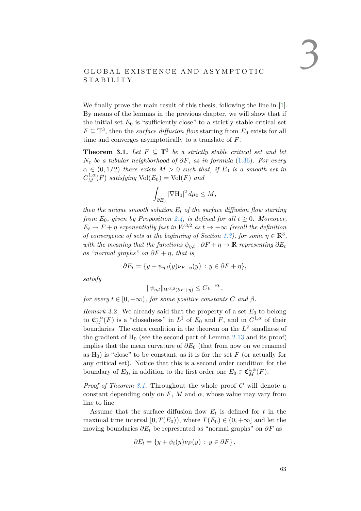# GLOBAL EXISTENCE AND ASYMPTOTIC S TA BILITY

We finally prove the main result of this thesis, following the line in [\[1\]](#page-79-5). By means of the lemmas in the previous chapter, we will show that if the initial set  $E_0$  is "sufficiently close" to a strictly stable critical set  $F \subseteq \mathbb{T}^3$ , then the *surface diffusion flow* starting from  $E_0$  exists for all time and converges asymptotically to a translate of *F*.

<span id="page-64-0"></span>**Theorem 3.1.** Let  $F \subseteq \mathbb{T}^3$  be a strictly stable critical set and let  $N_{\varepsilon}$  *be a tubular neighborhood of*  $\partial F$ *, as in formula* [\(1.36\)](#page-22-2)*. For every*  $\alpha \in (0, 1/2)$  *there exists*  $M > 0$  *such that, if*  $E_0$  *is a smooth set in*  $C_M^{1,\alpha}(F)$  *satisfying*  $Vol(E_0) = Vol(F)$  *and* 

$$
\int_{\partial E_0} |\nabla \mathcal{H}_0|^2 \, d\mu_0 \le M,
$$

*then the unique smooth solution E<sup>t</sup> of the surface diffusion flow starting from*  $E_0$ , given by Proposition [2.4,](#page-51-0) is defined for all  $t \geq 0$ *. Moreover,*  $E_t \to F + \eta$  *exponentially fast in*  $W^{3,2}$  *as*  $t \to +\infty$  *(recall the definition*) *of convergence of sets at the beginning of Section [1.3\)](#page-22-4), for some*  $\eta \in \mathbb{R}^3$ , *with the meaning that the functions*  $\psi_{\eta,t}: \partial F + \eta \to \mathbb{R}$  *representing*  $\partial E_t$ *as "normal graphs" on*  $\partial F + \eta$ , that is,

$$
\partial E_t = \{ y + \psi_{\eta,t}(y)\nu_{F+\eta}(y) : y \in \partial F + \eta \},\
$$

*satisfy*

$$
\|\psi_{\eta,t}\|_{W^{3,2}(\partial F + \eta)} \leq Ce^{-\beta t},
$$

*for every*  $t \in [0, +\infty)$ *, for some positive constants C and*  $\beta$ *.* 

*Remark* 3.2. We already said that the property of a set  $E_0$  to belong to  $\mathfrak{C}_{M}^{1,\alpha}(F)$  is a "closedness" in  $L^1$  of  $E_0$  and  $F$ , and in  $C^{1,\alpha}$  of their boundaries. The extra condition in the theorem on the  $L^2$ -smallness of the gradient of  $H_0$  (see the second part of Lemma [2.13](#page-61-2) and its proof) implies that the mean curvature of *∂E*<sup>0</sup> (that from now on we renamed as  $H_0$ ) is "close" to be constant, as it is for the set  $F$  (or actually for any critical set). Notice that this is a second order condition for the boundary of  $E_0$ , in addition to the first order one  $E_0 \in \mathfrak{C}_M^{1,\alpha}(F)$ .

*Proof of Theorem [3.1.](#page-64-0)* Throughout the whole proof *C* will denote a constant depending only on  $F$ ,  $M$  and  $\alpha$ , whose value may vary from line to line.

Assume that the surface diffusion flow  $E_t$  is defined for  $t$  in the maximal time interval  $[0, T(E_0))$ , where  $T(E_0) \in (0, +\infty]$  and let the moving boundaries  $\partial E_t$  be represented as "normal graphs" on  $\partial F$  as

$$
\partial E_t = \{ y + \psi_t(y) \nu_F(y) : y \in \partial F \},
$$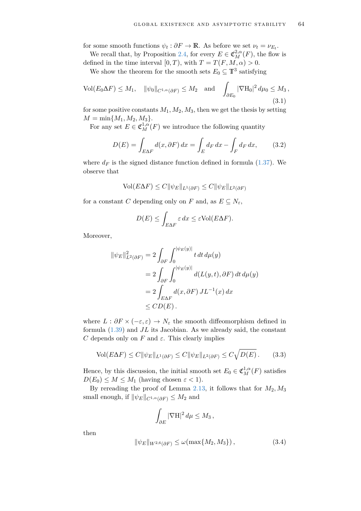for some smooth functions  $\psi_t : \partial F \to \mathbb{R}$ . As before we set  $\nu_t = \nu_{E_t}$ .

We recall that, by Proposition [2.4,](#page-51-0) for every  $E \in \mathfrak{C}_{M}^{2,\alpha}(F)$ , the flow is defined in the time interval  $[0, T)$ , with  $T = T(F, M, \alpha) > 0$ .

We show the theorem for the smooth sets  $E_0 \subseteq \mathbb{T}^3$  satisfying

$$
\text{Vol}(E_0 \Delta F) \le M_1, \quad \|\psi_0\|_{C^{1,\alpha}(\partial F)} \le M_2 \quad \text{and} \quad \int_{\partial E_0} |\nabla \mathcal{H}_0|^2 \, d\mu_0 \le M_3,
$$
\n(3.1)

for some positive constants  $M_1, M_2, M_3$ , then we get the thesis by setting  $M = \min\{M_1, M_2, M_3\}.$ 

For any set  $E \in \mathfrak{C}_M^{1,\alpha}(F)$  we introduce the following quantity

<span id="page-65-1"></span>
$$
D(E) = \int_{E\Delta F} d(x, \partial F) dx = \int_{E} d_F dx - \int_{F} d_F dx, \qquad (3.2)
$$

where  $d_F$  is the signed distance function defined in formula  $(1.37)$ . We observe that

$$
\text{Vol}(E\Delta F) \le C \|\psi_E\|_{L^1(\partial F)} \le C \|\psi_E\|_{L^2(\partial F)}
$$

for a constant *C* depending only on *F* and, as  $E \subseteq N_{\varepsilon}$ ,

<span id="page-65-2"></span>
$$
D(E) \le \int_{E\Delta F} \varepsilon \, dx \le \varepsilon \text{Vol}(E\Delta F).
$$

Moreover,

$$
\begin{aligned} \|\psi_E\|_{L^2(\partial F)}^2 &= 2 \int_{\partial F} \int_0^{|\psi_E(y)|} t \, dt \, d\mu(y) \\ &= 2 \int_{\partial F} \int_0^{|\psi_E(y)|} d(L(y, t), \partial F) \, dt \, d\mu(y) \\ &= 2 \int_{E \Delta F} d(x, \partial F) \, JL^{-1}(x) \, dx \\ &\leq CD(E) \, .\end{aligned}
$$

where  $L : \partial F \times (-\varepsilon, \varepsilon) \to N_{\varepsilon}$  the smooth diffeomorphism defined in formula [\(1.39\)](#page-23-0) and *JL* its Jacobian. As we already said, the constant *C* depends only on *F* and  $\varepsilon$ . This clearly implies

$$
\text{Vol}(E\Delta F) \le C \|\psi_E\|_{L^1(\partial F)} \le C \|\psi_E\|_{L^2(\partial F)} \le C \sqrt{D(E)}\,. \tag{3.3}
$$

Hence, by this discussion, the initial smooth set  $E_0 \in \mathfrak{C}_M^{1,\alpha}(F)$  satisfies  $D(E_0) \leq M \leq M_1$  (having chosen  $\varepsilon < 1$ ).

By rereading the proof of Lemma [2.13,](#page-61-2) it follows that for  $M_2, M_3$ small enough, if  $\|\psi_E\|_{C^{1,\alpha}(\partial F)} \leq M_2$  and

<span id="page-65-3"></span><span id="page-65-0"></span>
$$
\int_{\partial E} |\nabla \mathbf{H}|^2 \, d\mu \le M_3 \,,
$$

then

$$
\|\psi_E\|_{W^{2,6}(\partial F)} \le \omega(\max\{M_2, M_3\}),\tag{3.4}
$$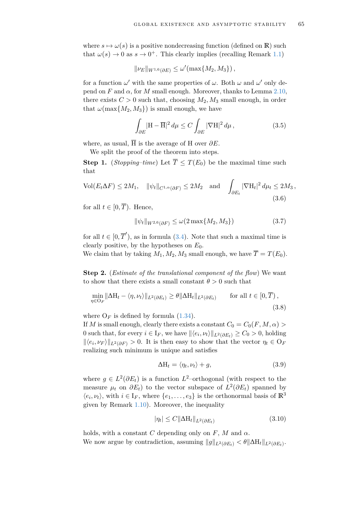where  $s \mapsto \omega(s)$  is a positive nondecreasing function (defined on **R**) such that  $\omega(s) \to 0$  as  $s \to 0^+$ . This clearly implies (recalling Remark [1.1\)](#page-9-0)

$$
\|\nu_E\|_{W^{1,6}(\partial E)} \le \omega'(\max\{M_2, M_3\}),
$$

for a function  $\omega'$  with the same properties of  $\omega$ . Both  $\omega$  and  $\omega'$  only depend on  $F$  and  $\alpha$ , for  $M$  small enough. Moreover, thanks to Lemma [2.10,](#page-58-1) there exists  $C > 0$  such that, choosing  $M_2, M_3$  small enough, in order that  $\omega(\max\{M_2, M_3\})$  is small enough, we have

<span id="page-66-0"></span>
$$
\int_{\partial E} |\mathbf{H} - \overline{\mathbf{H}}|^2 d\mu \le C \int_{\partial E} |\nabla \mathbf{H}|^2 d\mu, \qquad (3.5)
$$

where, as usual,  $\overline{H}$  is the average of H over  $\partial E$ .

We split the proof of the theorem into steps.

**Step 1.** (*Stopping–time*) Let  $\overline{T} \leq T(E_0)$  be the maximal time such that

$$
\text{Vol}(E_t \Delta F) \le 2M_1, \quad \|\psi_t\|_{C^{1,\alpha}(\partial F)} \le 2M_2 \quad \text{and} \quad \int_{\partial E_t} |\nabla \mathcal{H}_t|^2 d\mu_t \le 2M_3,
$$
\n(3.6)

for all  $t \in [0, \overline{T})$ . Hence,

<span id="page-66-5"></span><span id="page-66-3"></span>
$$
\|\psi_t\|_{W^{2,6}(\partial F)} \le \omega(2\max\{M_2, M_3\})\tag{3.7}
$$

for all  $t \in [0, \overline{T}$ <sup>'</sup>), as in formula [\(3.4\)](#page-65-0). Note that such a maximal time is clearly positive, by the hypotheses on *E*0.

We claim that by taking  $M_1, M_2, M_3$  small enough, we have  $\overline{T} = T(E_0)$ .

**Step 2.** (*Estimate of the translational component of the flow*) We want to show that there exists a small constant  $\theta > 0$  such that

$$
\min_{\eta \in \mathcal{O}_F} \|\Delta H_t - \langle \eta, \nu_t \rangle\|_{L^2(\partial E_t)} \ge \theta \|\Delta H_t\|_{L^2(\partial E_t)} \qquad \text{for all } t \in [0, \overline{T}),
$$
\n(3.8)

where  $O_F$  is defined by formula  $(1.34)$ .

If *M* is small enough, clearly there exists a constant  $C_0 = C_0(F, M, \alpha)$ 0 such that, for every  $i \in I_F$ , we have  $\|\langle e_i, \nu_t \rangle\|_{L^2(\partial E_t)} \ge C_0 > 0$ , holding  $\left\|\langle e_i, \nu_F \rangle \right\|_{L^2(\partial F)} > 0$ . It is then easy to show that the vector  $\eta_t \in O_F$ realizing such minimum is unique and satisfies

<span id="page-66-4"></span><span id="page-66-1"></span>
$$
\Delta H_t = \langle \eta_t, \nu_t \rangle + g,\tag{3.9}
$$

where  $g \in L^2(\partial E_t)$  is a function  $L^2$ -orthogonal (with respect to the measure  $\mu_t$  on  $\partial E_t$ ) to the vector subspace of  $L^2(\partial E_t)$  spanned by  $\langle e_i, \nu_t \rangle$ , with  $i \in I_F$ , where  $\{e_1, \ldots, e_3\}$  is the orthonormal basis of  $\mathbb{R}^3$ given by Remark [1.10\)](#page-22-0). Moreover, the inequality

<span id="page-66-2"></span>
$$
|\eta_t| \le C \|\Delta \mathcal{H}_t\|_{L^2(\partial E_t)}\tag{3.10}
$$

holds, with a constant *C* depending only on  $F$ ,  $M$  and  $\alpha$ . We now argue by contradiction, assuming  $||g||_{L^2(\partial E_t)} < \theta ||\Delta H_t||_{L^2(\partial E_t)}$ .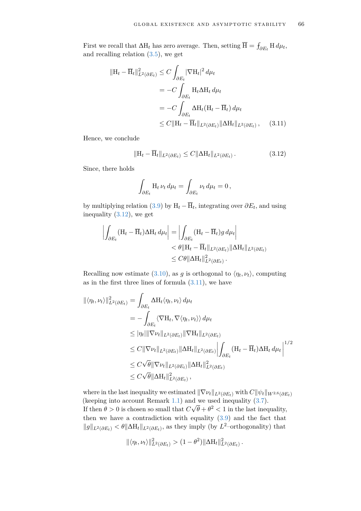First we recall that  $\Delta H_t$  has zero average. Then, setting  $\overline{H} = \int_{\partial E_t} H d\mu_t$ , and recalling relation [\(3.5\)](#page-66-0), we get

$$
\begin{aligned} \|\mathbf{H}_t - \overline{\mathbf{H}}_t\|_{L^2(\partial E_t)}^2 &\leq C \int_{\partial E_t} |\nabla \mathbf{H}_t|^2 \, d\mu_t \\ &= -C \int_{\partial E_t} \mathbf{H}_t \Delta \mathbf{H}_t \, d\mu_t \\ &= -C \int_{\partial E_t} \Delta \mathbf{H}_t (\mathbf{H}_t - \overline{\mathbf{H}}_t) \, d\mu_t \\ &\leq C \|\mathbf{H}_t - \overline{\mathbf{H}}_t\|_{L^2(\partial E_t)} \|\Delta \mathbf{H}_t\|_{L^2(\partial E_t)}, \end{aligned} \tag{3.11}
$$

Hence, we conclude

<span id="page-67-1"></span>
$$
\|\mathbf{H}_t - \overline{\mathbf{H}}_t\|_{L^2(\partial E_t)} \le C \|\Delta \mathbf{H}_t\|_{L^2(\partial E_t)}.
$$
\n(3.12)

Since, there holds

<span id="page-67-0"></span>
$$
\int_{\partial E_t} \mathcal{H}_t \, \nu_t \, d\mu_t = \int_{\partial E_t} \nu_t \, d\mu_t = 0 \,,
$$

by multiplying relation [\(3.9\)](#page-66-1) by  $H_t - \overline{H}_t$ , integrating over  $\partial E_t$ , and using inequality [\(3.12\)](#page-67-0), we get

$$
\left| \int_{\partial E_t} (\mathbf{H}_t - \overline{\mathbf{H}}_t) \Delta \mathbf{H}_t \, d\mu_t \right| = \left| \int_{\partial E_t} (\mathbf{H}_t - \overline{\mathbf{H}}_t) g \, d\mu_t \right|
$$
  
<  $\theta \|\mathbf{H}_t - \overline{\mathbf{H}}_t\|_{L^2(\partial E_t)} \|\Delta \mathbf{H}_t\|_{L^2(\partial E_t)}$   
<  $\leq C\theta \|\Delta \mathbf{H}_t\|_{L^2(\partial E_t)}^2.$ 

Recalling now estimate [\(3.10\)](#page-66-2), as *g* is orthogonal to  $\langle \eta_t, \nu_t \rangle$ , computing as in the first three lines of formula  $(3.11)$ , we have

$$
\begin{split} \|\langle \eta_t, \nu_t \rangle \|_{L^2(\partial E_t)}^2 &= \int_{\partial E_t} \Delta H_t \langle \eta_t, \nu_t \rangle \, d\mu_t \\ &= - \int_{\partial E_t} \langle \nabla H_t, \nabla \langle \eta_t, \nu_t \rangle \rangle \, d\mu_t \\ &\leq |\eta_t| \|\nabla \nu_t\|_{L^2(\partial E_t)} \|\nabla H_t\|_{L^2(\partial E_t)} \\ &\leq C \|\nabla \nu_t\|_{L^2(\partial E_t)} \|\Delta H_t\|_{L^2(\partial E_t)} \left\| \int_{\partial E_t} (H_t - \overline{H}_t) \Delta H_t \, d\mu_t \right\|^{1/2} \\ &\leq C \sqrt{\theta} \|\nabla \nu_t\|_{L^2(\partial E_t)} \|\Delta H_t\|_{L^2(\partial E_t)}^2 \\ &\leq C \sqrt{\theta} \|\Delta H_t\|_{L^2(\partial E_t)}^2 \,, \end{split}
$$

where in the last inequality we estimated  $\|\nabla \nu_t\|_{L^2(\partial E_t)}$  with  $C\|\psi_t\|_{W^{2,6}(\partial E_t)}$ (keeping into account Remark [1.1\)](#page-9-0) and we used inequality  $(3.7)$ . If then  $\theta > 0$  is chosen so small that  $C\sqrt{\theta} + \theta^2 < 1$  in the last inequality, then we have a contradiction with equality [\(3.9\)](#page-66-1) and the fact that  $||g||_{L^2(\partial E_t)} < \theta ||\Delta H_t||_{L^2(\partial E_t)}$ , as they imply (by *L*<sup>2</sup>–orthogonality) that

$$
\|\langle \eta_t, \nu_t \rangle\|_{L^2(\partial E_t)}^2 > (1-\theta^2) \|\Delta \mathcal{H}_t\|_{L^2(\partial E_t)}^2.
$$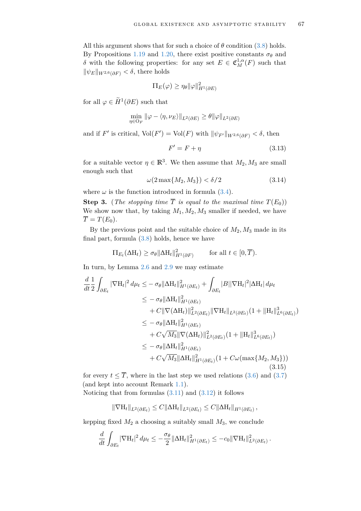All this argument shows that for such a choice of  $\theta$  condition [\(3.8\)](#page-66-4) holds. By Propositions [1.19](#page-44-0) and [1.20,](#page-47-1) there exist positive constants  $\sigma_{\theta}$  and *δ* with the following properties: for any set  $E \in \mathfrak{C}_M^{1,\alpha}(F)$  such that  $\|\psi_E\|_{W^{2,6}(\partial F)} < \delta$ , there holds

$$
\Pi_E(\varphi) \ge \eta_\theta \|\varphi\|_{H^1(\partial E)}^2
$$

for all  $\varphi \in \widetilde{H}^1(\partial E)$  such that

$$
\min_{\eta \in \mathcal{O}_F} \|\varphi - \langle \eta, \nu_E \rangle\|_{L^2(\partial E)} \ge \theta \|\varphi\|_{L^2(\partial E)}
$$

and if *F'* is critical,  $\text{Vol}(F') = \text{Vol}(F)$  with  $\|\psi_{F'}\|_{W^{2,6}(\partial F)} < \delta$ , then

<span id="page-68-2"></span><span id="page-68-1"></span>
$$
F' = F + \eta \tag{3.13}
$$

for a suitable vector  $\eta \in \mathbb{R}^3$ . We then assume that  $M_2, M_3$  are small enough such that

$$
\omega(2\max\{M_2, M_3\}) < \delta/2\tag{3.14}
$$

where  $\omega$  is the function introduced in formula [\(3.4\)](#page-65-0).

**Step 3.** (*The stopping time*  $\overline{T}$  *is equal to the maximal time*  $T(E_0)$ ) We show now that, by taking  $M_1, M_2, M_3$  smaller if needed, we have  $\overline{T} = T(E_0).$ 

By the previous point and the suitable choice of *M*2, *M*<sup>3</sup> made in its final part, formula [\(3.8\)](#page-66-4) holds, hence we have

$$
\Pi_{E_t}(\Delta \mathcal{H}_t) \ge \sigma_\theta \|\Delta \mathcal{H}_t\|_{H^1(\partial F)}^2 \quad \text{for all } t \in [0, \overline{T}).
$$

In turn, by Lemma [2.6](#page-53-2) and [2.9](#page-57-1) we may estimate

$$
\frac{d}{dt} \frac{1}{2} \int_{\partial E_t} |\nabla H_t|^2 d\mu_t \leq -\sigma_\theta \|\Delta H_t\|_{H^1(\partial E_t)}^2 + \int_{\partial E_t} |B||\nabla H_t|^2 |\Delta H_t| d\mu_t \n\leq -\sigma_\theta \|\Delta H_t\|_{H^1(\partial E_t)}^2 \n+ C\|\nabla(\Delta H_t)\|_{L^2(\partial E_t)}^2 \|\nabla H_t\|_{L^2(\partial E_t)} (1 + \|H_t\|_{L^6(\partial E_t)}^3) \n\leq -\sigma_\theta \|\Delta H_t\|_{H^1(\partial E_t)}^2 \n+ C\sqrt{M_3} \|\nabla(\Delta H_t)\|_{L^2(\partial E_t)}^2 (1 + \|H_t\|_{L^6(\partial E_t)}^3) \n\leq -\sigma_\theta \|\Delta H_t\|_{H^1(\partial E_t)}^2 \n+ C\sqrt{M_3} \|\Delta H_t\|_{H^1(\partial E_t)}^2 (1 + C\omega(\max\{M_2, M_3\}))
$$
\n(3.15)

for every  $t \leq \overline{T}$ , where in the last step we used relations [\(3.6\)](#page-66-5) and [\(3.7\)](#page-66-3) (and kept into account Remark [1.1\)](#page-9-0).

Noticing that from formulas  $(3.11)$  and  $(3.12)$  it follows

<span id="page-68-0"></span>
$$
\|\nabla H_t\|_{L^2(\partial E_t)} \leq C \|\Delta H_t\|_{L^2(\partial E_t)} \leq C \|\Delta H_t\|_{H^1(\partial E_t)},
$$

kepping fixed  $M_2$  a choosing a suitably small  $M_3$ , we conclude

$$
\frac{d}{dt}\int_{\partial E_t} |\nabla H_t|^2 d\mu_t \leq -\frac{\sigma_\theta}{2} \|\Delta H_t\|_{H^1(\partial E_t)}^2 \leq -c_0 \|\nabla H_t\|_{L^2(\partial E_t)}^2.
$$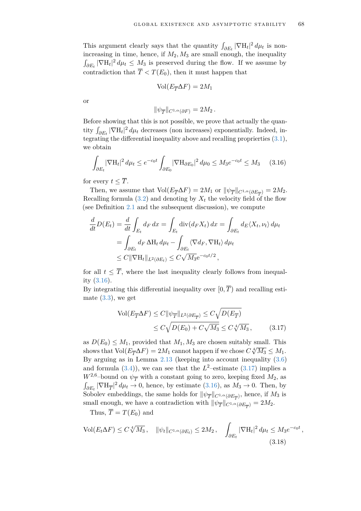This argument clearly says that the quantity  $\int_{\partial E_t} |\nabla H_t|^2 d\mu_t$  is nonincreasing in time, hence, if  $M_2, M_3$  are small enough, the inequality  $\int_{\partial E_t} |\nabla H_t|^2 d\mu_t \leq M_3$  is preserved during the flow. If we assume by contradiction that  $\overline{T} < T(E_0)$ , then it must happen that

$$
Vol(E_{\overline{T}}\Delta F) = 2M_1
$$

or

<span id="page-69-0"></span>
$$
\|\psi_{\overline{T}}\|_{C^{1,\alpha}(\partial F)}=2M_2.
$$

Before showing that this is not possible, we prove that actually the quantity  $\int_{\partial E_t} |\nabla H_t|^2 d\mu_t$  decreases (non increases) exponentially. Indeed, integrating the differential inequality above and recalling proprierties [\(3.1\)](#page-65-1), we obtain

$$
\int_{\partial E_t} |\nabla H_t|^2 \, d\mu_t \le e^{-c_0 t} \int_{\partial E_0} |\nabla H_{\partial E_0}|^2 \, d\mu_0 \le M_3 e^{-c_0 t} \le M_3 \tag{3.16}
$$

for every  $t < \overline{T}$ .

Then, we assume that  $Vol(E_{\overline{T}}\Delta F) = 2M_1$  or  $\|\psi_{\overline{T}}\|_{C^{1,\alpha}(\partial E_{\overline{T}})} = 2M_2$ . Recalling formula  $(3.2)$  and denoting by  $X_t$  the velocity field of the flow (see Definition [2.1](#page-49-2) and the subsequent discussion), we compute

$$
\frac{d}{dt}D(E_t) = \frac{d}{dt} \int_{E_t} dF dx = \int_{E_t} \operatorname{div}(dF_t X_t) dx = \int_{\partial E_t} dF_t X_t, \nu_t \rangle d\mu_t
$$
\n
$$
= \int_{\partial E_t} dF_t \Delta H_t d\mu_t - \int_{\partial E_t} \langle \nabla dF_t, \nabla H_t \rangle d\mu_t
$$
\n
$$
\leq C \|\nabla H_t\|_{L^2(\partial E_t)} \leq C \sqrt{M_3} e^{-c_0 t/2},
$$

for all  $t \leq \overline{T}$ , where the last inequality clearly follows from inequality [\(3.16\)](#page-69-0).

By integrating this differential inequality over  $[0, \overline{T})$  and recalling estimate  $(3.3)$ , we get

<span id="page-69-1"></span>
$$
\text{Vol}(E_{\overline{T}}\Delta F) \le C \|\psi_{\overline{T}}\|_{L^2(\partial E_{\overline{T}})} \le C \sqrt{D(E_{\overline{T}})}
$$
  

$$
\le C \sqrt{D(E_0) + C \sqrt{M_3}} \le C \sqrt[4]{M_3}, \tag{3.17}
$$

as  $D(E_0) \leq M_1$ , provided that  $M_1, M_3$  are chosen suitably small. This shows that  $Vol(E_{\overline{T}}\Delta F) = 2M_1$  cannot happen if we chose  $C\sqrt[4]{M_3} \leq M_1$ . By arguing as in Lemma [2.13](#page-61-2) (keeping into account inequality [\(3.6\)](#page-66-5) and formula  $(3.4)$ , we can see that the  $L^2$ -estimate  $(3.17)$  implies a  $W^{2,6}$ -bound on  $\psi_{\overline{T}}$  with a constant going to zero, keeping fixed  $M_2$ , as  $\int_{\partial E_t} |\nabla H_{\overline{T}}|^2 d\mu_t \to 0$ , hence, by estimate [\(3.16\)](#page-69-0), as  $M_3 \to 0$ . Then, by Sobolev embeddings, the same holds for  $\|\psi_{\overline{T}}\|_{C^{1,\alpha}(\partial E_{\overline{T}})}$ , hence, if  $M_3$  is small enough, we have a contradiction with  $\|\psi_{\overline{T}}\|_{C^{1,\alpha}(\partial E_{\overline{T}})} = 2M_2$ .

<span id="page-69-2"></span>Thus,  $\overline{T} = T(E_0)$  and

$$
\text{Vol}(E_t \Delta F) \le C \sqrt[4]{M_3}, \quad \|\psi_t\|_{C^{1,\alpha}(\partial E_t)} \le 2M_2, \quad \int_{\partial E_t} |\nabla \mathcal{H}_t|^2 d\mu_t \le M_3 e^{-c_0 t},\tag{3.18}
$$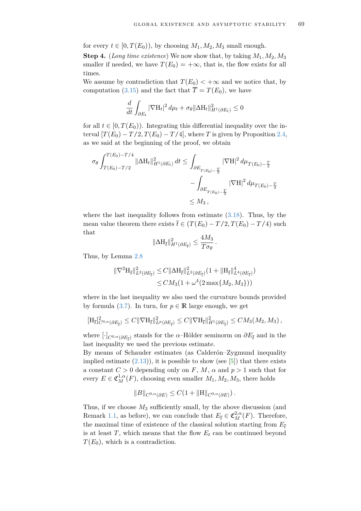for every  $t \in [0, T(E_0))$ , by choosing  $M_1, M_2, M_3$  small enough.

**Step 4.** (*Long time existence*) We now show that, by taking  $M_1, M_2, M_3$ smaller if needed, we have  $T(E_0) = +\infty$ , that is, the flow exists for all times.

We assume by contradiction that  $T(E_0) < +\infty$  and we notice that, by computation [\(3.15\)](#page-68-0) and the fact that  $\overline{T} = T(E_0)$ , we have

$$
\frac{d}{dt} \int_{\partial E_t} |\nabla \mathbf{H}_t|^2 \, d\mu_t + \sigma_\theta \|\Delta \mathbf{H}_t\|_{H^1(\partial E_t)}^2 \le 0
$$

for all  $t \in [0, T(E_0))$ . Integrating this differential inequality over the interval  $[T(E_0) - T/2, T(E_0) - T/4]$ , where *T* is given by Proposition [2.4,](#page-51-0) as we said at the beginning of the proof, we obtain

$$
\sigma_{\theta} \int_{T(E_0) - T/2}^{T(E_0) - T/4} \|\Delta \mathbf{H}_t\|_{H^1(\partial E_t)}^2 dt \le \int_{\partial E_{T(E_0) - \frac{T}{2}}} |\nabla \mathbf{H}|^2 d\mu_{T(E_0) - \frac{T}{2}} \n- \int_{\partial E_{T(E_0) - \frac{T}{4}}} |\nabla \mathbf{H}|^2 d\mu_{T(E_0) - \frac{T}{4}} \n\le M_3,
$$

where the last inequality follows from estimate  $(3.18)$ . Thus, by the mean value theorem there exists  $\bar{t} \in (T(E_0) - T/2, T(E_0) - T/4)$  such that

$$
\|\Delta \mathbf{H}_{\overline{t}}\|_{H^1(\partial E_{\overline{t}})}^2 \leq \frac{4M_3}{T\sigma_\theta}.
$$

Thus, by Lemma [2.8](#page-55-2)

$$
\|\nabla^2 \mathcal{H}_{\bar{t}}\|_{L^2(\partial E_{\bar{t}})}^2 \leq C \|\Delta \mathcal{H}_{\bar{t}}\|_{L^2(\partial E_{\bar{t}})}^2 (1 + \|\mathcal{H}_{\bar{t}}\|_{L^4(\partial E_{\bar{t}})}^4)
$$
  

$$
\leq CM_3(1 + \omega^4 (2 \max\{M_2, M_3\}))
$$

where in the last inequality we also used the curvature bounds provided by formula [\(3.7\)](#page-66-3). In turn, for  $p \in \mathbb{R}$  large enough, we get

$$
[\mathrm{H}_{\bar{t}}]_{C^{0,\alpha}(\partial E_{\bar{t}})}^2 \leq C \|\nabla \mathrm{H}_{\bar{t}}\|_{L^p(\partial E_{\bar{t}})}^2 \leq C \|\nabla \mathrm{H}_{\bar{t}}\|_{H^1(\partial E_{\bar{t}})}^2 \leq C M_3(M_2,M_3)\,,
$$

where  $[\cdot]_{C^{0,\alpha}(\partial E_{\overline{t}})}$  stands for the *α*–Hölder seminorm on  $\partial E_{\overline{t}}$  and in the last inequality we used the previous estimate.

By means of Schauder estimates (as Calderón–Zygmund inequality implied estimate  $(2.13)$ , it is possible to show (see [\[5\]](#page-79-4)) that there exists a constant  $C > 0$  depending only on  $F, M, \alpha$  and  $p > 1$  such that for every  $E \in \mathfrak{C}_M^{1,\alpha}(F)$ , choosing even smaller  $M_1, M_2, M_3$ , there holds

$$
||B||_{C^{0,\alpha}(\partial E)} \leq C(1+||H||_{C^{0,\alpha}(\partial E)}).
$$

Thus, if we choose  $M_3$  sufficiently small, by the above discussion (and Remark [1.1,](#page-9-0) as before), we can conclude that  $E_{\bar{t}} \in \mathfrak{C}_M^{2,\alpha}(F)$ . Therefore, the maximal time of existence of the classical solution starting from  $E_{\bar{t}}$ is at least  $T$ , which means that the flow  $E_t$  can be continued beyond  $T(E_0)$ , which is a contradiction.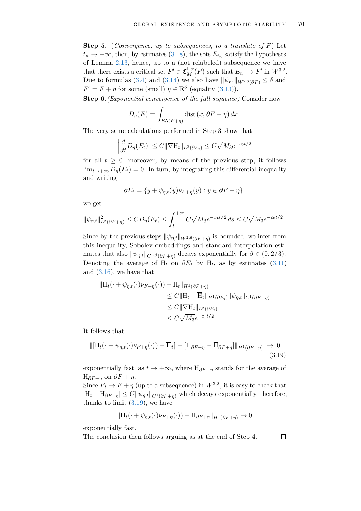**Step 5.** (*Convergence, up to subsequences, to a translate of F*) Let  $t_n \to +\infty$ , then, by estimates [\(3.18\)](#page-69-2), the sets  $E_{t_n}$  satisfy the hypotheses of Lemma [2.13,](#page-61-2) hence, up to a (not relabeled) subsequence we have that there exists a critical set  $F' \in \mathfrak{C}_M^{1,\alpha}(F)$  such that  $E_{t_n} \to F'$  in  $W^{3,2}$ . Due to formulas [\(3.4\)](#page-65-0) and [\(3.14\)](#page-68-1) we also have  $\|\psi_{F'}\|_{W^{2,6}(\partial F)} \leq \delta$  and  $F' = F + \eta$  for some (small)  $\eta \in \mathbb{R}^3$  (equality [\(3.13\)](#page-68-2)).

**Step 6.***(Exponential convergence of the full sequence)* Consider now

$$
D_{\eta}(E) = \int_{E\Delta(F+\eta)} \text{dist}\left(x, \partial F + \eta\right) dx.
$$

The very same calculations performed in Step 3 show that

$$
\left| \frac{d}{dt} D_{\eta}(E_t) \right| \leq C ||\nabla \mathcal{H}_t||_{L^2(\partial E_t)} \leq C \sqrt{M_3} e^{-c_0 t/2}
$$

for all  $t \geq 0$ , moreover, by means of the previous step, it follows  $\lim_{t\to+\infty}D_n(E_t)=0$ . In turn, by integrating this differential inequality and writing

$$
\partial E_t = \{ y + \psi_{\eta,t}(y)\nu_{F+\eta}(y) : y \in \partial F + \eta \},
$$

we get

$$
\|\psi_{\eta,t}\|_{L^2(\partial F + \eta)}^2 \le CD_{\eta}(E_t) \le \int_t^{+\infty} C\sqrt{M_3}e^{-c_0s/2} ds \le C\sqrt{M_3}e^{-c_0t/2}.
$$

Since by the previous steps  $\|\psi_{\eta,t}\|_{W^{2,6}(\partial F+\eta)}$  is bounded, we infer from this inequality, Sobolev embeddings and standard interpolation estimates that also  $\|\psi_{\eta,t}\|_{C^{1,\beta}(\partial F+\eta)}$  decays exponentially for  $\beta \in (0, 2/3)$ . Denoting the average of  $H_t$  on  $\partial E_t$  by  $H_t$ , as by estimates [\(3.11\)](#page-67-1) and [\(3.16\)](#page-69-0), we have that

$$
\|H_t(\cdot + \psi_{\eta,t}(\cdot)\nu_{F+\eta}(\cdot)) - \overline{H}_t\|_{H^1(\partial F+\eta)}
$$
  
\n
$$
\leq C \|H_t - \overline{H}_t\|_{H^1(\partial E_t)} \|\psi_{\eta,t}\|_{C^1(\partial F+\eta)}
$$
  
\n
$$
\leq C \|\nabla H_t\|_{L^2(\partial E_t)}
$$
  
\n
$$
\leq C \sqrt{M_3} e^{-c_0 t/2}.
$$

It follows that

$$
\|[\mathbf{H}_t(\cdot+\psi_{\eta,t}(\cdot)\nu_{F+\eta}(\cdot))-\overline{\mathbf{H}}_t] - [\mathbf{H}_{\partial F+\eta}-\overline{\mathbf{H}}_{\partial F+\eta}]\|_{H^1(\partial F+\eta)} \to 0
$$
\n(3.19)

exponentially fast, as  $t \to +\infty$ , where  $\overline{H}_{\partial F+n}$  stands for the average of  $H_{\partial F+n}$  on  $\partial F + \eta$ .

Since  $E_t \to F + \eta$  (up to a subsequence) in  $W^{3,2}$ , it is easy to check that  $|H_t - H_{\partial F + \eta}| \leq C ||\psi_{\eta,t}||_{C^1(\partial F + \eta)}$  which decays exponentially, therefore, thanks to limit  $(3.19)$ , we have

$$
\|\mathbf{H}_t(\cdot + \psi_{\eta,t}(\cdot)\nu_{F+\eta}(\cdot)) - \mathbf{H}_{\partial F+\eta}\|_{H^1(\partial F+\eta)} \to 0
$$

<span id="page-71-0"></span> $\Box$ 

exponentially fast.

The conclusion then follows arguing as at the end of Step 4.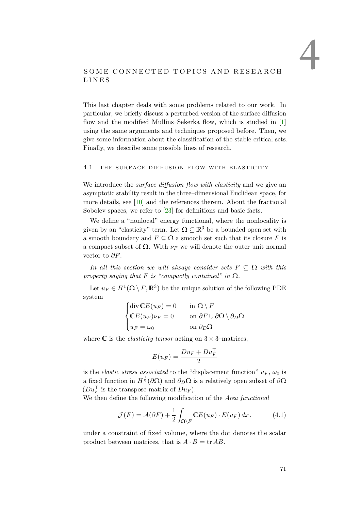# SOME CONNECTED TOPICS AND RESEARCH L I N E S

This last chapter deals with some problems related to our work. In particular, we briefly discuss a perturbed version of the surface diffusion flow and the modified Mullins–Sekerka flow, which is studied in [\[1\]](#page-79-0) using the same arguments and techniques proposed before. Then, we give some information about the classification of the stable critical sets. Finally, we describe some possible lines of research.

### 4.1 THE SURFACE DIFFUSION FLOW WITH ELASTICITY

We introduce the *surface diffusion flow with elasticity* and we give an asymptotic stability result in the three–dimensional Euclidean space, for more details, see [\[10\]](#page-79-1) and the references therein. About the fractional Sobolev spaces, we refer to [\[23\]](#page-80-0) for definitions and basic facts.

We define a "nonlocal" energy functional, where the nonlocality is given by an "elasticity" term. Let  $\Omega \subseteq \mathbb{R}^3$  be a bounded open set with a smooth boundary and  $F \subseteq \Omega$  a smooth set such that its closure  $\overline{F}$  is a compact subset of  $Ω$ . With  $ν<sub>F</sub>$  we will denote the outer unit normal vector to *∂F*.

*In all this section we will always consider sets*  $F \subseteq \Omega$  *with this property saying that*  $F$  *is "compactly contained" in*  $\Omega$ *.* 

Let  $u_F \in H^1(\Omega \setminus F, \mathbb{R}^3)$  be the unique solution of the following PDE system

$$
\begin{cases} \operatorname{div} \mathbb{C}E(u_F) = 0 & \text{in } \Omega \setminus F \\ \mathbb{C}E(u_F)\nu_F = 0 & \text{on } \partial F \cup \partial \Omega \setminus \partial_D \Omega \\ u_F = \omega_0 & \text{on } \partial_D \Omega \end{cases}
$$

where  $\mathbb C$  is the *elasticity tensor* acting on  $3 \times 3$ -matrices,

<span id="page-72-0"></span>
$$
E(u_F) = \frac{Du_F + Du_F^{\top}}{2}
$$

is the *elastic stress associated* to the "displacement function"  $u_F$ ,  $\omega_0$  is a fixed function in  $H^{\frac{1}{2}}(\partial\Omega)$  and  $\partial_D\Omega$  is a relatively open subset of  $\partial\Omega$  $(Du_F^{\top}$  is the transpose matrix of  $Du_F$ ).

We then define the following modification of the *Area functional*

$$
\mathcal{J}(F) = \mathcal{A}(\partial F) + \frac{1}{2} \int_{\Omega \setminus F} \mathbb{C}E(u_F) \cdot E(u_F) dx, \tag{4.1}
$$

under a constraint of fixed volume, where the dot denotes the scalar product between matrices, that is  $A \cdot B = \text{tr } AB$ .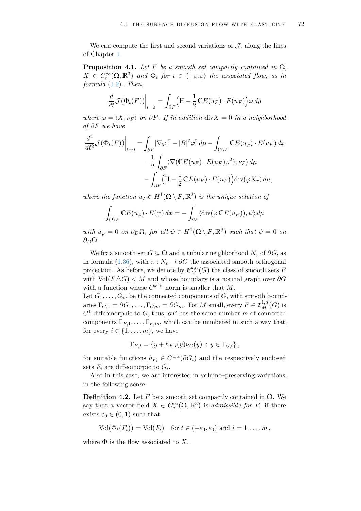We can compute the first and second variations of  $\mathcal{J}$ , along the lines of Chapter [1.](#page-7-0)

<span id="page-73-0"></span>**Proposition 4.1.** *Let F be a smooth set compactly contained in*  $\Omega$ *,*  $X \in C_c^{\infty}(\Omega, \mathbb{R}^3)$  *and*  $\Phi_t$  *for*  $t \in (-\varepsilon, \varepsilon)$  *the associated flow, as in formula* [\(1.9\)](#page-10-0)*. Then,*

$$
\frac{d}{dt}\mathcal{J}(\Phi_t(F))\Big|_{t=0} = \int_{\partial F} \Big(\mathbf{H} - \frac{1}{2}\mathbf{C}E(u_F) \cdot E(u_F)\Big) \varphi \, d\mu
$$

*where*  $\varphi = \langle X, \nu_F \rangle$  *on*  $\partial F$ *. If in addition* div $X = 0$  *in a neighborhood of ∂F we have*

$$
\frac{d^2}{dt^2} \mathcal{J}(\Phi_t(F))\Big|_{t=0} = \int_{\partial F} |\nabla \varphi|^2 - |B|^2 \varphi^2 d\mu - \int_{\Omega \setminus F} \mathbb{C} E(u_{\varphi}) \cdot E(u_F) dx
$$

$$
- \frac{1}{2} \int_{\partial F} \langle \nabla (\mathbb{C} E(u_F) \cdot E(u_F) \varphi^2), \nu_F \rangle d\mu
$$

$$
- \int_{\partial F} \left( H - \frac{1}{2} \mathbb{C} E(u_F) \cdot E(u_F) \right) \operatorname{div}(\varphi X_\tau) d\mu,
$$

*where the function*  $u_{\varphi} \in H^1(\Omega \setminus F, \mathbb{R}^3)$  *is the unique solution of* 

$$
\int_{\Omega\setminus F} \mathbb{C}E(u_{\varphi})\cdot E(\psi) dx = -\int_{\partial F} \langle \operatorname{div}(\varphi \mathbb{C}E(u_F)), \psi \rangle d\mu
$$

 $with u_{\varphi} = 0 \text{ on } \partial_D \Omega, \text{ for all } \psi \in H^1(\Omega \setminus F, \mathbb{R}^3) \text{ such that } \psi = 0 \text{ on } \partial_D \Omega.$ *∂D*Ω*.*

We fix a smooth set  $G \subseteq \Omega$  and a tubular neighborhood  $N_{\varepsilon}$  of  $\partial G$ , as in formula [\(1.36\)](#page-22-0), with  $\pi : N_{\varepsilon} \to \partial G$  the associated smooth orthogonal projection. As before, we denote by  $\mathfrak{C}_{M}^{k,\alpha}(G)$  the class of smooth sets *F* with  $\text{Vol}(F \triangle G) < M$  and whose boundary is a normal graph over  $\partial G$ with a function whose  $C^{k,\alpha}$ -norm is smaller that M. Let  $G_1, \ldots, G_m$  be the connected components of  $G$ , with smooth bound-

aries  $\Gamma_{G,1} = \partial G_1, \ldots, \Gamma_{G,m} = \partial G_m$ . For *M* small, every  $F \in \mathfrak{C}_M^{1,\alpha}(G)$  is  $C<sup>1</sup>$ -diffeomorphic to *G*, thus,  $\partial F$  has the same number *m* of connected components  $\Gamma_{F,1}, \ldots, \Gamma_{F,m}$ , which can be numbered in such a way that, for every  $i \in \{1, \ldots, m\}$ , we have

$$
\Gamma_{F,i} = \{ y + h_{F,i}(y) \nu_G(y) : y \in \Gamma_{G,i} \},
$$

for suitable functions  $h_{F_i} \in C^{1,\alpha}(\partial G_i)$  and the respectively enclosed sets  $F_i$  are diffeomorpic to  $G_i$ .

Also in this case, we are interested in volume–preserving variations, in the following sense.

**Definition 4.2.** Let *F* be a smooth set compactly contained in  $\Omega$ . We say that a vector field  $X \in C_c^{\infty}(\Omega, \mathbb{R}^3)$  is *admissible for F*, if there exists  $\varepsilon_0 \in (0,1)$  such that

$$
\text{Vol}(\Phi_t(F_i)) = \text{Vol}(F_i) \quad \text{for } t \in (-\varepsilon_0, \varepsilon_0) \text{ and } i = 1, \dots, m,
$$

where  $\Phi$  is the flow associated to X.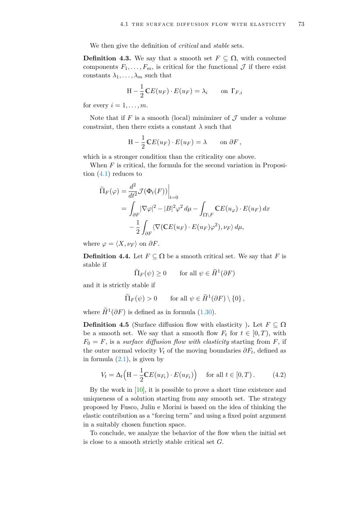We then give the definition of *critical* and *stable* sets.

**Definition 4.3.** We say that a smooth set  $F \subseteq \Omega$ , with connected components  $F_1, \ldots, F_m$ , is critical for the functional  $\mathcal J$  if there exist constants  $\lambda_1, \ldots, \lambda_m$  such that

$$
H - \frac{1}{2} CE(u_F) \cdot E(u_F) = \lambda_i \quad \text{on } \Gamma_{F,i}
$$

for every  $i = 1, \ldots, m$ .

Note that if  $F$  is a smooth (local) minimizer of  $\mathcal J$  under a volume constraint, then there exists a constant  $\lambda$  such that

$$
H - \frac{1}{2} CE(u_F) \cdot E(u_F) = \lambda \quad \text{on } \partial F,
$$

which is a stronger condition than the criticality one above.

When *F* is critical, the formula for the second variation in Proposition [\(4.1\)](#page-73-0) reduces to

$$
\widetilde{\Pi}_F(\varphi) = \frac{d^2}{dt^2} \mathcal{J}(\Phi_t(F)) \Big|_{t=0}
$$
\n
$$
= \int_{\partial F} |\nabla \varphi|^2 - |B|^2 \varphi^2 d\mu - \int_{\Omega \backslash F} \mathbb{C} E(u_\varphi) \cdot E(u_F) dx
$$
\n
$$
- \frac{1}{2} \int_{\partial F} \langle \nabla (\mathbb{C} E(u_F) \cdot E(u_F) \varphi^2), \nu_F \rangle d\mu,
$$

where  $\varphi = \langle X, \nu_F \rangle$  on  $\partial F$ .

<span id="page-74-0"></span>**Definition 4.4.** Let  $F \subseteq \Omega$  be a smooth critical set. We say that *F* is stable if

$$
\widetilde{\Pi}_F(\psi) \ge 0 \qquad \text{for all } \psi \in \widetilde{H}^1(\partial F)
$$

and it is strictly stable if

<span id="page-74-1"></span> $\sim$ 

$$
\widetilde{\Pi}_F(\psi) > 0 \quad \text{for all } \psi \in \widetilde{H}^1(\partial F) \setminus \{0\},
$$

where  $\widetilde{H}^1(\partial F)$  is defined as in formula [\(1.30\)](#page-21-0).

**Definition 4.5** (Surface diffusion flow with elasticity). Let  $F \subseteq \Omega$ be a smooth set. We say that a smooth flow  $F_t$  for  $t \in [0, T)$ , with  $F_0 = F$ , is a *surface diffusion flow with elasticity* starting from *F*, if the outer normal velocity  $V_t$  of the moving boundaries  $\partial F_t$ , defined as in formula  $(2.1)$ , is given by

$$
V_t = \Delta_t \Big( \mathbf{H} - \frac{1}{2} \mathbf{C} E(u_{F_t}) \cdot E(u_{F_t}) \Big) \quad \text{for all } t \in [0, T). \tag{4.2}
$$

By the work in [\[10\]](#page-79-1), it is possible to prove a short time existence and uniqueness of a solution starting from any smooth set. The strategy proposed by Fusco, Julin e Morini is based on the idea of thinking the elastic contribution as a "forcing term" and using a fixed point argument in a suitably chosen function space.

To conclude, we analyze the behavior of the flow when the initial set is close to a smooth strictly stable critical set *G*.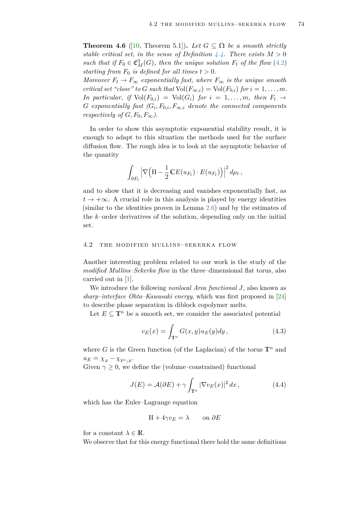**Theorem 4.6** ([\[10,](#page-79-1) Theorem 5.1]). Let  $G \subseteq \Omega$  be a smooth strictly *stable critical set, in the sense of Definition*  $4.4$ *. There exists*  $M > 0$ *such that if*  $F_0 \in \mathfrak{C}_M^3(G)$ *, then the unique solution*  $F_t$  *of the flow* [\(4.2\)](#page-74-1) *starting from*  $F_0$  *is defined for all times*  $t > 0$ *.* 

*Moreover*  $F_t \to F_\infty$  *exponentially fast, where*  $F_\infty$  *is the unique smooth critical set "close" to G such that*  $Vol(F_{\infty,i}) = Vol(F_{0,i})$  *for*  $i = 1, ..., m$ . *In particular, if*  $Vol(F_{0,i}) = Vol(G_i)$  *for*  $i = 1, \ldots, m$ *, then*  $F_t \rightarrow$  $G$  *exponentially fast*  $(G_i, F_{0,i}, F_{\infty,i}$  *denote the connected components respectively of*  $G, F_0, F_\infty$ .

In order to show this asymptotic exponential stability result, it is enough to adapt to this situation the methods used for the surface diffusion flow. The rough idea is to look at the asymptotic behavior of the quantity

$$
\int_{\partial F_t} \left| \nabla \Big( \mathbf{H} - \frac{1}{2} \mathbf{C} E(u_{F_t}) \cdot E(u_{F_t}) \Big) \right|^2 d\mu_t,
$$

and to show that it is decreasing and vanishes exponentially fast, as  $t \to +\infty$ . A crucial role in this analysis is played by energy identities (similar to the identities proven in Lemma [2.6\)](#page-53-0) and by the estimates of the *k*–order derivatives of the solution, depending only on the initial set.

### 4.2 THE MODIFIED MULLINS-SEKERKA FLOW

Another interesting problem related to our work is the study of the *modified Mullins–Sekerka flow* in the three–dimensional flat torus, also carried out in [\[1\]](#page-79-0).

We introduce the following *nonlocal Area functional J*, also known as *sharp–interface Ohta–Kawasaki energy*, which was first proposed in [\[24\]](#page-80-1) to describe phase separation in diblock copolymer melts.

Let  $E \subseteq \mathbb{T}^n$  be a smooth set, we consider the associated potential

<span id="page-75-0"></span>
$$
v_E(x) = \int_{\mathbb{T}^n} G(x, y) u_E(y) dy, \qquad (4.3)
$$

where *G* is the Green function (of the Laplacian) of the torus  $\mathbb{T}^n$  and  $u_E = \chi_E - \chi_{\mathbb{T}^n \setminus E}$ .

Given  $\gamma \geq 0$ , we define the (volume–constrained) functional

$$
J(E) = \mathcal{A}(\partial E) + \gamma \int_{\mathbb{T}^n} |\nabla v_E(x)|^2 dx, \qquad (4.4)
$$

which has the Euler–Lagrange equation

<span id="page-75-1"></span>
$$
H + 4\gamma v_E = \lambda \qquad \text{on } \partial E
$$

for a constant  $\lambda \in \mathbb{R}$ .

We observe that for this energy functional there hold the same definitions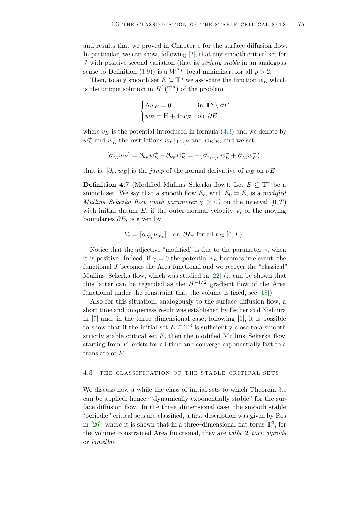and results that we proved in Chapter [1](#page-7-0) for the surface diffusion flow. In particular, we can show, following [\[2\]](#page-79-2), that any smooth critical set for *J* with positive second variation (that is, *strictly stable* in an analogous sense to Definition [\(1.9\)](#page-21-1)) is a  $W^{2,p}$ -local minimizer, for all  $p > 2$ .

Then, to any smooth set  $E \subseteq \mathbb{T}^n$  we associate the function  $w_E$  which is the unique solution in  $H^1(\mathbb{T}^n)$  of the problem

$$
\begin{cases} \Delta w_E = 0 & \text{in } \mathbb{T}^n \setminus \partial E \\ w_E = \mathcal{H} + 4\gamma v_E & \text{on } \partial E \end{cases}
$$

where  $v_E$  is the potential introduced in formula  $(4.3)$  and we denote by  $w_E^+$  and  $w_E^-$  the restrictions  $w_E|_{\mathbb{T}^n \setminus E}$  and  $w_E|_E$ , and we set

$$
[\partial_{\nu_E} w_E] = \partial_{\nu_E} w_E^+ - \partial_{\nu_E} w_E^- = -(\partial_{\nu_{\mathbb{T}^e \backslash E}} w_E^+ + \partial_{\nu_E} w_E^-),
$$

that is,  $\left[\partial_{\nu_E} w_E\right]$  is the *jump* of the normal derivative of  $w_E$  on  $\partial E$ .

**Definition 4.7** (Modified Mullins–Sekerka flow). Let  $E \subseteq \mathbb{T}^n$  be a smooth set. We say that a smooth flow  $E_t$ , with  $E_0 = E$ , is a *modified Mullins–Sekerka flow (with parameter*  $\gamma \geq 0$ ) on the interval  $[0, T)$ with initial datum  $E$ , if the outer normal velocity  $V_t$  of the moving boundaries *∂E<sup>t</sup>* is given by

$$
V_t = [\partial_{\nu_{E_t}} w_{E_t}] \quad \text{on } \partial E_t \text{ for all } t \in [0, T) .
$$

Notice that the adjective "modified" is due to the parameter  $\gamma$ , when it is positive. Indeed, if  $\gamma = 0$  the potential  $v_E$  becomes irrelevant, the functional *J* becomes the Area functional and we recover the "classical" Mullins–Sekerka flow, which was studied in [\[22\]](#page-80-2) (it can be shown that this latter can be regarded as the  $H^{-1/2}$ –gradient flow of the Area functional under the constraint that the volume is fixed, see [\[18\]](#page-80-3)).

Also for this situation, analogously to the surface diffusion flow, a short time and uniqueness result was established by Escher and Nishiura in [\[7\]](#page-79-3) and, in the three–dimensional case, following [\[1\]](#page-79-0), it is possible to show that if the initial set  $E \subseteq \mathbb{T}^3$  is sufficiently close to a smooth strictly stable critical set  $F$ , then the modified Mullins–Sekerka flow, starting from *E*, exists for all time and converge exponentially fast to a translate of *F*.

#### 4.3 THE CLASSIFICATION OF THE STABLE CRITICAL SETS

We discuss now a while the class of initial sets to which Theorem [3.1](#page-64-0) can be applied, hence, "dynamically exponentially stable" for the surface diffusion flow. In the three–dimensional case, the smooth stable "periodic" critical sets are classified, a first description was given by Ros in  $[26]$ , where it is shown that in a three-dimensional flat torus  $\mathbb{T}^3$ , for the volume–constrained Area functional, they are *balls*, 2*–tori*, *gyroids* or *lamellae*.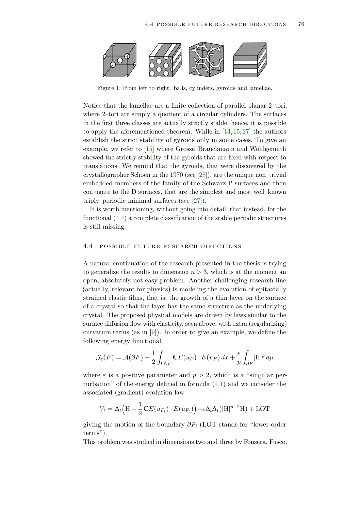

Figure 1: From left to right: balls, cylinders, gyroids and lamellae.

Notice that the lamellae are a finite collection of parallel planar 2–tori, where 2–tori are simply a quotient of a circular cylinders. The surfaces in the first three classes are actually strictly stable, hence, it is possible to apply the aforementioned theorem. While in [\[14,](#page-80-5) [15,](#page-80-6) [27\]](#page-80-7) the authors establish the strict stability of gyroids only in some cases. To give an example, we refer to [\[15\]](#page-80-6) where Grosse–Brauckmann and Wohlgemuth showed the strictly stability of the gyroids that are fixed with respect to translations. We remind that the gyroids, that were discovered by the crystallographer Schoen in the 1970 (see [\[28\]](#page-80-8)), are the unique non–trivial embedded members of the family of the Schwarz P surfaces and then conjugate to the D surfaces, that are the simplest and most well–known triply–periodic minimal surfaces (see [\[27\]](#page-80-7)).

It is worth mentioning, without going into detail, that instead, for the functional [\(4.4\)](#page-75-1) a complete classification of the stable periodic structures is still missing.

## 4.4 POSSIBLE FUTURE RESEARCH DIRECTIONS

A natural continuation of the research presented in the thesis is trying to generalize the results to dimension  $n > 3$ , which is at the moment an open, absolutely not easy problem. Another challenging research line (actually, relevant for physics) is modeling the evolution of epitaxially strained elastic films, that is, the growth of a thin layer on the surface of a crystal so that the layer has the same structure as the underlying crystal. The proposed physical models are driven by laws similar to the surface diffusion flow with elasticity, seen above, with extra (regularizing) curvature terms (as in  $[9]$ ). In order to give an example, we define the following energy functional,

$$
\mathcal{J}_{\varepsilon}(F) = \mathcal{A}(\partial F) + \frac{1}{2} \int_{\Omega \setminus F} \mathbb{C}E(u_F) \cdot E(u_F) \, dx + \frac{\varepsilon}{p} \int_{\partial F} |\mathcal{H}|^p \, d\mu
$$

where  $\varepsilon$  is a positive parameter and  $p > 2$ , which is a "singular perturbation" of the energy defined in formula [\(4.1\)](#page-72-0) and we consider the associated (gradient) evolution law

$$
V_t = \Delta_t \Big( \mathbf{H} - \frac{1}{2} \mathbf{C} E(u_{F_t}) \cdot E(u_{F_t}) \Big) - \varepsilon \Delta_t \Delta_t (|\mathbf{H}|^{p-2} \mathbf{H}) + \text{LOT}
$$

giving the motion of the boundary *∂F<sup>t</sup>* (LOT stands for "lower order terms").

This problem was studied in dimensions two and three by Fonseca, Fusco,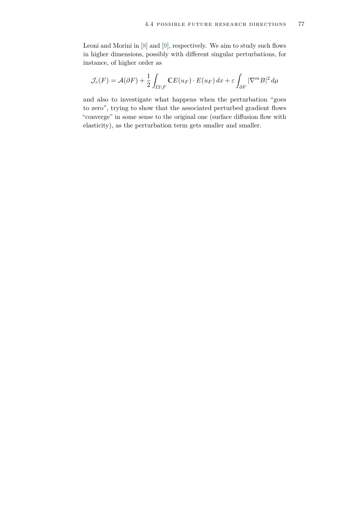Leoni and Morini in [\[8\]](#page-79-5) and [\[9\]](#page-79-4), respectively. We aim to study such flows in higher dimensions, possibly with different singular perturbations, for instance, of higher order as

$$
\mathcal{J}_{\varepsilon}(F) = \mathcal{A}(\partial F) + \frac{1}{2} \int_{\Omega \setminus F} \mathbb{C}E(u_F) \cdot E(u_F) \, dx + \varepsilon \int_{\partial F} |\nabla^m B|^2 \, d\mu
$$

and also to investigate what happens when the perturbation "goes to zero", trying to show that the associated perturbed gradient flows "converge" in some sense to the original one (surface diffusion flow with elasticity), as the perturbation term gets smaller and smaller.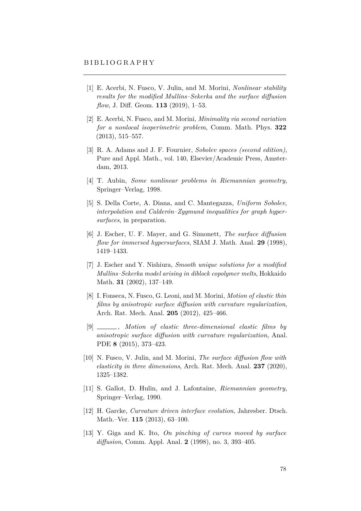- <span id="page-79-0"></span>[1] E. Acerbi, N. Fusco, V. Julin, and M. Morini, *Nonlinear stability results for the modified Mullins–Sekerka and the surface diffusion flow*, J. Diff. Geom. **113** (2019), 1–53.
- <span id="page-79-2"></span>[2] E. Acerbi, N. Fusco, and M. Morini, *Minimality via second variation for a nonlocal isoperimetric problem*, Comm. Math. Phys. **322** (2013), 515–557.
- [3] R. A. Adams and J. F. Fournier, *Sobolev spaces (second edition)*, Pure and Appl. Math., vol. 140, Elsevier/Academic Press, Amsterdam, 2013.
- [4] T. Aubin, *Some nonlinear problems in Riemannian geometry*, Springer–Verlag, 1998.
- [5] S. Della Corte, A. Diana, and C. Mantegazza, *Uniform Sobolev, interpolation and Calderón–Zygmund inequalities for graph hypersurfaces*, in preparation.
- [6] J. Escher, U. F. Mayer, and G. Simonett, *The surface diffusion flow for immersed hypersurfaces*, SIAM J. Math. Anal. **29** (1998), 1419–1433.
- <span id="page-79-3"></span>[7] J. Escher and Y. Nishiura, *Smooth unique solutions for a modified Mullins–Sekerka model arising in diblock copolymer melts*, Hokkaido Math. **31** (2002), 137–149.
- <span id="page-79-5"></span>[8] I. Fonseca, N. Fusco, G. Leoni, and M. Morini, *Motion of elastic thin films by anisotropic surface diffusion with curvature regularization*, Arch. Rat. Mech. Anal. **205** (2012), 425–466.
- <span id="page-79-4"></span>[9] , *Motion of elastic three-dimensional elastic films by anisotropic surface diffusion with curvature regularization*, Anal. PDE **8** (2015), 373–423.
- <span id="page-79-1"></span>[10] N. Fusco, V. Julin, and M. Morini, *The surface diffusion flow with elasticity in three dimensions*, Arch. Rat. Mech. Anal. **237** (2020), 1325–1382.
- [11] S. Gallot, D. Hulin, and J. Lafontaine, *Riemannian geometry*, Springer–Verlag, 1990.
- [12] H. Garcke, *Curvature driven interface evolution*, Jahresber. Dtsch. Math.–Ver. **115** (2013), 63–100.
- [13] Y. Giga and K. Ito, *On pinching of curves moved by surface diffusion*, Comm. Appl. Anal. **2** (1998), no. 3, 393–405.